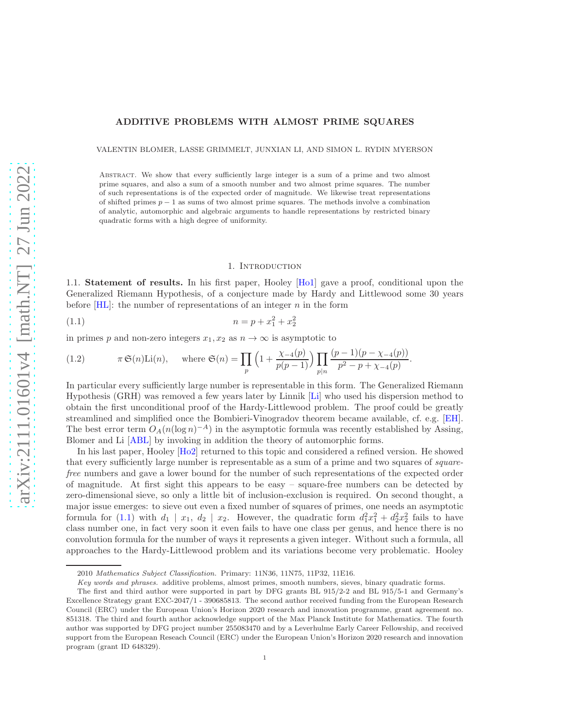# ADDITIVE PROBLEMS WITH ALMOST PRIME SQUARES

VALENTIN BLOMER, LASSE GRIMMELT, JUNXIAN LI, AND SIMON L. RYDIN MYERSON

Abstract. We show that every sufficiently large integer is a sum of a prime and two almost prime squares, and also a sum of a smooth number and two almost prime squares. The number of such representations is of the expected order of magnitude. We likewise treat representations of shifted primes  $p - 1$  as sums of two almost prime squares. The methods involve a combination of analytic, automorphic and algebraic arguments to handle representations by restricted binary quadratic forms with a high degree of uniformity.

### 1. INTRODUCTION

1.1. Statement of results. In his first paper, Hooley [\[Ho1\]](#page-49-0) gave a proof, conditional upon the Generalized Riemann Hypothesis, of a conjecture made by Hardy and Littlewood some 30 years before  $\text{[HL]}$ : the number of representations of an integer n in the form

<span id="page-0-0"></span>
$$
(1.1) \t\t n = p + x_1^2 + x_2^2
$$

in primes p and non-zero integers  $x_1, x_2$  as  $n \to \infty$  is asymptotic to

<span id="page-0-1"></span>(1.2) 
$$
\pi \mathfrak{S}(n) \text{Li}(n), \quad \text{where } \mathfrak{S}(n) = \prod_{p} \left( 1 + \frac{\chi_{-4}(p)}{p(p-1)} \right) \prod_{p|n} \frac{(p-1)(p-\chi_{-4}(p))}{p^2 - p + \chi_{-4}(p)}
$$

In particular every sufficiently large number is representable in this form. The Generalized Riemann Hypothesis (GRH) was removed a few years later by Linnik [\[Li\]](#page-49-1) who used his dispersion method to obtain the first unconditional proof of the Hardy-Littlewood problem. The proof could be greatly streamlined and simplified once the Bombieri-Vinogradov theorem became available, cf. e.g. [\[EH\]](#page-48-1). The best error term  $O_A(n(\log n)^{-A})$  in the asymptotic formula was recently established by Assing, Blomer and Li [\[ABL\]](#page-48-2) by invoking in addition the theory of automorphic forms.

.

In his last paper, Hooley [\[Ho2\]](#page-49-2) returned to this topic and considered a refined version. He showed that every sufficiently large number is representable as a sum of a prime and two squares of squarefree numbers and gave a lower bound for the number of such representations of the expected order of magnitude. At first sight this appears to be easy – square-free numbers can be detected by zero-dimensional sieve, so only a little bit of inclusion-exclusion is required. On second thought, a major issue emerges: to sieve out even a fixed number of squares of primes, one needs an asymptotic formula for [\(1.1\)](#page-0-0) with  $d_1 | x_1, d_2 | x_2$ . However, the quadratic form  $d_1^2x_1^2 + d_2^2x_2^2$  fails to have class number one, in fact very soon it even fails to have one class per genus, and hence there is no convolution formula for the number of ways it represents a given integer. Without such a formula, all approaches to the Hardy-Littlewood problem and its variations become very problematic. Hooley

<sup>2010</sup> *Mathematics Subject Classification.* Primary: 11N36, 11N75, 11P32, 11E16.

*Key words and phrases.* additive problems, almost primes, smooth numbers, sieves, binary quadratic forms.

The first and third author were supported in part by DFG grants BL 915/2-2 and BL 915/5-1 and Germany's Excellence Strategy grant EXC-2047/1 - 390685813. The second author received funding from the European Research Council (ERC) under the European Union's Horizon 2020 research and innovation programme, grant agreement no. 851318. The third and fourth author acknowledge support of the Max Planck Institute for Mathematics. The fourth author was supported by DFG project number 255083470 and by a Leverhulme Early Career Fellowship, and received support from the European Reseach Council (ERC) under the European Union's Horizon 2020 research and innovation program (grant ID 648329).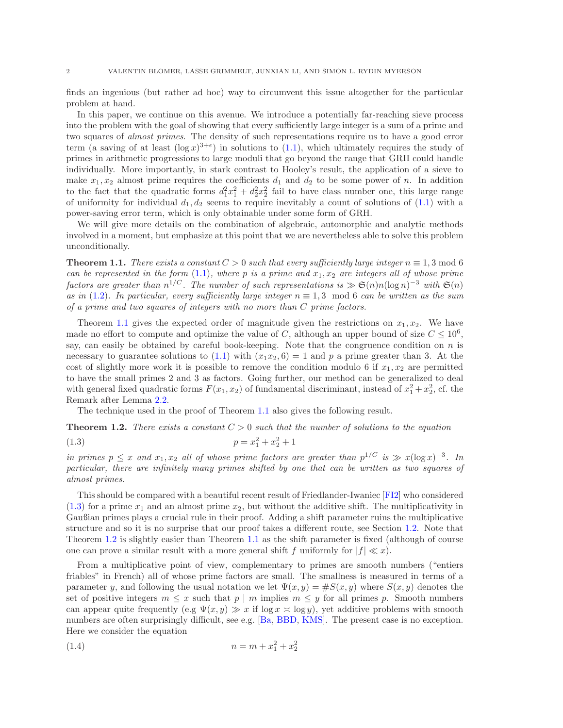finds an ingenious (but rather ad hoc) way to circumvent this issue altogether for the particular problem at hand.

In this paper, we continue on this avenue. We introduce a potentially far-reaching sieve process into the problem with the goal of showing that every sufficiently large integer is a sum of a prime and two squares of *almost primes*. The density of such representations require us to have a good error term (a saving of at least  $(\log x)^{3+\epsilon}$ ) in solutions to [\(1.1\)](#page-0-0), which ultimately requires the study of primes in arithmetic progressions to large moduli that go beyond the range that GRH could handle individually. More importantly, in stark contrast to Hooley's result, the application of a sieve to make  $x_1, x_2$  almost prime requires the coefficients  $d_1$  and  $d_2$  to be some power of n. In addition to the fact that the quadratic forms  $d_1^2x_1^2 + d_2^2x_2^2$  fail to have class number one, this large range of uniformity for individual  $d_1, d_2$  seems to require inevitably a count of solutions of [\(1.1\)](#page-0-0) with a power-saving error term, which is only obtainable under some form of GRH.

We will give more details on the combination of algebraic, automorphic and analytic methods involved in a moment, but emphasize at this point that we are nevertheless able to solve this problem unconditionally.

<span id="page-1-0"></span>**Theorem 1.1.** There exists a constant  $C > 0$  such that every sufficiently large integer  $n \equiv 1, 3 \mod 6$ can be represented in the form  $(1.1)$ , where p is a prime and  $x_1, x_2$  are integers all of whose prime factors are greater than  $n^{1/C}$ . The number of such representations is  $\gg \mathfrak{S}(n)n(\log n)^{-3}$  with  $\mathfrak{S}(n)$ as in [\(1.2\)](#page-0-1). In particular, every sufficiently large integer  $n \equiv 1, 3 \mod 6$  can be written as the sum of a prime and two squares of integers with no more than C prime factors.

Theorem [1.1](#page-1-0) gives the expected order of magnitude given the restrictions on  $x_1, x_2$ . We have made no effort to compute and optimize the value of C, although an upper bound of size  $C \leq 10^6$ , say, can easily be obtained by careful book-keeping. Note that the congruence condition on  $n$  is necessary to guarantee solutions to [\(1.1\)](#page-0-0) with  $(x_1x_2, 6) = 1$  and p a prime greater than 3. At the cost of slightly more work it is possible to remove the condition modulo 6 if  $x_1, x_2$  are permitted to have the small primes 2 and 3 as factors. Going further, our method can be generalized to deal with general fixed quadratic forms  $F(x_1, x_2)$  of fundamental discriminant, instead of  $x_1^2 + x_2^2$ , cf. the Remark after Lemma [2.2.](#page-5-0)

The technique used in the proof of Theorem [1.1](#page-1-0) also gives the following result.

<span id="page-1-2"></span><span id="page-1-1"></span>**Theorem 1.2.** There exists a constant  $C > 0$  such that the number of solutions to the equation (1.3)  $p = x_1^2 + x_2^2 + 1$ 

in primes  $p \leq x$  and  $x_1, x_2$  all of whose prime factors are greater than  $p^{1/C}$  is  $\gg x(\log x)^{-3}$ . In particular, there are infinitely many primes shifted by one that can be written as two squares of almost primes.

This should be compared with a beautiful recent result of Friedlander-Iwaniec [\[FI2\]](#page-48-3) who considered  $(1.3)$  for a prime  $x_1$  and an almost prime  $x_2$ , but without the additive shift. The multiplicativity in Gaußian primes plays a crucial rule in their proof. Adding a shift parameter ruins the multiplicative structure and so it is no surprise that our proof takes a different route, see Section [1.2.](#page-2-0) Note that Theorem [1.2](#page-1-2) is slightly easier than Theorem [1.1](#page-1-0) as the shift parameter is fixed (although of course one can prove a similar result with a more general shift f uniformly for  $|f| \ll x$ .

From a multiplicative point of view, complementary to primes are smooth numbers ("entiers friables" in French) all of whose prime factors are small. The smallness is measured in terms of a parameter y, and following the usual notation we let  $\Psi(x, y) = \#S(x, y)$  where  $S(x, y)$  denotes the set of positive integers  $m \leq x$  such that  $p \mid m$  implies  $m \leq y$  for all primes p. Smooth numbers can appear quite frequently (e.g  $\Psi(x, y) \gg x$  if  $\log x \asymp \log y$ ), yet additive problems with smooth numbers are often surprisingly difficult, see e.g. [\[Ba,](#page-48-4) [BBD,](#page-48-5) [KMS\]](#page-49-3). The present case is no exception. Here we consider the equation

<span id="page-1-3"></span>
$$
(1.4) \t\t n = m + x_1^2 + x_2^2
$$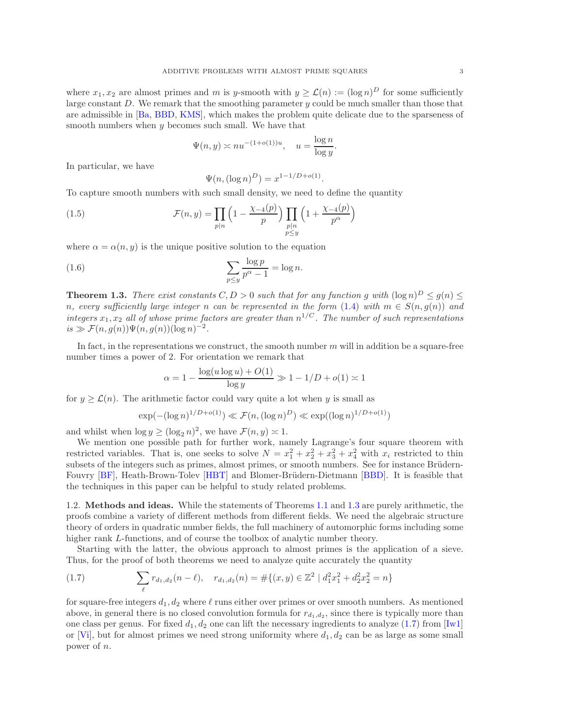where  $x_1, x_2$  are almost primes and m is y-smooth with  $y \geq \mathcal{L}(n) := (\log n)^D$  for some sufficiently large constant  $D$ . We remark that the smoothing parameter  $y$  could be much smaller than those that are admissible in [\[Ba,](#page-48-4) [BBD,](#page-48-5) [KMS\]](#page-49-3), which makes the problem quite delicate due to the sparseness of smooth numbers when  $y$  becomes such small. We have that

$$
\Psi(n, y) \asymp nu^{-(1+o(1))u}, \quad u = \frac{\log n}{\log y}.
$$

In particular, we have

$$
\Psi(n, (\log n)^D) = x^{1-1/D + o(1)}.
$$

To capture smooth numbers with such small density, we need to define the quantity

<span id="page-2-4"></span>(1.5) 
$$
\mathcal{F}(n, y) = \prod_{p|n} \left(1 - \frac{\chi_{-4}(p)}{p}\right) \prod_{\substack{p|n \\ p \le y}} \left(1 + \frac{\chi_{-4}(p)}{p^{\alpha}}\right)
$$

where  $\alpha = \alpha(n, y)$  is the unique positive solution to the equation

<span id="page-2-3"></span>(1.6) 
$$
\sum_{p\leq y} \frac{\log p}{p^{\alpha}-1} = \log n.
$$

<span id="page-2-1"></span>**Theorem 1.3.** There exist constants  $C, D > 0$  such that for any function g with  $(\log n)^D \leq g(n) \leq$ n, every sufficiently large integer n can be represented in the form  $(1.4)$  with  $m \in S(n, g(n))$  and integers  $x_1, x_2$  all of whose prime factors are greater than  $n^{1/C}$ . The number of such representations  $is \gg \mathcal{F}(n, g(n))\Psi(n, g(n))(\log n)^{-2}.$ 

In fact, in the representations we construct, the smooth number  $m$  will in addition be a square-free number times a power of 2. For orientation we remark that

$$
\alpha = 1 - \frac{\log(u \log u) + O(1)}{\log y} \gg 1 - 1/D + o(1) \asymp 1
$$

for  $y \geq \mathcal{L}(n)$ . The arithmetic factor could vary quite a lot when y is small as

$$
\exp(-(\log n)^{1/D + o(1)}) \ll \mathcal{F}(n, (\log n)^D) \ll \exp((\log n)^{1/D + o(1)})
$$

and whilst when  $\log y \ge (\log_2 n)^2$ , we have  $\mathcal{F}(n, y) \approx 1$ .

We mention one possible path for further work, namely Lagrange's four square theorem with restricted variables. That is, one seeks to solve  $N = x_1^2 + x_2^2 + x_3^2 + x_4^2$  with  $x_i$  restricted to thin subsets of the integers such as primes, almost primes, or smooth numbers. See for instance Brüdern-Fouvry [\[BF\]](#page-48-6), Heath-Brown-Tolev [\[HBT\]](#page-49-4) and Blomer-Brüdern-Dietmann [\[BBD\]](#page-48-5). It is feasible that the techniques in this paper can be helpful to study related problems.

<span id="page-2-0"></span>1.2. Methods and ideas. While the statements of Theorems [1.1](#page-1-0) and [1.3](#page-2-1) are purely arithmetic, the proofs combine a variety of different methods from different fields. We need the algebraic structure theory of orders in quadratic number fields, the full machinery of automorphic forms including some higher rank L-functions, and of course the toolbox of analytic number theory.

Starting with the latter, the obvious approach to almost primes is the application of a sieve. Thus, for the proof of both theorems we need to analyze quite accurately the quantity

<span id="page-2-2"></span>(1.7) 
$$
\sum_{\ell} r_{d_1,d_2}(n-\ell), \quad r_{d_1,d_2}(n) = \#\{(x,y) \in \mathbb{Z}^2 \mid d_1^2 x_1^2 + d_2^2 x_2^2 = n\}
$$

for square-free integers  $d_1, d_2$  where  $\ell$  runs either over primes or over smooth numbers. As mentioned above, in general there is no closed convolution formula for  $r_{d_1,d_2}$ , since there is typically more than one class per genus. For fixed  $d_1, d_2$  one can lift the necessary ingredients to analyze [\(1.7\)](#page-2-2) from [\[Iw1\]](#page-49-5) or [\[Vi\]](#page-49-6), but for almost primes we need strong uniformity where  $d_1, d_2$  can be as large as some small power of n.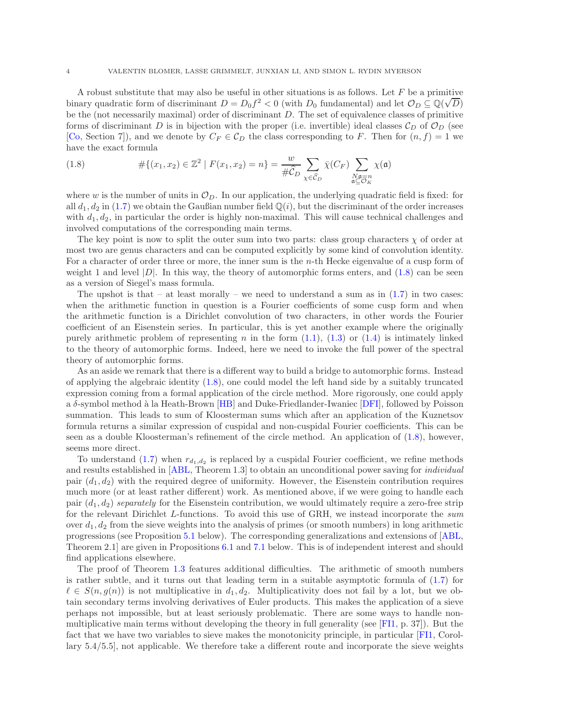A robust substitute that may also be useful in other situations is as follows. Let  $F$  be a primitive binary quadratic form of discriminant  $D = D_0 f^2 < 0$  (with  $D_0$  fundamental) and let  $\mathcal{O}_D \subseteq \mathbb{Q}(\sqrt{D})$ be the (not necessarily maximal) order of discriminant D. The set of equivalence classes of primitive forms of discriminant D is in bijection with the proper (i.e. invertible) ideal classes  $\mathcal{C}_D$  of  $\mathcal{O}_D$  (see [\[Co,](#page-48-7) Section 7]), and we denote by  $C_F \in \mathcal{C}_D$  the class corresponding to F. Then for  $(n, f) = 1$  we have the exact formula

<span id="page-3-0"></span>(1.8) 
$$
\#\{(x_1, x_2) \in \mathbb{Z}^2 \mid F(x_1, x_2) = n\} = \frac{w}{\#\widehat{\mathcal{C}}_D} \sum_{\chi \in \widehat{\mathcal{C}}_D} \bar{\chi}(C_F) \sum_{\substack{N\mathfrak{a} = n \\ \mathfrak{a} \subseteq \mathcal{O}_K}} \chi(\mathfrak{a})
$$

where w is the number of units in  $\mathcal{O}_D$ . In our application, the underlying quadratic field is fixed: for all  $d_1, d_2$  in [\(1.7\)](#page-2-2) we obtain the Gaußian number field  $\mathbb{Q}(i)$ , but the discriminant of the order increases with  $d_1, d_2$ , in particular the order is highly non-maximal. This will cause technical challenges and involved computations of the corresponding main terms.

The key point is now to split the outer sum into two parts: class group characters  $\chi$  of order at most two are genus characters and can be computed explicitly by some kind of convolution identity. For a character of order three or more, the inner sum is the *n*-th Hecke eigenvalue of a cusp form of weight 1 and level  $|D|$ . In this way, the theory of automorphic forms enters, and  $(1.8)$  can be seen as a version of Siegel's mass formula.

The upshot is that – at least morally – we need to understand a sum as in  $(1.7)$  in two cases: when the arithmetic function in question is a Fourier coefficients of some cusp form and when the arithmetic function is a Dirichlet convolution of two characters, in other words the Fourier coefficient of an Eisenstein series. In particular, this is yet another example where the originally purely arithmetic problem of representing n in the form  $(1.1)$ ,  $(1.3)$  or  $(1.4)$  is intimately linked to the theory of automorphic forms. Indeed, here we need to invoke the full power of the spectral theory of automorphic forms.

As an aside we remark that there is a different way to build a bridge to automorphic forms. Instead of applying the algebraic identity [\(1.8\)](#page-3-0), one could model the left hand side by a suitably truncated expression coming from a formal application of the circle method. More rigorously, one could apply a δ-symbol method à la Heath-Brown [\[HB\]](#page-49-7) and Duke-Friedlander-Iwaniec [\[DFI\]](#page-48-8), followed by Poisson summation. This leads to sum of Kloosterman sums which after an application of the Kuznetsov formula returns a similar expression of cuspidal and non-cuspidal Fourier coefficients. This can be seen as a double Kloosterman's refinement of the circle method. An application of [\(1.8\)](#page-3-0), however, seems more direct.

To understand  $(1.7)$  when  $r_{d_1,d_2}$  is replaced by a cuspidal Fourier coefficient, we refine methods and results established in [\[ABL,](#page-48-2) Theorem 1.3] to obtain an unconditional power saving for individual pair  $(d_1, d_2)$  with the required degree of uniformity. However, the Eisenstein contribution requires much more (or at least rather different) work. As mentioned above, if we were going to handle each pair  $(d_1, d_2)$  separately for the Eisenstein contribution, we would ultimately require a zero-free strip for the relevant Dirichlet L-functions. To avoid this use of GRH, we instead incorporate the sum over  $d_1, d_2$  from the sieve weights into the analysis of primes (or smooth numbers) in long arithmetic progressions (see Proposition [5.1](#page-14-0) below). The corresponding generalizations and extensions of [\[ABL,](#page-48-2) Theorem 2.1] are given in Propositions [6.1](#page-17-0) and [7.1](#page-24-0) below. This is of independent interest and should find applications elsewhere.

The proof of Theorem [1.3](#page-2-1) features additional difficulties. The arithmetic of smooth numbers is rather subtle, and it turns out that leading term in a suitable asymptotic formula of [\(1.7\)](#page-2-2) for  $\ell \in S(n, g(n))$  is not multiplicative in  $d_1, d_2$ . Multiplicativity does not fail by a lot, but we obtain secondary terms involving derivatives of Euler products. This makes the application of a sieve perhaps not impossible, but at least seriously problematic. There are some ways to handle nonmultiplicative main terms without developing the theory in full generality (see [\[FI1,](#page-48-9) p. 37]). But the fact that we have two variables to sieve makes the monotonicity principle, in particular [\[FI1,](#page-48-9) Corollary 5.4/5.5], not applicable. We therefore take a different route and incorporate the sieve weights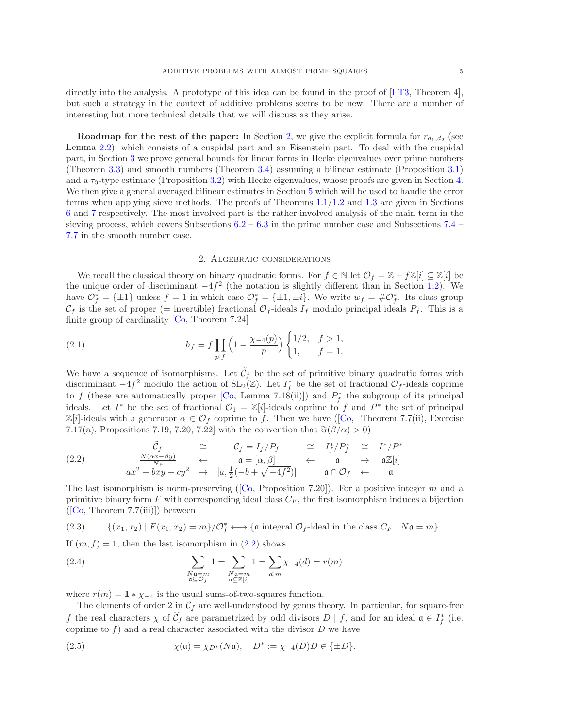directly into the analysis. A prototype of this idea can be found in the proof of [\[FT3,](#page-48-10) Theorem 4], but such a strategy in the context of additive problems seems to be new. There are a number of interesting but more technical details that we will discuss as they arise.

**Roadmap for the rest of the paper:** In Section [2,](#page-4-0) we give the explicit formula for  $r_{d_1,d_2}$  (see Lemma [2.2\)](#page-5-0), which consists of a cuspidal part and an Eisenstein part. To deal with the cuspidal part, in Section [3](#page-7-0) we prove general bounds for linear forms in Hecke eigenvalues over prime numbers (Theorem [3.3\)](#page-7-1) and smooth numbers (Theorem [3.4\)](#page-8-0) assuming a bilinear estimate (Proposition [3.1\)](#page-7-2) and a  $\tau_3$ -type estimate (Proposition [3.2\)](#page-7-3) with Hecke eigenvalues, whose proofs are given in Section [4.](#page-11-0) We then give a general averaged bilinear estimates in Section [5](#page-14-1) which will be used to handle the error terms when applying sieve methods. The proofs of Theorems [1.1/](#page-1-0)[1.2](#page-1-2) and [1.3](#page-2-1) are given in Sections [6](#page-17-1) and [7](#page-24-1) respectively. The most involved part is the rather involved analysis of the main term in the sieving process, which covers Subsections  $6.2 - 6.3$  $6.2 - 6.3$  $6.2 - 6.3$  in the prime number case and Subsections  $7.4$ [7.7](#page-43-0) in the smooth number case.

## 2. Algebraic considerations

<span id="page-4-0"></span>We recall the classical theory on binary quadratic forms. For  $f \in \mathbb{N}$  let  $\mathcal{O}_f = \mathbb{Z} + f\mathbb{Z}[i] \subseteq \mathbb{Z}[i]$  be the unique order of discriminant  $-4f^2$  (the notation is slightly different than in Section [1.2\)](#page-2-0). We have  $\mathcal{O}_f^* = \{\pm 1\}$  unless  $f = 1$  in which case  $\mathcal{O}_f^* = \{\pm 1, \pm i\}$ . We write  $w_f = \#\mathcal{O}_f^*$ . Its class group  $\mathcal{C}_f$  is the set of proper (= invertible) fractional  $\mathcal{O}_f$ -ideals  $I_f$  modulo principal ideals  $P_f$ . This is a finite group of cardinality [\[Co,](#page-48-7) Theorem 7.24]

<span id="page-4-3"></span>(2.1) 
$$
h_f = f \prod_{p \mid f} \left( 1 - \frac{\chi_{-4}(p)}{p} \right) \begin{cases} 1/2, & f > 1, \\ 1, & f = 1. \end{cases}
$$

We have a sequence of isomorphisms. Let  $\tilde{C}_f$  be the set of primitive binary quadratic forms with discriminant  $-4f^2$  modulo the action of  $SL_2(\mathbb{Z})$ . Let  $I_f^*$  be the set of fractional  $\mathcal{O}_f$ -ideals coprime to f (these are automatically proper [\[Co,](#page-48-7) Lemma 7.18(ii)]) and  $P_f^*$  the subgroup of its principal ideals. Let  $I^*$  be the set of fractional  $\mathcal{O}_1 = \mathbb{Z}[i]$ -ideals coprime to f and  $P^*$  the set of principal  $\mathbb{Z}[i]$ -ideals with a generator  $\alpha \in \mathcal{O}_f$  coprime to f. Then we have ([\[Co,](#page-48-7) Theorem 7.7(ii), Exercise 7.17(a), Propositions 7.19, 7.20, 7.22] with the convention that  $\Im(\beta/\alpha) > 0$ 

<span id="page-4-1"></span>(2.2) 
$$
\begin{array}{ccccccccc}\n\tilde{C}_f & \cong & C_f = I_f/P_f & \cong & I_f^*/P_f^* & \cong & I^*/P^*\\
\frac{N(\alpha x - \beta y)}{N\mathfrak{a}} & \leftarrow & \mathfrak{a} = [\alpha, \beta] & \leftarrow & \mathfrak{a} & \rightarrow & \mathfrak{a}\mathbb{Z}[i]\\
ax^2 + bxy + cy^2 & \rightarrow & [a, \frac{1}{2}(-b + \sqrt{-4f^2})] & \mathfrak{a} \cap \mathcal{O}_f & \leftarrow & \mathfrak{a}\n\end{array}
$$

The last isomorphism is norm-preserving ( $|Co$ , Proposition 7.20). For a positive integer m and a primitive binary form  $F$  with corresponding ideal class  $C_F$ , the first isomorphism induces a bijection  $([Co, Theorem 7.7(iii)])$  $([Co, Theorem 7.7(iii)])$  $([Co, Theorem 7.7(iii)])$  between

<span id="page-4-4"></span>(2.3) 
$$
\{(x_1, x_2) | F(x_1, x_2) = m\}/\mathcal{O}_f^* \longleftrightarrow \{\text{a integral } \mathcal{O}_f\text{-ideal in the class } C_F | N\mathfrak{a} = m\}.
$$

If  $(m, f) = 1$ , then the last isomorphism in  $(2.2)$  shows

<span id="page-4-5"></span>(2.4) 
$$
\sum_{\substack{N\mathfrak{a}=m\\ \mathfrak{a}\subseteq \mathcal{O}_f}}1=\sum_{\substack{N\mathfrak{a}=m\\ \mathfrak{a}\subseteq \mathbb{Z}[i]}}1=\sum_{d|m}\chi_{-4}(d)=r(m)
$$

where  $r(m) = 1 * \chi_{-4}$  is the usual sums-of-two-squares function.

The elements of order 2 in  $C_f$  are well-understood by genus theory. In particular, for square-free f the real characters  $\chi$  of  $\mathcal{C}_f$  are parametrized by odd divisors D | f, and for an ideal  $\mathfrak{a} \in I_f^*$  (i.e. coprime to  $f$ ) and a real character associated with the divisor  $D$  we have

<span id="page-4-2"></span>(2.5) 
$$
\chi(\mathfrak{a}) = \chi_{D^*}(N\mathfrak{a}), \quad D^* := \chi_{-4}(D)D \in \{\pm D\}.
$$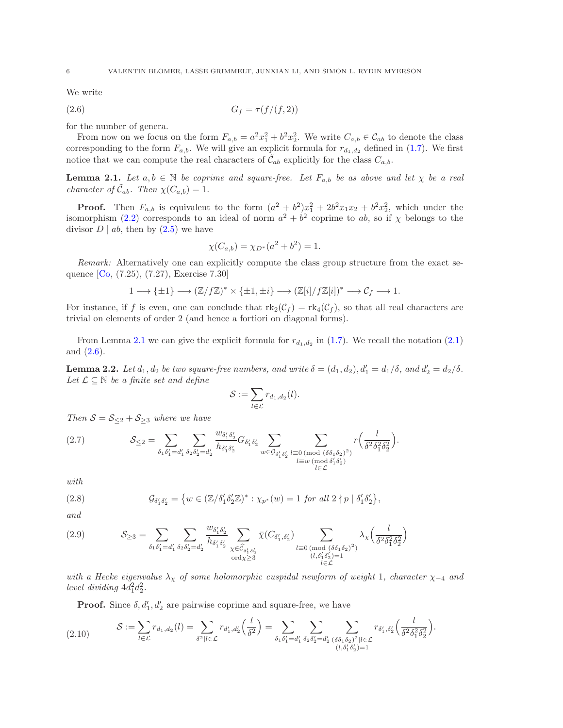We write

<span id="page-5-2"></span>
$$
(2.6) \tG_f = \tau(f/(f, 2))
$$

for the number of genera.

From now on we focus on the form  $F_{a,b} = a^2x_1^2 + b^2x_2^2$ . We write  $C_{a,b} \in \mathcal{C}_{ab}$  to denote the class corresponding to the form  $F_{a,b}$ . We will give an explicit formula for  $r_{d_1,d_2}$  defined in [\(1.7\)](#page-2-2). We first notice that we can compute the real characters of  $\tilde{\mathcal{C}}_{ab}$  explicitly for the class  $C_{a,b}$ .

<span id="page-5-1"></span>**Lemma 2.1.** Let  $a, b \in \mathbb{N}$  be coprime and square-free. Let  $F_{a,b}$  be as above and let  $\chi$  be a real character of  $\tilde{\mathcal{C}}_{ab}$ . Then  $\chi(C_{a,b}) = 1$ .

**Proof.** Then  $F_{a,b}$  is equivalent to the form  $(a^2 + b^2)x_1^2 + 2b^2x_1x_2 + b^2x_2^2$ , which under the isomorphism [\(2.2\)](#page-4-1) corresponds to an ideal of norm  $a^2 + b^2$  coprime to ab, so if  $\chi$  belongs to the divisor  $D | ab$ , then by  $(2.5)$  we have

$$
\chi(C_{a,b}) = \chi_{D^*}(a^2 + b^2) = 1.
$$

Remark: Alternatively one can explicitly compute the class group structure from the exact sequence [\[Co,](#page-48-7) (7.25), (7.27), Exercise 7.30]

$$
1 \longrightarrow {\pm 1} \longrightarrow (\mathbb{Z}/f\mathbb{Z})^* \times {\pm 1, \pm i} \longrightarrow (\mathbb{Z}[i]/f\mathbb{Z}[i])^* \longrightarrow C_f \longrightarrow 1.
$$

For instance, if f is even, one can conclude that  $\text{rk}_2(\mathcal{C}_f) = \text{rk}_4(\mathcal{C}_f)$ , so that all real characters are trivial on elements of order 2 (and hence a fortiori on diagonal forms).

From Lemma [2.1](#page-5-1) we can give the explicit formula for  $r_{d_1,d_2}$  in [\(1.7\)](#page-2-2). We recall the notation [\(2.1\)](#page-4-3) and [\(2.6\)](#page-5-2).

<span id="page-5-0"></span>**Lemma 2.2.** Let  $d_1, d_2$  be two square-free numbers, and write  $\delta = (d_1, d_2), d'_1 = d_1/\delta$ , and  $d'_2 = d_2/\delta$ . Let  $\mathcal{L} \subseteq \mathbb{N}$  be a finite set and define

$$
\mathcal{S} := \sum_{l \in \mathcal{L}} r_{d_1,d_2}(l).
$$

Then  $S = S_{\leq 2} + S_{\geq 3}$  where we have

<span id="page-5-3"></span>(2.7) 
$$
\mathcal{S}_{\leq 2} = \sum_{\delta_1 \delta_1' = d_1'} \sum_{\delta_2 \delta_2' = d_2'} \frac{w_{\delta_1' \delta_2'}}{h_{\delta_1' \delta_2'}} G_{\delta_1' \delta_2'} \sum_{w \in \mathcal{G}_{\delta_1' \delta_2'}} \sum_{\substack{l \equiv 0 \pmod{(\delta \delta_1 \delta_2)^2} \\ l \equiv w \pmod{\delta_1' \delta_2'}}} r\left(\frac{l}{\delta^2 \delta_1^2 \delta_2^2}\right).
$$

with

<span id="page-5-4"></span>(2.8) 
$$
\mathcal{G}_{\delta'_1 \delta'_2} = \{ w \in (\mathbb{Z}/\delta'_1 \delta'_2 \mathbb{Z})^* : \chi_{p^*}(w) = 1 \text{ for all } 2 \nmid p \mid \delta'_1 \delta'_2 \},
$$

and

<span id="page-5-6"></span>(2.9) 
$$
\mathcal{S}_{\geq 3} = \sum_{\delta_1 \delta_1' = d_1'} \sum_{\delta_2 \delta_2' = d_2'} \frac{w_{\delta_1'} \delta_2'}{h_{\delta_1'} \delta_2'} \sum_{\substack{\chi \in \widehat{\mathcal{C}}_{\delta_1'} \delta_2' \\ \text{ord}\chi \geq 3}} \bar{\chi}(C_{\delta_1', \delta_2'}) \sum_{\substack{l \equiv 0 \pmod{(\delta \delta_1 \delta_2)^2} \\ (l, \delta_1' \delta_2') = 1}} \lambda_{\chi} \left(\frac{l}{\delta^2 \delta_1^2 \delta_2^2}\right)
$$

with a Hecke eigenvalue  $\lambda_{\chi}$  of some holomorphic cuspidal newform of weight 1, character  $\chi_{-4}$  and level dividing  $4d_1^2d_2^2$ .

**Proof.** Since  $\delta, d'_1, d'_2$  are pairwise coprime and square-free, we have

<span id="page-5-5"></span>
$$
(2.10) \tS := \sum_{l \in \mathcal{L}} r_{d_1, d_2}(l) = \sum_{\delta^2 \mid l \in \mathcal{L}} r_{d'_1, d'_2}\left(\frac{l}{\delta^2}\right) = \sum_{\delta_1 \delta'_1 = d'_1} \sum_{\delta_2 \delta'_2 = d'_2} \sum_{\substack{(\delta \delta_1 \delta_2)^2 \mid l \in \mathcal{L} \\ (l, \delta'_1 \delta'_2) = 1}} r_{\delta'_1, \delta'_2}\left(\frac{l}{\delta^2 \delta_1^2 \delta_2^2}\right).
$$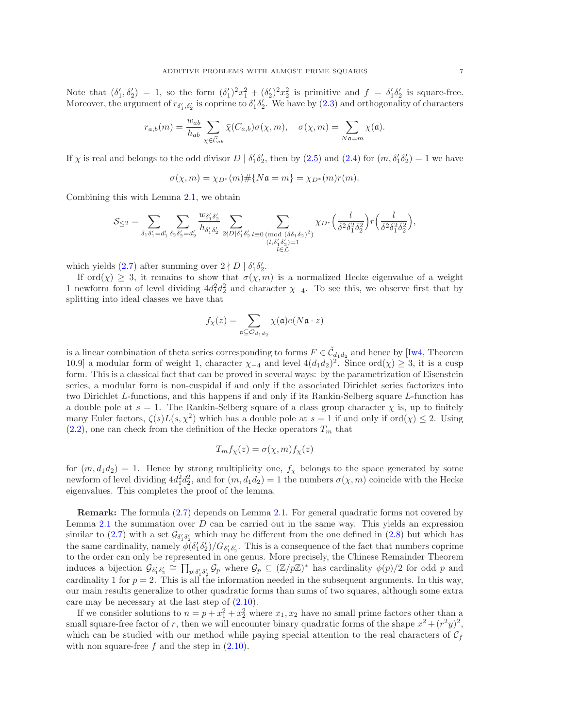Note that  $(\delta'_1, \delta'_2) = 1$ , so the form  $(\delta'_1)^2 x_1^2 + (\delta'_2)^2 x_2^2$  is primitive and  $f = \delta'_1 \delta'_2$  is square-free. Moreover, the argument of  $r_{\delta'_1,\delta'_2}$  is coprime to  $\delta'_1\delta'_2$ . We have by  $(2.3)$  and orthogonality of characters

$$
r_{a,b}(m) = \frac{w_{ab}}{h_{ab}} \sum_{\chi \in \widehat{\mathcal{C}}_{ab}} \overline{\chi}(C_{a,b}) \sigma(\chi, m), \quad \sigma(\chi, m) = \sum_{N \mathfrak{a} = m} \chi(\mathfrak{a}).
$$

If  $\chi$  is real and belongs to the odd divisor  $D | \delta'_1 \delta'_2$ , then by [\(2.5\)](#page-4-2) and [\(2.4\)](#page-4-5) for  $(m, \delta'_1 \delta'_2) = 1$  we have

$$
\sigma(\chi, m) = \chi_{D^*}(m) \# \{ N \mathfrak{a} = m \} = \chi_{D^*}(m) r(m).
$$

Combining this with Lemma [2.1,](#page-5-1) we obtain

$$
\mathcal{S}_{\leq 2} = \sum_{\delta_1\delta_1'=d_1'}\sum_{\delta_2\delta_2'=d_2'}\frac{w_{\delta_1'\delta_2'}}{h_{\delta_1'\delta_2'}}\sum_{2\nmid D|\delta_1'\delta_2'}\sum_{l\equiv 0\,(\text{mod }\,(\delta\delta_1\delta_2)^2)\atop(l,\delta_1'\delta_2'=1} \chi_{D^*}\Big(\frac{l}{\delta^2\delta_1^2\delta_2^2}\Big)r\Big(\frac{l}{\delta^2\delta_1^2\delta_2^2}\Big),
$$

which yields [\(2.7\)](#page-5-3) after summing over  $2 \nmid D \mid \delta'_1 \delta'_2$ .

If ord $(\chi) \geq 3$ , it remains to show that  $\sigma(\chi, m)$  is a normalized Hecke eigenvalue of a weight 1 newform form of level dividing  $4d_1^2d_2^2$  and character  $\chi_{-4}$ . To see this, we observe first that by splitting into ideal classes we have that

$$
f_{\chi}(z) = \sum_{\mathfrak{a} \subseteq \mathcal{O}_{d_1d_2}} \chi(\mathfrak{a}) e(N\mathfrak{a} \cdot z)
$$

is a linear combination of theta series corresponding to forms  $F \in \tilde{C}_{d_1 d_2}$  and hence by [\[Iw4,](#page-49-8) Theorem 10.9] a modular form of weight 1, character  $\chi_{-4}$  and level  $4(d_1d_2)^2$ . Since  $\text{ord}(\chi) \geq 3$ , it is a cusp form. This is a classical fact that can be proved in several ways: by the parametrization of Eisenstein series, a modular form is non-cuspidal if and only if the associated Dirichlet series factorizes into two Dirichlet L-functions, and this happens if and only if its Rankin-Selberg square L-function has a double pole at  $s = 1$ . The Rankin-Selberg square of a class group character  $\chi$  is, up to finitely many Euler factors,  $\zeta(s)L(s,\chi^2)$  which has a double pole at  $s=1$  if and only if ord $(\chi) \leq 2$ . Using  $(2.2)$ , one can check from the definition of the Hecke operators  $T_m$  that

$$
T_m f_\chi(z) = \sigma(\chi, m) f_\chi(z)
$$

for  $(m, d_1 d_2) = 1$ . Hence by strong multiplicity one,  $f_\chi$  belongs to the space generated by some newform of level dividing  $4d_1^2d_2^2$ , and for  $(m, d_1d_2) = 1$  the numbers  $\sigma(\chi, m)$  coincide with the Hecke eigenvalues. This completes the proof of the lemma.

Remark: The formula [\(2.7\)](#page-5-3) depends on Lemma [2.1.](#page-5-1) For general quadratic forms not covered by Lemma [2.1](#page-5-1) the summation over  $D$  can be carried out in the same way. This yields an expression similar to [\(2.7\)](#page-5-3) with a set  $\mathcal{G}_{\delta'_1 \delta'_2}$  which may be different from the one defined in [\(2.8\)](#page-5-4) but which has the same cardinality, namely  $\phi(\delta_1'\delta_2')/G_{\delta_1'\delta_2'}$ . This is a consequence of the fact that numbers coprime to the order can only be represented in one genus. More precisely, the Chinese Remainder Theorem induces a bijection  $\mathcal{G}_{\delta'_1 \delta'_2} \cong \prod_{p | \delta'_1 \delta'_2} \mathcal{G}_p$  where  $\mathcal{G}_p \subseteq (\mathbb{Z}/p\mathbb{Z})^*$  has cardinality  $\phi(p)/2$  for odd p and cardinality 1 for  $p = 2$ . This is all the information needed in the subsequent arguments. In this way, our main results generalize to other quadratic forms than sums of two squares, although some extra care may be necessary at the last step of [\(2.10\)](#page-5-5).

If we consider solutions to  $n = p + x_1^2 + x_2^2$  where  $x_1, x_2$  have no small prime factors other than a small square-free factor of r, then we will encounter binary quadratic forms of the shape  $x^2 + (r^2y)^2$ , which can be studied with our method while paying special attention to the real characters of  $C_f$ with non square-free  $f$  and the step in  $(2.10)$ .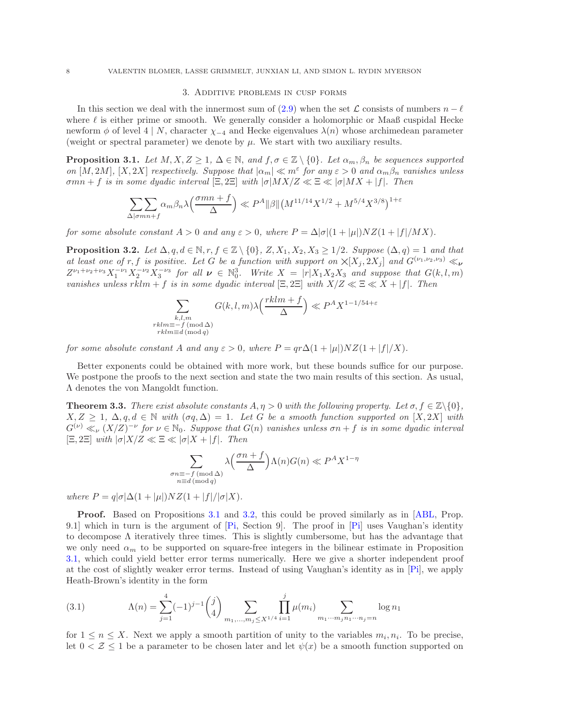## 3. Additive problems in cusp forms

<span id="page-7-0"></span>In this section we deal with the innermost sum of [\(2.9\)](#page-5-6) when the set  $\mathcal L$  consists of numbers  $n - \ell$ where  $\ell$  is either prime or smooth. We generally consider a holomorphic or Maaß cuspidal Hecke newform  $\phi$  of level 4 | N, character  $\chi_{-4}$  and Hecke eigenvalues  $\lambda(n)$  whose archimedean parameter (weight or spectral parameter) we denote by  $\mu$ . We start with two auxiliary results.

<span id="page-7-2"></span>**Proposition 3.1.** Let  $M, X, Z \geq 1, \Delta \in \mathbb{N}$ , and  $f, \sigma \in \mathbb{Z} \setminus \{0\}$ . Let  $\alpha_m, \beta_n$  be sequences supported on  $[M, 2M]$ ,  $[X, 2X]$  respectively. Suppose that  $|\alpha_m| \ll m^{\epsilon}$  for any  $\epsilon > 0$  and  $\alpha_m \beta_n$  vanishes unless  $\sigma mn + f$  is in some dyadic interval  $[\Xi, 2\Xi]$  with  $|\sigma|$ MX/Z  $\ll \Xi \ll |\sigma|$ MX + |f|. Then

$$
\sum_{\Delta \mid \sigma mn + f} \alpha_m \beta_n \lambda \left( \frac{\sigma mn + f}{\Delta} \right) \ll P^A \|\beta\| \left( M^{11/14} X^{1/2} + M^{5/4} X^{3/8} \right)^{1+\epsilon}
$$

for some absolute constant  $A > 0$  and any  $\varepsilon > 0$ , where  $P = \Delta |\sigma|(1 + |\mu|)NZ(1 + |f|/MX)$ .

<span id="page-7-3"></span>**Proposition 3.2.** Let  $\Delta, q, d \in \mathbb{N}, r, f \in \mathbb{Z} \setminus \{0\}, Z, X_1, X_2, X_3 \geq 1/2$ . Suppose  $(\Delta, q) = 1$  and that at least one of r, f is positive. Let G be a function with support on  $\chi[X_i, 2X_i]$  and  $G^{(\nu_1,\nu_2,\nu_3)} \ll \nu$  $Z^{\nu_1+\nu_2+\nu_3}X_1^{-\nu_1}X_2^{-\nu_2}X_3^{-\nu_3}$  for all  $\nu \in \mathbb{N}_0^3$ . Write  $X = |r|X_1X_2X_3$  and suppose that  $G(k, l, m)$ vanishes unless rklm + f is in some dyadic interval  $[\Xi, 2\Xi]$  with  $X/Z \ll \Xi \ll X + |f|$ . Then

$$
\sum_{\substack{k,l,m\\rklm\equiv -f\,(\text{mod }\Delta)\\rklm\equiv d\,(\text{mod }q)}}G(k,l,m)\lambda\left(\frac{rklm+f}{\Delta}\right)\ll P^AX^{1-1/54+\varepsilon}
$$

for some absolute constant A and any  $\varepsilon > 0$ , where  $P = qr\Delta(1 + |\mu|)NZ(1 + |f|/X)$ .

Better exponents could be obtained with more work, but these bounds suffice for our purpose. We postpone the proofs to the next section and state the two main results of this section. As usual, Λ denotes the von Mangoldt function.

<span id="page-7-1"></span>**Theorem 3.3.** There exist absolute constants  $A, \eta > 0$  with the following property. Let  $\sigma, f \in \mathbb{Z}\backslash\{0\}$ ,  $X, Z \geq 1$ ,  $\Delta, q, d \in \mathbb{N}$  with  $(\sigma q, \Delta) = 1$ . Let G be a smooth function supported on  $[X, 2X]$  with  $G^{(\nu)} \ll_{\nu} (X/Z)^{-\nu}$  for  $\nu \in \mathbb{N}_0$ . Suppose that  $G(n)$  vanishes unless  $\sigma n + f$  is in some dyadic interval  $[\Xi, 2\Xi]$  with  $|\sigma|X/Z \ll \Xi \ll |\sigma|X + |f|$ . Then

$$
\sum_{\substack{\sigma n \equiv -f \pmod{\Delta} \\ n \equiv d \pmod{q}}} \lambda \left( \frac{\sigma n + f}{\Delta} \right) \Lambda(n) G(n) \ll P^A X^{1-\eta}
$$

where  $P = q|\sigma|\Delta(1+|\mu|)NZ(1+|f|/|\sigma|X)$ .

Proof. Based on Propositions [3.1](#page-7-2) and [3.2,](#page-7-3) this could be proved similarly as in [\[ABL,](#page-48-2) Prop. 9.1] which in turn is the argument of [\[Pi,](#page-49-9) Section 9]. The proof in [\[Pi\]](#page-49-9) uses Vaughan's identity to decompose  $\Lambda$  iteratively three times. This is slightly cumbersome, but has the advantage that we only need  $\alpha_m$  to be supported on square-free integers in the bilinear estimate in Proposition [3.1,](#page-7-2) which could yield better error terms numerically. Here we give a shorter independent proof at the cost of slightly weaker error terms. Instead of using Vaughan's identity as in [\[Pi\]](#page-49-9), we apply Heath-Brown's identity in the form

<span id="page-7-4"></span>(3.1) 
$$
\Lambda(n) = \sum_{j=1}^{4} (-1)^{j-1} {j \choose 4} \sum_{m_1, \dots, m_j \le X^{1/4}} \prod_{i=1}^{j} \mu(m_i) \sum_{m_1 \cdots m_j n_1 \cdots n_j = n} \log n_1
$$

for  $1 \leq n \leq X$ . Next we apply a smooth partition of unity to the variables  $m_i, n_i$ . To be precise, let  $0 < \mathcal{Z} \leq 1$  be a parameter to be chosen later and let  $\psi(x)$  be a smooth function supported on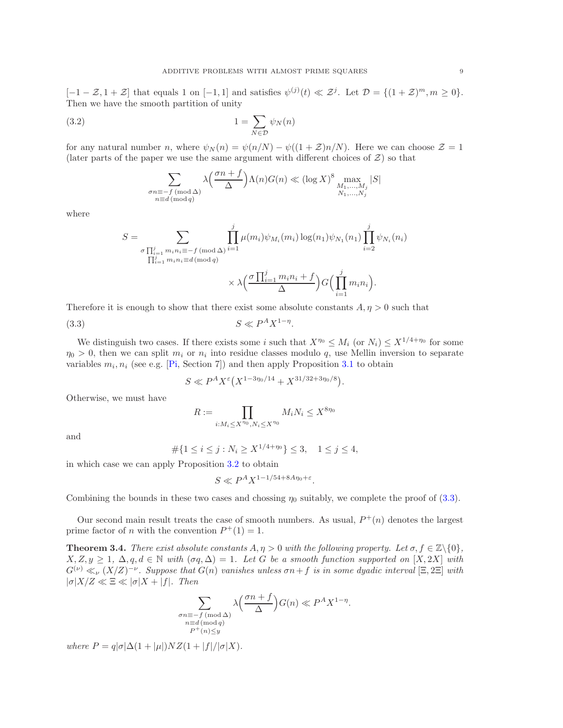$[-1-\mathcal{Z}, 1+\mathcal{Z}]$  that equals 1 on  $[-1,1]$  and satisfies  $\psi^{(j)}(t) \ll \mathcal{Z}^j$ . Let  $\mathcal{D} = \{(1+\mathcal{Z})^m, m \ge 0\}$ . Then we have the smooth partition of unity

<span id="page-8-2"></span>(3.2) 
$$
1 = \sum_{N \in \mathcal{D}} \psi_N(n)
$$

for any natural number n, where  $\psi_N(n) = \psi(n/N) - \psi((1+\mathcal{Z})n/N)$ . Here we can choose  $\mathcal{Z} = 1$ (later parts of the paper we use the same argument with different choices of  $\mathcal{Z}$ ) so that

$$
\sum_{\substack{\sigma n \equiv -f \, (\text{mod}\,\Delta) \\ n \equiv d \, (\text{mod}\,q)}} \lambda \left(\frac{\sigma n + f}{\Delta}\right) \Lambda(n) G(n) \ll \left(\log X\right)^8 \max_{\substack{M_1, \dots, M_j \\ N_1, \dots, N_j}} |S|
$$

where

$$
S = \sum_{\substack{\sigma \prod_{i=1}^j m_i n_i \equiv -f \pmod{\Delta} \\ \prod_{i=1}^j m_i n_i \equiv d \pmod{q}}} \prod_{i=1}^j \mu(m_i) \psi_{M_i}(m_i) \log(n_1) \psi_{N_1}(n_1) \prod_{i=2}^j \psi_{N_i}(n_i)
$$

$$
\times \lambda \left( \frac{\sigma \prod_{i=1}^j m_i n_i + f}{\Delta} \right) G \left( \prod_{i=1}^j m_i n_i \right).
$$

Therefore it is enough to show that there exist some absolute constants  $A, \eta > 0$  such that

<span id="page-8-1"></span>
$$
(3.3) \t\t S \ll P^A X^{1-\eta}.
$$

We distinguish two cases. If there exists some i such that  $X^{\eta_0} \leq M_i$  (or  $N_i$ )  $\leq X^{1/4+\eta_0}$  for some  $\eta_0 > 0$ , then we can split  $m_i$  or  $n_i$  into residue classes modulo q, use Mellin inversion to separate variables  $m_i, n_i$  (see e.g. [\[Pi,](#page-49-9) Section 7]) and then apply Proposition [3.1](#page-7-2) to obtain

$$
S \ll P^{A} X^{\varepsilon} (X^{1-3\eta_0/14} + X^{31/32+3\eta_0/8}).
$$

Otherwise, we must have

$$
R := \prod_{i:M_i \le X^{\eta_0}, N_i \le X^{\eta_0}} M_i N_i \le X^{8\eta_0}
$$

and

$$
\#\{1 \le i \le j : N_i \ge X^{1/4 + \eta_0}\} \le 3, \quad 1 \le j \le 4,
$$

in which case we can apply Proposition [3.2](#page-7-3) to obtain

$$
S \ll P^A X^{1-1/54+8A\eta_0+\varepsilon}.
$$

Combining the bounds in these two cases and chossing  $\eta_0$  suitably, we complete the proof of [\(3.3\)](#page-8-1).

Our second main result treats the case of smooth numbers. As usual,  $P^+(n)$  denotes the largest prime factor of *n* with the convention  $P^+(1) = 1$ .

<span id="page-8-0"></span>**Theorem 3.4.** There exist absolute constants  $A, \eta > 0$  with the following property. Let  $\sigma, f \in \mathbb{Z}\backslash\{0\}$ ,  $X, Z, y \geq 1$ ,  $\Delta, q, d \in \mathbb{N}$  with  $(\sigma q, \Delta) = 1$ . Let G be a smooth function supported on  $[X, 2X]$  with  $G^{(\nu)} \ll_{\nu} (X/Z)^{-\nu}$ . Suppose that  $G(n)$  vanishes unless  $\sigma n+f$  is in some dyadic interval  $[\Xi,2\Xi]$  with  $|\sigma|X/Z \ll \Xi \ll |\sigma|X + |f|$ . Then

$$
\sum_{\substack{\sigma n \equiv -f \, (\text{mod }\Delta) \\ n \equiv d \, (\text{mod } q) \\ P^+(n) \leq y}} \lambda \left( \frac{\sigma n + f}{\Delta} \right) G(n) \ll P^A X^{1-\eta}.
$$

where  $P = q|\sigma|\Delta(1+|\mu|)NZ(1+|f|/|\sigma|X)$ .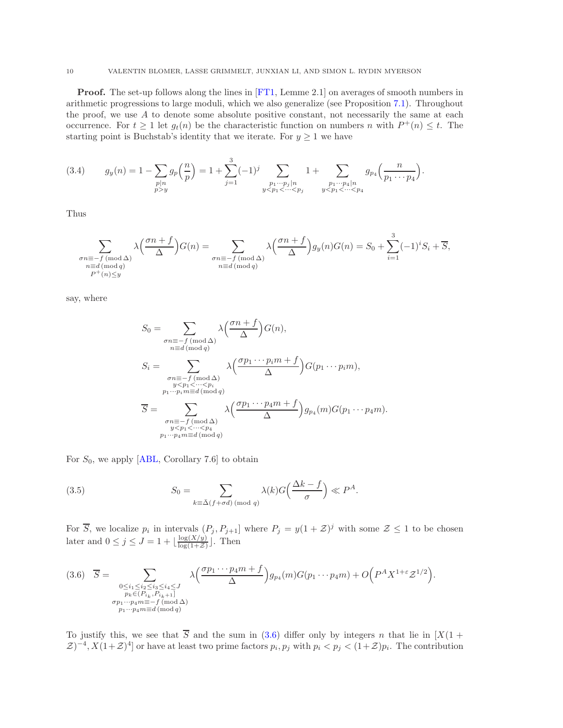**Proof.** The set-up follows along the lines in [\[FT1,](#page-48-11) Lemme 2.1] on averages of smooth numbers in arithmetic progressions to large moduli, which we also generalize (see Proposition [7.1\)](#page-24-0). Throughout the proof, we use  $A$  to denote some absolute positive constant, not necessarily the same at each occurrence. For  $t \geq 1$  let  $g_t(n)$  be the characteristic function on numbers n with  $P^+(n) \leq t$ . The starting point is Buchstab's identity that we iterate. For  $y \geq 1$  we have

<span id="page-9-2"></span>(3.4) 
$$
g_y(n) = 1 - \sum_{\substack{p|n \ p>y}} g_p\left(\frac{n}{p}\right) = 1 + \sum_{j=1}^3 (-1)^j \sum_{\substack{p_1 \cdots p_j|n \ y < p_1 < \cdots < p_j}} 1 + \sum_{\substack{p_1 \cdots p_4|n \ y < p_1 < \cdots < p_4}} g_{p_4}\left(\frac{n}{p_1 \cdots p_4}\right).
$$

Thus

$$
\sum_{\substack{\sigma n \equiv -f \pmod{\Delta} \\ n \equiv d \pmod{q} \\ P^+(n) \le y}} \lambda \left(\frac{\sigma n + f}{\Delta}\right) G(n) = \sum_{\substack{\sigma n \equiv -f \pmod{\Delta} \\ n \equiv d \pmod{q}}} \lambda \left(\frac{\sigma n + f}{\Delta}\right) g_y(n) G(n) = S_0 + \sum_{i=1}^3 (-1)^i S_i + \overline{S},
$$

say, where

$$
S_0 = \sum_{\substack{\sigma n \equiv -f \pmod{\Delta} \\ n \equiv d \pmod{q} \\ y < p_1 < \cdots < p_i \\ \sigma n \equiv -f \pmod{\Delta} \\ p_1 \cdots p_i m \equiv d \pmod{q} \\ \overline{S} = \sum_{\substack{\sigma n \equiv -f \pmod{\Delta} \\ p_1 \cdots p_i m \equiv d \pmod{q} \\ y < p_1 < \cdots < p_i \\ p_1 \cdots p_i m \equiv d \pmod{q} \\ \overline{S} = \sum_{\substack{\sigma n \equiv -f \pmod{\Delta} \\ y < p_1 < \cdots < p_4 \\ p_1 \cdots p_i m \equiv d \pmod{q} \\ \overline{S} = \pmod{\Delta} \\ p_1 \cdots p_i m \equiv d \pmod{q}} P_1 \cdots P_4 m + f \quad P_5 \cdots P_6 m \equiv d \pmod{q}}
$$

For  $S_0$ , we apply [\[ABL,](#page-48-2) Corollary 7.6] to obtain

<span id="page-9-1"></span>(3.5) 
$$
S_0 = \sum_{k \equiv \bar{\Delta}(f + \sigma d) \pmod{q}} \lambda(k) G\left(\frac{\Delta k - f}{\sigma}\right) \ll P^A.
$$

For  $\overline{S}$ , we localize  $p_i$  in intervals  $(P_j, P_{j+1}]$  where  $P_j = y(1 + \mathcal{Z})^j$  with some  $\mathcal{Z} \leq 1$  to be chosen later and  $0 \leq j \leq J = 1 + \lfloor \frac{\log(X/y)}{\log(1+\mathcal{Z})} \rfloor$  $\frac{\log(\Lambda/y)}{\log(1+\mathcal{Z})}$ . Then

<span id="page-9-0"></span>
$$
(3.6) \quad \overline{S} = \sum_{\substack{0 \le i_1 \le i_2 \le i_3 \le i_4 \le J \\ p_k \in (P_{i_k}, P_{i_k+1}] \\ \sigma p_1 \cdots p_4 m \equiv -f \pmod{\Delta} \\ p_1 \cdots p_4 m \equiv d \pmod{q}}} \lambda \left( \frac{\sigma p_1 \cdots p_4 m + f}{\Delta} \right) g_{p_4}(m) G(p_1 \cdots p_4 m) + O\left( P^A X^{1+\varepsilon} \mathcal{Z}^{1/2} \right).
$$

To justify this, we see that  $\overline{S}$  and the sum in [\(3.6\)](#page-9-0) differ only by integers n that lie in [X(1 +  $(\mathcal{Z})^{-4}, X(1+\mathcal{Z})^4$  or have at least two prime factors  $p_i, p_j$  with  $p_i < p_j < (1+\mathcal{Z})p_i$ . The contribution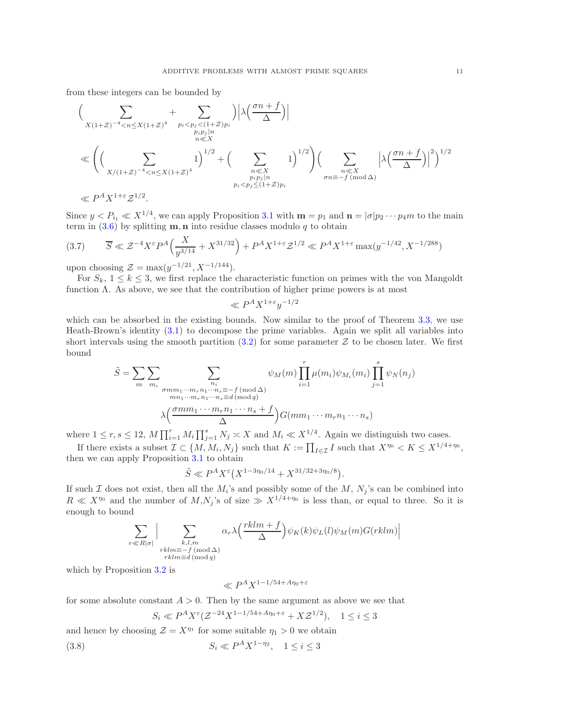from these integers can be bounded by

$$
\left(\sum_{\substack{X(1+Z)^{-4} < n \le X(1+Z)^4}} + \sum_{\substack{p_i < p_j < (1+Z)p_i \\ p_i p_j \mid n}} \right) \left| \lambda \left( \frac{\sigma n + f}{\Delta} \right) \right|
$$
\n
$$
\ll \left( \left(\sum_{\substack{X/(1+Z)^{-4} < n \le X(1+Z)^4}} 1 \right)^{1/2} + \left(\sum_{\substack{n \ll X \\ p_i p_j \mid n}} 1 \right)^{1/2} \right) \left( \sum_{\substack{n \ll X \\ p_i p_j \mid n}} \left| \lambda \left( \frac{\sigma n + f}{\Delta} \right) \right|^2 \right)^{1/2}
$$
\n
$$
\ll \left( \left( \sum_{\substack{X/(1+Z)^{-4} < n \le X(1+Z)^4 \\ p_i p_j \mid n}} 1 \right)^{1/2} + \left( \sum_{\substack{n \ll X \\ p_i p_j \le (1+Z)p_i}} 1 \right)^{1/2} \right) \left( \sum_{\substack{n \ll X \\ \sigma n \equiv -f \pmod{\Delta}}} \left| \lambda \left( \frac{\sigma n + f}{\Delta} \right) \right|^2 \right)^{1/2}
$$

 $\ll P^A X^{1+\varepsilon} \mathcal{Z}^{1/2}.$ 

Since  $y < P_{i_1} \ll X^{1/4}$ , we can apply Proposition [3.1](#page-7-2) with  $\mathbf{m} = p_1$  and  $\mathbf{n} = |\sigma| p_2 \cdots p_4 m$  to the main term in  $(3.6)$  by splitting **m**, **n** into residue classes modulo q to obtain

<span id="page-10-0"></span>
$$
(3.7) \qquad \overline{S} \ll \mathcal{Z}^{-4} X^{\varepsilon} P^A \Big( \frac{X}{y^{3/14}} + X^{31/32} \Big) + P^A X^{1+\varepsilon} \mathcal{Z}^{1/2} \ll P^A X^{1+\varepsilon} \max(y^{-1/42}, X^{-1/288})
$$

upon choosing  $\mathcal{Z} = \max(y^{-1/21}, X^{-1/144}).$ 

For  $S_k$ ,  $1 \leq k \leq 3$ , we first replace the characteristic function on primes with the von Mangoldt function  $\Lambda$ . As above, we see that the contribution of higher prime powers is at most

$$
\ll P^A X^{1+\varepsilon} y^{-1/2}
$$

which can be absorbed in the existing bounds. Now similar to the proof of Theorem [3.3,](#page-8-1) we use Heath-Brown's identity [\(3.1\)](#page-7-4) to decompose the prime variables. Again we split all variables into short intervals using the smooth partition  $(3.2)$  for some parameter  $\mathcal Z$  to be chosen later. We first bound

$$
\tilde{S} = \sum_{m} \sum_{m_i} \sum_{\substack{m_i \text{ sum} \dots m_r n_1 \cdots n_s \equiv -f \pmod{\Delta} \\ mn_1 \cdots m_r n_1 \cdots n_s \equiv d \pmod{q} \\ \lambda \left(\frac{\sigma m m_1 \cdots m_r n_1 \cdots n_s + f}{\Delta}\right) G \left(m m_1 \cdots m_r n_1 \cdots n_s\right)}
$$

where  $1 \le r, s \le 12$ ,  $M \prod_{i=1}^{r} M_i \prod_{j=1}^{s} N_j \asymp X$  and  $M_i \ll X^{1/4}$ . Again we distinguish two cases.

If there exists a subset  $\mathcal{I} \subset \{M, M_i, N_j\}$  such that  $K := \prod_{I \in \mathcal{I}} I$  such that  $X^{\eta_0} < K \leq X^{1/4 + \eta_0}$ , then we can apply Proposition [3.1](#page-7-2) to obtain

$$
\tilde{S} \ll P^A X^{\varepsilon} (X^{1-3\eta_0/14} + X^{31/32+3\eta_0/8}).
$$

If such I does not exist, then all the  $M_i$ 's and possibly some of the  $M$ ,  $N_j$ 's can be combined into  $R \ll X^{\eta_0}$  and the number of  $M, N_j$ 's of size  $\gg X^{1/4+\eta_0}$  is less than, or equal to three. So it is enough to bound

$$
\sum_{\substack{r \ll R|\sigma| \\ rklm \equiv -f \pmod{\Delta} \\ rklm \equiv d \pmod{q}}} \alpha_r \lambda\left(\frac{rklm+f}{\Delta}\right) \psi_K(k) \psi_L(l) \psi_M(m) G(rklm) \Big|
$$

which by Proposition [3.2](#page-7-3) is

$$
\ll P^A X^{1-1/54 + A\eta_0 + \varepsilon}
$$

for some absolute constant  $A > 0$ . Then by the same argument as above we see that

$$
S_i \ll P^A X^{\varepsilon} (Z^{-24} X^{1-1/54 + A\eta_0 + \varepsilon} + X Z^{1/2}), \quad 1 \le i \le 3
$$

and hence by choosing  $\mathcal{Z} = X^{\eta_1}$  for some suitable  $\eta_1 > 0$  we obtain

<span id="page-10-1"></span>(3.8) 
$$
S_i \ll P^A X^{1-\eta_2}, \quad 1 \le i \le 3
$$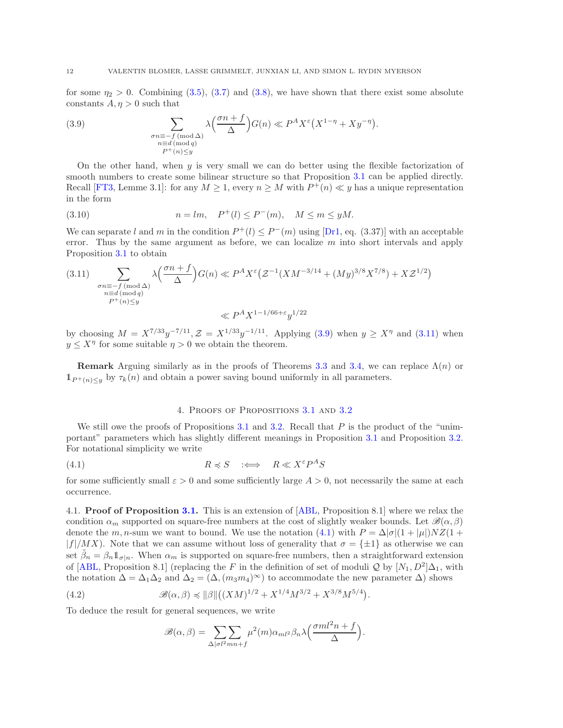for some  $\eta_2 > 0$ . Combining [\(3.5\)](#page-9-1), [\(3.7\)](#page-10-0) and [\(3.8\)](#page-10-1), we have shown that there exist some absolute constants  $A, \eta > 0$  such that

<span id="page-11-1"></span>(3.9) 
$$
\sum_{\substack{\sigma n \equiv -f \pmod{\Delta} \\ n \equiv d \pmod{q} \\ P^+(n) \le y}} \lambda \left(\frac{\sigma n + f}{\Delta}\right) G(n) \ll P^A X^{\varepsilon} \left(X^{1-\eta} + X y^{-\eta}\right).
$$

On the other hand, when  $y$  is very small we can do better using the flexible factorization of smooth numbers to create some bilinear structure so that Proposition [3.1](#page-7-2) can be applied directly. Recall [\[FT3,](#page-48-10) Lemme 3.1]: for any  $M \geq 1$ , every  $n \geq M$  with  $P^+(n) \ll y$  has a unique representation in the form

<span id="page-11-5"></span>(3.10) 
$$
n = lm, \quad P^+(l) \le P^-(m), \quad M \le m \le yM.
$$

We can separate l and m in the condition  $P^+(l) \leq P^-(m)$  using [\[Dr1,](#page-48-12) eq. (3.37)] with an acceptable error. Thus by the same argument as before, we can localize  $m$  into short intervals and apply Proposition [3.1](#page-7-2) to obtain

<span id="page-11-2"></span>
$$
(3.11) \sum_{\substack{\sigma n \equiv -f \pmod{\Delta} \\ n \equiv d \pmod{q} \\ P^+(n) \le y}} \lambda \left( \frac{\sigma n + f}{\Delta} \right) G(n) \ll P^A X^{\varepsilon} \left( \mathcal{Z}^{-1} (X M^{-3/14} + (My)^{3/8} X^{7/8}) + X \mathcal{Z}^{1/2} \right)
$$

by choosing  $M = X^{7/33}y^{-7/11}, \mathcal{Z} = X^{1/33}y^{-1/11}$ . Applying [\(3.9\)](#page-11-1) when  $y \ge X^{\eta}$  and [\(3.11\)](#page-11-2) when  $y \leq X^{\eta}$  for some suitable  $\eta > 0$  we obtain the theorem.

**Remark** Arguing similarly as in the proofs of Theorems [3.3](#page-7-1) and [3.4,](#page-8-0) we can replace  $\Lambda(n)$  or  $1_{P^+(n)\leq y}$  by  $\tau_k(n)$  and obtain a power saving bound uniformly in all parameters.

# 4. Proofs of Propositions [3.1](#page-7-2) and [3.2](#page-7-3)

<span id="page-11-0"></span>We still owe the proofs of Propositions [3.1](#page-7-2) and [3.2.](#page-7-3) Recall that  $P$  is the product of the "unimportant" parameters which has slightly different meanings in Proposition [3.1](#page-7-2) and Proposition [3.2.](#page-7-3) For notational simplicity we write

<span id="page-11-3"></span>(4.1) 
$$
R \preccurlyeq S \iff R \ll X^{\varepsilon} P^{A} S
$$

for some sufficiently small  $\varepsilon > 0$  and some sufficiently large  $A > 0$ , not necessarily the same at each occurrence.

4.1. Proof of Proposition [3.1.](#page-7-2) This is an extension of [\[ABL,](#page-48-2) Proposition 8.1] where we relax the condition  $\alpha_m$  supported on square-free numbers at the cost of slightly weaker bounds. Let  $\mathscr{B}(\alpha,\beta)$ denote the m, n-sum we want to bound. We use the notation [\(4.1\)](#page-11-3) with  $P = \Delta |\sigma|(1 + |\mu|)NZ(1 +$  $|f|/MX$ ). Note that we can assume without loss of generality that  $\sigma = {\pm 1}$  as otherwise we can set  $\tilde{\beta}_n = \beta_n \mathbb{1}_{\sigma|n}$ . When  $\alpha_m$  is supported on square-free numbers, then a straightforward extension of [\[ABL,](#page-48-2) Proposition 8.1] (replacing the F in the definition of set of moduli Q by  $[N_1, D^2] \Delta_1$ , with the notation  $\Delta = \Delta_1 \Delta_2$  and  $\Delta_2 = (\Delta, (m_3m_4)^{\infty})$  to accommodate the new parameter  $\Delta$ ) shows

<span id="page-11-4"></span>(4.2) 
$$
\mathscr{B}(\alpha,\beta) \preccurlyeq \|\beta\| \big((XM)^{1/2} + X^{1/4}M^{3/2} + X^{3/8}M^{5/4}\big).
$$

To deduce the result for general sequences, we write

$$
\mathscr{B}(\alpha,\beta) = \sum_{\Delta|\sigma^2 m n + f} \mu^2(m) \alpha_{ml^2} \beta_n \lambda \left(\frac{\sigma m l^2 n + f}{\Delta}\right).
$$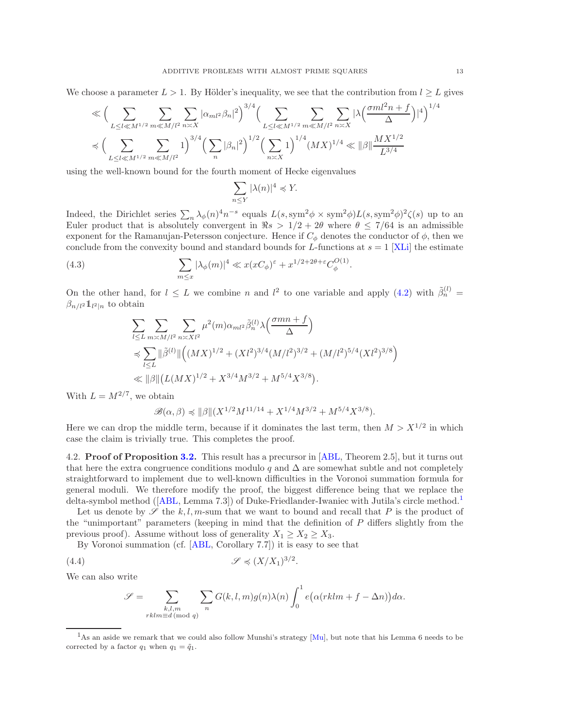We choose a parameter  $L > 1$ . By Hölder's inequality, we see that the contribution from  $l \geq L$  gives

$$
\ll \Big( \sum_{L \leq l \ll M^{1/2}} \sum_{m \ll M/l^2} \sum_{n \asymp X} |\alpha_{ml^2} \beta_n|^2 \Big)^{3/4} \Big( \sum_{L \leq l \ll M^{1/2}} \sum_{m \ll M/l^2} \sum_{n \asymp X} |\lambda \left( \frac{\sigma m l^2 n + f}{\Delta} \right)|^4 \Big)^{1/4} \nonumber \\ \lesssim \Big( \sum_{L \leq l \ll M^{1/2}} \sum_{m \ll M/l^2} \sum_{m \ll M/l^2} |\lambda \left( \sum_{n} |\beta_n|^2 \right)^{1/2} \Big( \sum_{n \asymp X} 1 \Big)^{1/4} (MX)^{1/4} \ll \|\beta\| \frac{MX^{1/2}}{L^{3/4}} \nonumber
$$

using the well-known bound for the fourth moment of Hecke eigenvalues

$$
\sum_{n\leq Y}|\lambda(n)|^4\preccurlyeq Y.
$$

Indeed, the Dirichlet series  $\sum_n \lambda_\phi(n)^4 n^{-s}$  equals  $L(s, \text{sym}^2 \phi \times \text{sym}^2 \phi) L(s, \text{sym}^2 \phi)^2 \zeta(s)$  up to an Euler product that is absolutely convergent in  $\Re s > 1/2 + 2\theta$  where  $\theta \le 7/64$  is an admissible exponent for the Ramanujan-Petersson conjecture. Hence if  $C_{\phi}$  denotes the conductor of  $\phi$ , then we conclude from the convexity bound and standard bounds for L-functions at  $s = 1$  [\[XLi\]](#page-49-10) the estimate

<span id="page-12-2"></span>(4.3) 
$$
\sum_{m \leq x} |\lambda_{\phi}(m)|^4 \ll x (x C_{\phi})^{\varepsilon} + x^{1/2 + 2\theta + \varepsilon} C_{\phi}^{O(1)}.
$$

On the other hand, for  $l \leq L$  we combine n and  $l^2$  to one variable and apply [\(4.2\)](#page-11-4) with  $\tilde{\beta}_n^{(l)} =$  $\beta_{n/l^2} \mathbb{1}_{l^2|n}$  to obtain

$$
\sum_{l \le L} \sum_{m \asymp M/l^2} \sum_{n \asymp Xl^2} \mu^2(m) \alpha_{ml^2} \tilde{\beta}_n^{(l)} \lambda\left(\frac{\sigma mn + f}{\Delta}\right)
$$
  
\$\preccurlyeq \sum\_{l \le L} ||\tilde{\beta}^{(l)}|| \left( (MX)^{1/2} + (Xl^2)^{3/4} (M/l^2)^{3/2} + (M/l^2)^{5/4} (Xl^2)^{3/8} \right)\$  
\$\ll ||\beta|| \left( L(MX)^{1/2} + X^{3/4} M^{3/2} + M^{5/4} X^{3/8} \right).

With  $L = M^{2/7}$ , we obtain

$$
\mathcal{B}(\alpha, \beta) \preccurlyeq ||\beta|| (X^{1/2} M^{11/14} + X^{1/4} M^{3/2} + M^{5/4} X^{3/8}).
$$

Here we can drop the middle term, because if it dominates the last term, then  $M > X^{1/2}$  in which case the claim is trivially true. This completes the proof.

4.2. Proof of Proposition [3.2.](#page-7-3) This result has a precursor in [\[ABL,](#page-48-2) Theorem 2.5], but it turns out that here the extra congruence conditions modulo q and  $\Delta$  are somewhat subtle and not completely straightforward to implement due to well-known difficulties in the Voronoi summation formula for general moduli. We therefore modify the proof, the biggest difference being that we replace the delta-symbol method ([\[ABL,](#page-48-2) Lemma 7.3]) of Duke-Friedlander-Iwaniec with Jutila's circle method.<sup>[1](#page-12-0)</sup>

Let us denote by  $\mathscr S$  the k, l, m-sum that we want to bound and recall that P is the product of the "unimportant" parameters (keeping in mind that the definition of  $P$  differs slightly from the previous proof). Assume without loss of generality  $X_1 \geq X_2 \geq X_3$ .

By Voronoi summation (cf. [\[ABL,](#page-48-2) Corollary 7.7]) it is easy to see that

<span id="page-12-1"></span>
$$
(4.4) \t\t \mathscr{S} \preccurlyeq (X/X_1)^{3/2}.
$$

We can also write

$$
\mathcal{S} = \sum_{\substack{k,l,m \ kklm \equiv d \pmod{q}}} \sum_{n} G(k,l,m)g(n)\lambda(n) \int_{0}^{1} e(\alpha(rklm + f - \Delta n))d\alpha.
$$

<span id="page-12-0"></span> $1<sup>1</sup>$ As an aside we remark that we could also follow Munshi's strategy [\[Mu\]](#page-49-11), but note that his Lemma 6 needs to be corrected by a factor  $q_1$  when  $q_1 = \tilde{q}_1$ .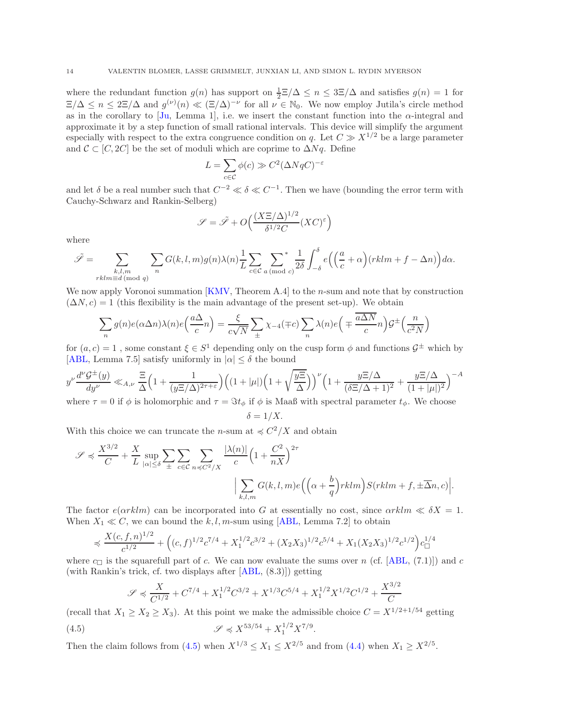where the redundant function  $g(n)$  has support on  $\frac{1}{2} \mathbb{E}/\Delta \leq n \leq 3 \mathbb{E}/\Delta$  and satisfies  $g(n) = 1$  for  $\Xi/\Delta \leq n \leq 2\Xi/\Delta$  and  $g^{(\nu)}(n) \ll (\Xi/\Delta)^{-\nu}$  for all  $\nu \in \mathbb{N}_0$ . We now employ Jutila's circle method as in the corollary to [\[Ju,](#page-49-12) Lemma 1], i.e. we insert the constant function into the  $\alpha$ -integral and approximate it by a step function of small rational intervals. This device will simplify the argument especially with respect to the extra congruence condition on q. Let  $C \gg X^{1/2}$  be a large parameter and  $\mathcal{C} \subset [C, 2C]$  be the set of moduli which are coprime to  $\Delta Nq$ . Define

$$
L = \sum_{c \in \mathcal{C}} \phi(c) \gg C^2 (\Delta N q C)^{-\varepsilon}
$$

and let  $\delta$  be a real number such that  $C^{-2} \ll \delta \ll C^{-1}$ . Then we have (bounding the error term with Cauchy-Schwarz and Rankin-Selberg)

$$
\mathcal{S} = \tilde{\mathcal{S}} + O\left(\frac{(X\Xi/\Delta)^{1/2}}{\delta^{1/2}C}(XC)^{\varepsilon}\right)
$$

where

$$
\tilde{\mathscr{S}} = \sum_{\substack{k,l,m\\rklm \equiv d \pmod{q}}} \sum_n G(k,l,m)g(n)\lambda(n) \frac{1}{L} \sum_{c \in \mathcal{C}} \sum_{a \pmod{c}}^* \frac{1}{2\delta} \int_{-\delta}^{\delta} e\Big(\Big(\frac{a}{c}+\alpha\Big)(rklm+f-\Delta n)\Big) d\alpha.
$$

We now apply Voronoi summation [\[KMV,](#page-49-13) Theorem A.4] to the *n*-sum and note that by construction  $(\Delta N, c) = 1$  (this flexibility is the main advantage of the present set-up). We obtain

$$
\sum_{n} g(n)e(\alpha \Delta n)\lambda(n)e\left(\frac{a\Delta}{c}n\right) = \frac{\xi}{c\sqrt{N}}\sum_{\pm}\chi_{-4}(\mp c)\sum_{n}\lambda(n)e\left(\mp \frac{\overline{a\Delta N}}{c}n\right)\mathcal{G}^{\pm}\left(\frac{n}{c^2N}\right)
$$

for  $(a, c) = 1$ , some constant  $\xi \in S^1$  depending only on the cusp form  $\phi$  and functions  $\mathcal{G}^{\pm}$  which by [\[ABL,](#page-48-2) Lemma 7.5] satisfy uniformly in  $|\alpha| \leq \delta$  the bound

$$
y^{\nu} \frac{d^{\nu} \mathcal{G}^{\pm}(y)}{dy^{\nu}} \ll_{A,\nu} \frac{\Xi}{\Delta} \Big( 1 + \frac{1}{(y \Xi/\Delta)^{2\tau + \varepsilon}} \Big) \Big( (1 + |\mu|) \Big( 1 + \sqrt{\frac{y \Xi}{\Delta}} \Big) \Big)^{\nu} \Big( 1 + \frac{y \Xi/\Delta}{(\delta \Xi/\Delta + 1)^2} + \frac{y \Xi/\Delta}{(1 + |\mu|)^2} \Big)^{-A}
$$

where  $\tau = 0$  if  $\phi$  is holomorphic and  $\tau = \Im t_{\phi}$  if  $\phi$  is Maaß with spectral parameter  $t_{\phi}$ . We choose  $\delta = 1/X.$ 

With this choice we can truncate the *n*-sum at  $\leq C^2/X$  and obtain

$$
\mathscr{S} \preccurlyeq \frac{X^{3/2}}{C} + \frac{X}{L} \sup_{|\alpha| \le \delta} \sum_{\pm} \sum_{c \in \mathcal{C}} \sum_{n \preccurlyeq C^2/X} \frac{|\lambda(n)|}{c} \left(1 + \frac{C^2}{nX}\right)^{2\tau} \Big| \sum_{k,l,m} G(k,l,m) e\left(\left(\alpha + \frac{b}{q}\right) r k l m\right) S(r k l m + f, \pm \overline{\Delta} n, c)\Big|.
$$

The factor  $e(\alpha r k l m)$  can be incorporated into G at essentially no cost, since  $\alpha r k l m \ll \delta X = 1$ . When  $X_1 \ll C$ , we can bound the k, l, m-sum using [\[ABL,](#page-48-2) Lemma 7.2] to obtain

$$
\preccurlyeq \frac{X(c, f, n)^{1/2}}{c^{1/2}} + \left( (c, f)^{1/2} c^{7/4} + X_1^{1/2} c^{3/2} + (X_2 X_3)^{1/2} c^{5/4} + X_1 (X_2 X_3)^{1/2} c^{1/2} \right) c_{\Box}^{1/4}
$$

where  $c_{\Box}$  is the squarefull part of c. We can now evaluate the sums over n (cf. [\[ABL,](#page-48-2) (7.1)]) and c (with Rankin's trick, cf. two displays after [\[ABL,](#page-48-2) (8.3)]) getting

$$
\mathcal{S} \preccurlyeq \frac{X}{C^{1/2}} + C^{7/4} + X_1^{1/2} C^{3/2} + X^{1/3} C^{5/4} + X_1^{1/2} X^{1/2} C^{1/2} + \frac{X^{3/2}}{C}
$$

<span id="page-13-0"></span>(recall that  $X_1 \ge X_2 \ge X_3$ ). At this point we make the admissible choice  $C = X^{1/2+1/54}$  getting (4.5)  $\mathscr{S} \preccurlyeq X^{53/54} + X_1^{1/2} X^{7/9}.$ 

Then the claim follows from  $(4.5)$  when  $X^{1/3} \le X_1 \le X^{2/5}$  and from  $(4.4)$  when  $X_1 \ge X^{2/5}$ .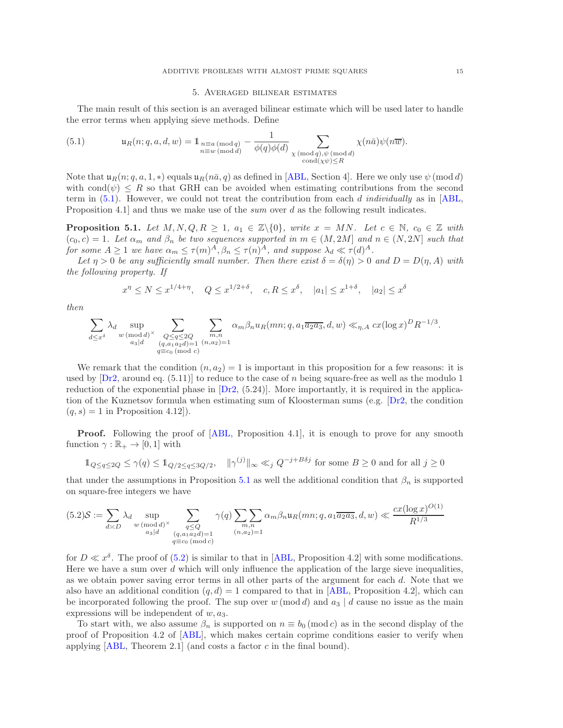## 5. Averaged bilinear estimates

<span id="page-14-1"></span>The main result of this section is an averaged bilinear estimate which will be used later to handle the error terms when applying sieve methods. Define

<span id="page-14-2"></span>(5.1) 
$$
\mathfrak{u}_R(n;q,a,d,w) = \mathbb{1}_{\substack{n \equiv a \pmod{q} \\ n \equiv w \pmod{d}}} - \frac{1}{\phi(q)\phi(d)} \sum_{\substack{\chi \pmod{q}, \psi \pmod{d} \\ \text{cond}(\chi\psi) \leq R}} \chi(n\bar{a})\psi(n\overline{w}).
$$

Note that  $u_R(n; q, a, 1, *)$  equals  $u_R(n\bar{a}, q)$  as defined in [\[ABL,](#page-48-2) Section 4]. Here we only use  $\psi \pmod{d}$ with cond $(\psi) \leq R$  so that GRH can be avoided when estimating contributions from the second term in  $(5.1)$ . However, we could not treat the contribution from each d individually as in [\[ABL,](#page-48-2) Proposition 4.1 and thus we make use of the *sum* over d as the following result indicates.

<span id="page-14-0"></span>**Proposition 5.1.** Let  $M, N, Q, R \geq 1$ ,  $a_1 \in \mathbb{Z}\backslash\{0\}$ , write  $x = MN$ . Let  $c \in \mathbb{N}$ ,  $c_0 \in \mathbb{Z}$  with  $(c_0, c) = 1$ . Let  $\alpha_m$  and  $\beta_n$  be two sequences supported in  $m \in (M, 2M]$  and  $n \in (N, 2N]$  such that for some  $A \geq 1$  we have  $\alpha_m \leq \tau(m)^A$ ,  $\beta_n \leq \tau(n)^A$ , and suppose  $\lambda_d \ll \tau(d)^A$ .

Let  $\eta > 0$  be any sufficiently small number. Then there exist  $\delta = \delta(\eta) > 0$  and  $D = D(\eta, A)$  with the following property. If

$$
x^{\eta} \le N \le x^{1/4 + \eta}, \quad Q \le x^{1/2 + \delta}, \quad c, R \le x^{\delta}, \quad |a_1| \le x^{1 + \delta}, \quad |a_2| \le x^{\delta}
$$

then

$$
\sum_{d\leq x^{\delta}}\lambda_d \sup_{\substack{w \pmod{d}^{\times} \\ a_3|d}} \sum_{\substack{Q\leq q \leq 2Q \\ (q, a_1a_2d)=1}} \sum_{\substack{m,n \\ (n,a_2)=1 \\ n \equiv c_0 \pmod{c}}} \alpha_m \beta_n u_R(mn;q,a_1\overline{a_2a_3},d,w) \ll_{\eta,A} cx(\log x)^D R^{-1/3}.
$$

We remark that the condition  $(n, a_2) = 1$  is important in this proposition for a few reasons: it is used by  $[Dr2, around eq. (5.11)]$  to reduce to the case of n being square-free as well as the modulo 1 reduction of the exponential phase in  $[Dr2, (5.24)]$ . More importantly, it is required in the application of the Kuznetsov formula when estimating sum of Kloosterman sums (e.g. [\[Dr2,](#page-48-13) the condition  $(q, s) = 1$  in Proposition 4.12.].

**Proof.** Following the proof of [\[ABL,](#page-48-2) Proposition 4.1], it is enough to prove for any smooth function  $\gamma : \mathbb{R}_+ \to [0,1]$  with

$$
1_{Q \le q \le 2Q} \le \gamma(q) \le 1_{Q/2 \le q \le 3Q/2}, \quad \|\gamma^{(j)}\|_{\infty} \ll_j Q^{-j+B\delta j} \text{ for some } B \ge 0 \text{ and for all } j \ge 0
$$

that under the assumptions in Proposition [5.1](#page-14-0) as well the additional condition that  $\beta_n$  is supported on square-free integers we have

<span id="page-14-3"></span>
$$
(5.2)\mathcal{S} := \sum_{d \asymp D} \lambda_d \sup_{\substack{w \, (\text{mod } d)^\times \\ a_3 | d}} \sum_{\substack{q \le Q \\ (q, a_1 a_2 d) = 1 \\ q \equiv c_0 \, (\text{mod } c)}} \gamma(q) \sum_{\substack{m, n \\ (n, a_2) = 1}} \alpha_m \beta_n \mathfrak{u}_R(mn; q, a_1 \overline{a_2 a_3}, d, w) \ll \frac{cx(\log x)^{O(1)}}{R^{1/3}}
$$

for  $D \ll x^{\delta}$ . The proof of [\(5.2\)](#page-14-3) is similar to that in [\[ABL,](#page-48-2) Proposition 4.2] with some modifications. Here we have a sum over  $d$  which will only influence the application of the large sieve inequalities, as we obtain power saving error terms in all other parts of the argument for each d. Note that we also have an additional condition  $(q, d) = 1$  compared to that in [\[ABL,](#page-48-2) Proposition 4.2], which can be incorporated following the proof. The sup over  $w \pmod{d}$  and  $a_3 \mid d$  cause no issue as the main expressions will be independent of  $w, a_3$ .

To start with, we also assume  $\beta_n$  is supported on  $n \equiv b_0 \pmod{c}$  as in the second display of the proof of Proposition 4.2 of [\[ABL\]](#page-48-2), which makes certain coprime conditions easier to verify when applying  $[ABL, Theorem 2.1]$  (and costs a factor c in the final bound).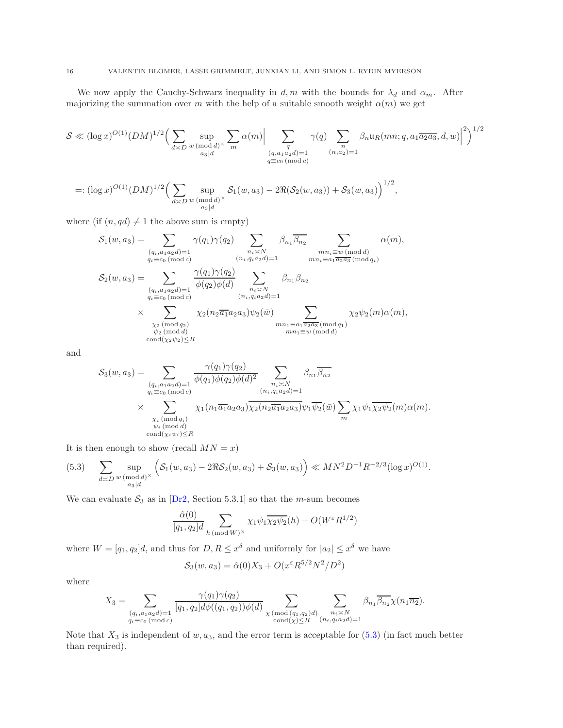We now apply the Cauchy-Schwarz inequality in d, m with the bounds for  $\lambda_d$  and  $\alpha_m$ . After majorizing the summation over m with the help of a suitable smooth weight  $\alpha(m)$  we get

$$
S \ll (\log x)^{O(1)} (DM)^{1/2} \Big( \sum_{d \asymp D} \sup_{\substack{w \pmod{d} \\ a_3 | d}} \sum_{m} \alpha(m) \Big| \sum_{\substack{q \\ (q, a_1 a_2 d) = 1 \\ q \equiv c_0 \pmod{c}}} \gamma(q) \sum_{\substack{n \\ (n, a_2) = 1}} \beta_n \mathfrak{u}_R(mn; q, a_1 \overline{a_2 a_3}, d, w) \Big|^2 \Big)^{1/2}
$$

$$
=:(\log x)^{O(1)}(DM)^{1/2}\Big(\sum_{d\asymp D}\sup_{\substack{w \pmod{d}\\\text{as }|d}}\mathcal{S}_1(w,a_3)-2\Re(\mathcal{S}_2(w,a_3))+\mathcal{S}_3(w,a_3)\Big)^{1/2},
$$

where (if  $(n, qd) \neq 1$  the above sum is empty)

$$
S_1(w, a_3) = \sum_{\substack{(q_i, a_1 a_2 d) = 1 \ q_i \equiv c_0 \, (\text{mod } c)}} \gamma(q_1) \gamma(q_2) \sum_{\substack{n_i \asymp N \ n_i q_i q_2 d} \ge 1} \beta_{n_1} \overline{\beta_{n_2}} \sum_{\substack{mn_i \equiv w \, (\text{mod } d) \ n_i q_i \equiv a_1 \overline{a_2 a_3} \, (\text{mod } q_i)}} \alpha(m),
$$
  

$$
S_2(w, a_3) = \sum_{\substack{(q_i, a_1 a_2 d) = 1 \ q_i \equiv c_0 \, (\text{mod } c)}} \frac{\gamma(q_1) \gamma(q_2)}{\phi(q_2) \phi(d)} \sum_{\substack{n_i \asymp N \ n_i q_i a_2 d} \ge 1} \beta_{n_1} \overline{\beta_{n_2}}
$$
  

$$
\times \sum_{\substack{\chi_2 \, (\text{mod } q_2) \ \psi_2 \, (\text{mod } d) \ \psi_2 \, (\text{mod } d)}} \chi_2(n_2 \overline{a_1} a_2 a_3) \psi_2(\overline{w}) \sum_{\substack{mn_1 \equiv a_1 \overline{a_2 a_3} \, (\text{mod } q_1) \ n_i q_1 \equiv w \, (\text{mod } d)}} \chi_2 \psi_2(m) \alpha(m),
$$

and

$$
S_3(w, a_3) = \sum_{\substack{(q_i, a_1 a_2 d) = 1 \ q_i \equiv c_0 \pmod{c}}} \frac{\gamma(q_1)\gamma(q_2)}{\phi(q_1)\phi(q_2)\phi(d)^2} \sum_{\substack{n_i \asymp N \ n_i, q_i a_2 d) = 1}} \beta_{n_1} \overline{\beta_{n_2}}
$$
  
 
$$
\times \sum_{\substack{\chi_i \pmod{q_i} \ \psi_i \pmod{d} \ \text{cond}(\chi_i \psi_i) \le R}} \chi_1(n_1 \overline{a_1} a_2 a_3) \overline{\chi_2(n_2 \overline{a_1} a_2 a_3)} \psi_1 \overline{\psi_2}(\bar{w}) \sum_m \chi_1 \psi_1 \overline{\chi_2 \psi_2}(m) \alpha(m).
$$

It is then enough to show (recall  $MN = x$ )

<span id="page-15-0"></span>
$$
(5.3) \quad \sum_{d \asymp D} \sup_{\substack{w \pmod{d}^{\times} \\ a_3 | d}} \left( \mathcal{S}_1(w, a_3) - 2\Re \mathcal{S}_2(w, a_3) + \mathcal{S}_3(w, a_3) \right) \ll MN^2 D^{-1} R^{-2/3} (\log x)^{O(1)}.
$$

We can evaluate  $S_3$  as in [\[Dr2,](#page-48-13) Section 5.3.1] so that the *m*-sum becomes

$$
\frac{\hat{\alpha}(0)}{[q_1, q_2]d} \sum_{h \, (\text{mod } W)^\times} \chi_1 \psi_1 \overline{\chi_2 \psi_2}(h) + O(W^{\varepsilon} R^{1/2})
$$

where  $W = [q_1, q_2]d$ , and thus for  $D, R \leq x^{\delta}$  and uniformly for  $|a_2| \leq x^{\delta}$  we have

$$
S_3(w, a_3) = \hat{\alpha}(0)X_3 + O(x^{\varepsilon} R^{5/2} N^2 / D^2)
$$

where

$$
X_3 = \sum_{\substack{(q_i, a_1 a_2 d) = 1 \ q_i \equiv c_0 \, (\text{mod } c)}} \frac{\gamma(q_1)\gamma(q_2)}{[q_1, q_2]d\phi((q_1, q_2))\phi(d)} \sum_{\substack{\chi \, (\text{mod } (q_1, q_2) d) \ \text{cond}(\chi) \leq R}} \sum_{\substack{n_i \asymp N \\ (n_i, q_i a_2 d) = 1}} \beta_{n_1} \overline{\beta_{n_2}} \chi(n_1 \overline{n_2}).
$$

Note that  $X_3$  is independent of  $w, a_3$ , and the error term is acceptable for  $(5.3)$  (in fact much better than required).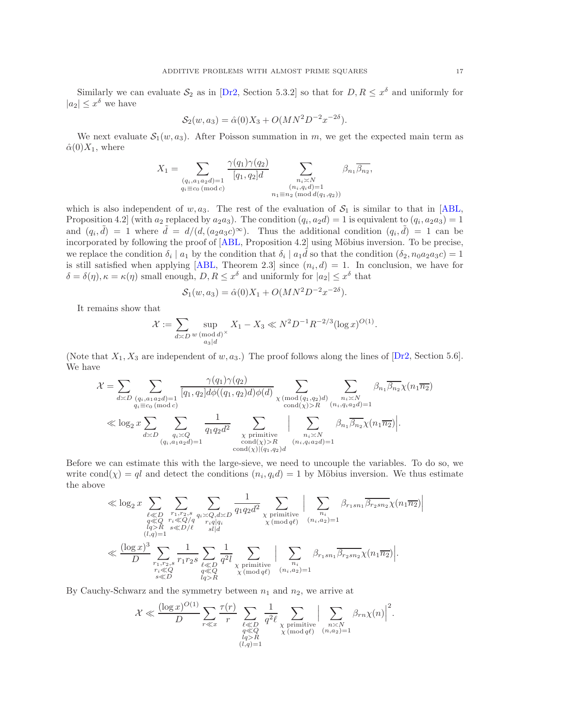Similarly we can evaluate  $S_2$  as in [\[Dr2,](#page-48-13) Section 5.3.2] so that for  $D, R \leq x^{\delta}$  and uniformly for  $|a_2| \leq x^{\delta}$  we have

$$
S_2(w, a_3) = \hat{\alpha}(0)X_3 + O(MN^2D^{-2}x^{-2\delta}).
$$

We next evaluate  $S_1(w, a_3)$ . After Poisson summation in m, we get the expected main term as  $\hat{\alpha}(0)X_1$ , where

$$
X_1 = \sum_{\substack{(q_i, a_1 a_2 d) = 1 \ q_i \equiv c_0 \pmod{c}}} \frac{\gamma(q_1)\gamma(q_2)}{[q_1, q_2]d} \sum_{\substack{n_i \asymp N \ n_i, q_i d) = 1 \ n_1 \equiv n_2 \pmod{d(q_1, q_2)}}} \beta_{n_1} \overline{\beta_{n_2}},
$$

which is also independent of w, a<sub>3</sub>. The rest of the evaluation of  $S_1$  is similar to that in [\[ABL,](#page-48-2) Proposition 4.2 (with  $a_2$  replaced by  $a_2a_3$ ). The condition  $(q_i, a_2d) = 1$  is equivalent to  $(q_i, a_2a_3) = 1$ and  $(q_i, \tilde{d}) = 1$  where  $\tilde{d} = d/(d, (a_2a_3c)^{\infty})$ . Thus the additional condition  $(q_i, \tilde{d}) = 1$  can be incorporated by following the proof of  $[\overline{ABL},]$  Proposition 4.2] using Möbius inversion. To be precise, we replace the condition  $\delta_i \mid a_1$  by the condition that  $\delta_i \mid a_1 \tilde{d}$  so that the condition  $(\delta_2, n_0 a_2 a_3 c) = 1$ is still satisfied when applying [\[ABL,](#page-48-2) Theorem 2.3] since  $(n_i, d) = 1$ . In conclusion, we have for  $\delta = \delta(\eta), \kappa = \kappa(\eta)$  small enough,  $D, R \leq x^{\delta}$  and uniformly for  $|a_2| \leq x^{\delta}$  that

$$
S_1(w, a_3) = \hat{\alpha}(0)X_1 + O(MN^2D^{-2}x^{-2\delta}).
$$

It remains show that

$$
\mathcal{X} := \sum_{d \asymp D} \sup_{\substack{w \pmod{d} \\ a_3 | d}} X_1 - X_3 \ll N^2 D^{-1} R^{-2/3} (\log x)^{O(1)}.
$$

(Note that  $X_1, X_3$  are independent of  $w, a_3$ .) The proof follows along the lines of [\[Dr2,](#page-48-13) Section 5.6]. We have

$$
\mathcal{X} = \sum_{d \asymp D} \sum_{\substack{(q_i, a_1 a_2 d) = 1 \ q_i \equiv c_0 \, (\text{mod } c)}} \frac{\gamma(q_1)\gamma(q_2)}{[q_1, q_2]d\phi((q_1, q_2)d)\phi(d)} \sum_{\substack{\chi \, (\text{mod } (q_1, q_2)d) \, n_i \asymp N \, \text{cond}(\chi) > R \, (\text{mod } (q_1, q_2)d) = 1}} \sum_{\substack{n_i \asymp N \, \text{cond}(\chi) > R \, (\text{mod } (\chi) > R \, (\text{mod } (\chi) > R) \, (\text{mod } (\chi) > R)}} \beta_{n_1} \overline{\beta_{n_2}} \chi(n_1 \overline{n_2})
$$
\n
$$
\ll \log_2 x \sum_{d \asymp D} \sum_{\substack{q_i \asymp Q \, \text{cond}(\chi) > R \, (\text{mod } (\chi) > R \, (\text{mod } (\chi) > R) \, (\text{mod } (\chi) > R) \, (\text{mod } (\chi) > R) \, (\text{mod } (\chi) > \chi) \, (\text{mod } (\chi) > \chi) \, (\text{mod } (\chi) > \chi) \, (\text{mod } (\chi) > \chi) \, (\text{mod } (\chi) > \chi) \, (\text{mod } (\chi) > \chi) \, (\text{mod } (\chi) > \chi) \, (\text{mod } (\chi) > \chi) \, (\text{mod } (\chi) > \chi) \, (\text{mod } (\chi) > \chi) \, (\text{mod } (\chi) > \chi) \, (\text{mod } (\chi) > \chi) \, (\text{mod } (\chi) > \chi) \, (\text{mod } (\chi) > \chi) \, (\text{mod } (\chi) > \chi) \, (\text{mod } (\chi) > \chi) \, (\text{mod } (\chi) > \chi) \, (\text{mod } (\chi) > \chi) \, (\text{mod } (\chi) > \chi) \, (\text{mod } (\chi) > \chi) \, (\text{mod } (\chi) > \chi) \, (\text{mod } (\chi) > \chi) \, (\text{mod } (\chi) > \chi) \, (\text{mod } (\chi) > \chi) \, (\text{
$$

Before we can estimate this with the large-sieve, we need to uncouple the variables. To do so, we write cond $(\chi) = ql$  and detect the conditions  $(n_i, q_i d) = 1$  by Möbius inversion. We thus estimate the above

$$
\ll \log_2 x \sum_{\substack{\ell \ll D \\ q \ll Q \\ l(q)=1}} \sum_{\substack{r_1, r_2, s \\ r_i \ll Q \\ l(q)=1}} \sum_{\substack{q_1, r_2, r_3 \\ q_1 \ll Q \\ r_i \ll Q \\ r_i \ll Q}} \sum_{\substack{q_1, q_2 \ll Q \\ q_1 q_2 \ll Q \\ q_2 \ll Q \\ q_3 \ll Q}} \frac{1}{q_1 q_2 d^2} \sum_{\substack{\chi \text{ primitive} \\ \chi \text{ (mod } q\ell) \\ \chi \text{ (mod } q\ell)}} \Big| \sum_{\substack{n_i \\ (n_i, a_2) = 1 \\ (n_i, a_2) = 1}} \beta_{r_1 s n_1} \overline{\beta_{r_2 s n_2}} \chi(n_1 \overline{n_2}) \Big|
$$
  

$$
\ll \frac{(\log x)^3}{D} \sum_{\substack{r_1, r_2, s \\ r_i \ll Q \\ r_i \ll Q \\ r_i \ll Q}} \frac{1}{q^2 l} \sum_{\substack{\chi \text{ primitive} \\ \chi \text{ (mod } q\ell) \\ \chi \text{ (mod } q\ell) }} \Big| \sum_{\substack{n_i \\ (n_i, a_2) = 1}} \beta_{r_1 s n_1} \overline{\beta_{r_2 s n_2}} \chi(n_1 \overline{n_2}) \Big|.
$$

By Cauchy-Schwarz and the symmetry between  $n_1$  and  $n_2$ , we arrive at

$$
\mathcal{X} \ll \frac{(\log x)^{O(1)}}{D} \sum_{r \ll x} \frac{\tau(r)}{r} \sum_{\substack{\ell \ll D \\ q \ll Q \\ lq > R}} \frac{1}{q^2 \ell} \sum_{\substack{\chi \text{ primitive} \\ \chi \pmod{q\ell} \\ (\ell, q) = 1}} \Big| \sum_{\substack{n \asymp N \\ (n, a_2) = 1}} \beta_{rn} \chi(n) \Big|^2.
$$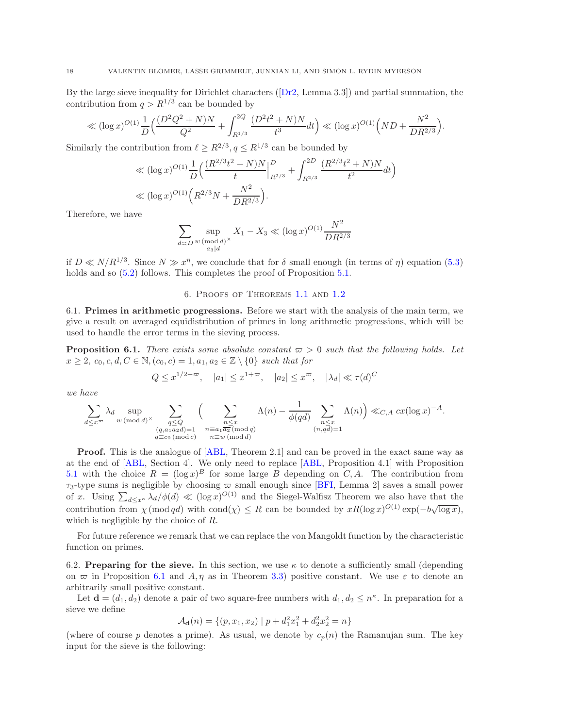By the large sieve inequality for Dirichlet characters ([\[Dr2,](#page-48-13) Lemma 3.3]) and partial summation, the contribution from  $q > R^{1/3}$  can be bounded by

$$
\ll (\log x)^{O(1)} \frac{1}{D} \Big( \frac{(D^2 Q^2 + N)N}{Q^2} + \int_{R^{1/3}}^{2Q} \frac{(D^2 t^2 + N)N}{t^3} dt \Big) \ll (\log x)^{O(1)} \Big( ND + \frac{N^2}{DR^{2/3}} \Big).
$$

Similarly the contribution from  $\ell \geq R^{2/3}, q \leq R^{1/3}$  can be bounded by

$$
\ll (\log x)^{O(1)} \frac{1}{D} \left( \frac{(R^{2/3}t^2 + N)N}{t} \Big|_{R^{2/3}}^D + \int_{R^{2/3}}^{2D} \frac{(R^{2/3}t^2 + N)N}{t^2} dt \right)
$$
  

$$
\ll (\log x)^{O(1)} \left( R^{2/3}N + \frac{N^2}{DR^{2/3}} \right).
$$

Therefore, we have

$$
\sum_{d \asymp D} \sup_{\substack{w \pmod{d}^{\times} \\ a_3 | d}} X_1 - X_3 \ll (\log x)^{O(1)} \frac{N^2}{DR^{2/3}}
$$

<span id="page-17-1"></span>if  $D \ll N/R^{1/3}$ . Since  $N \gg x^{\eta}$ , we conclude that for  $\delta$  small enough (in terms of  $\eta$ ) equation [\(5.3\)](#page-15-0) holds and so  $(5.2)$  follows. This completes the proof of Proposition [5.1.](#page-14-0)

# 6. Proofs of Theorems [1.1](#page-1-0) and [1.2](#page-1-2)

6.1. Primes in arithmetic progressions. Before we start with the analysis of the main term, we give a result on averaged equidistribution of primes in long arithmetic progressions, which will be used to handle the error terms in the sieving process.

<span id="page-17-0"></span>**Proposition 6.1.** There exists some absolute constant  $\varpi > 0$  such that the following holds. Let  $x \geq 2$ ,  $c_0, c, d, C \in \mathbb{N}$ ,  $(c_0, c) = 1, a_1, a_2 \in \mathbb{Z} \setminus \{0\}$  such that for

$$
Q \leq x^{1/2 + \varpi}
$$
,  $|a_1| \leq x^{1 + \varpi}$ ,  $|a_2| \leq x^{\varpi}$ ,  $|\lambda_d| \ll \tau(d)^C$ 

we have

$$
\sum_{d \le x^{\varpi}} \lambda_d \sup_{\substack{w \pmod{d}^{\times} \\ w \pmod{d}^{\times}}} \sum_{\substack{q \le Q \\ (q, a_1 a_2 d) = 1 \\ q \equiv c_0 \pmod{c}}} \Big( \sum_{\substack{n \le x \\ n \equiv a_1 \overline{a_2} \pmod{q} \\ n \equiv w \pmod{d}}} \Lambda(n) - \frac{1}{\phi(qd)} \sum_{\substack{n \le x \\ (n, qd) = 1}} \Lambda(n) \Big) \ll_{C, A} cx(\log x)^{-A}.
$$

Proof. This is the analogue of [\[ABL,](#page-48-2) Theorem 2.1] and can be proved in the exact same way as at the end of [\[ABL,](#page-48-2) Section 4]. We only need to replace [\[ABL,](#page-48-2) Proposition 4.1] with Proposition [5.1](#page-14-0) with the choice  $R = (\log x)^B$  for some large B depending on C, A. The contribution from  $\tau_3$ -type sums is negligible by choosing  $\varpi$  small enough since [\[BFI,](#page-48-14) Lemma 2] saves a small power of x. Using  $\sum_{d\leq x^{k}} \lambda_{d}/\phi(d) \ll (\log x)^{O(1)}$  and the Siegel-Walfisz Theorem we also have that the contribution from  $\chi \pmod{qd}$  with  $\text{cond}(\chi) \leq R$  can be bounded by  $xR(\log x)^{O(1)} \exp(-b\sqrt{\log x}),$ which is negligible by the choice of R.

For future reference we remark that we can replace the von Mangoldt function by the characteristic function on primes.

<span id="page-17-2"></span>6.2. Preparing for the sieve. In this section, we use  $\kappa$  to denote a sufficiently small (depending on  $\bar{\varpi}$  in Proposition [6.1](#page-17-0) and A,  $\eta$  as in Theorem [3.3\)](#page-7-1) positive constant. We use  $\varepsilon$  to denote an arbitrarily small positive constant.

Let  $\mathbf{d} = (d_1, d_2)$  denote a pair of two square-free numbers with  $d_1, d_2 \leq n^{\kappa}$ . In preparation for a sieve we define

$$
\mathcal{A}_{\mathbf{d}}(n) = \{ (p, x_1, x_2) \mid p + d_1^2 x_1^2 + d_2^2 x_2^2 = n \}
$$

(where of course p denotes a prime). As usual, we denote by  $c_p(n)$  the Ramanujan sum. The key input for the sieve is the following: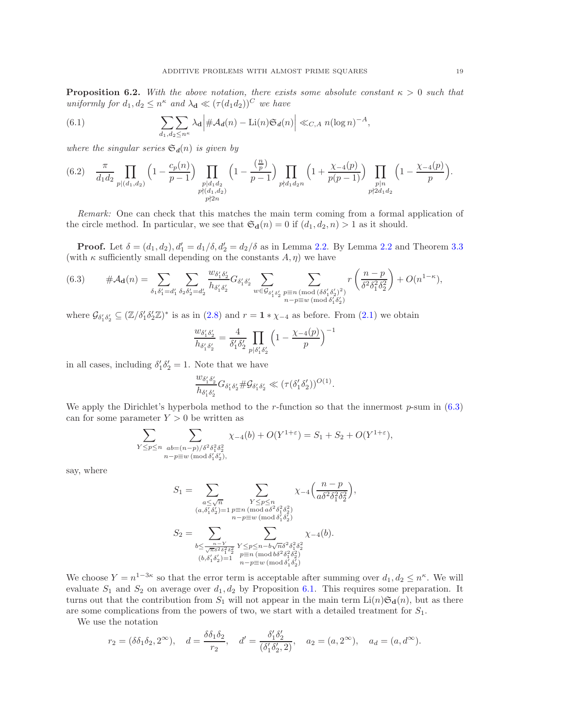<span id="page-18-3"></span>**Proposition 6.2.** With the above notation, there exists some absolute constant  $\kappa > 0$  such that uniformly for  $d_1, d_2 \leq n^{\kappa}$  and  $\lambda_d \ll (\tau(d_1 d_2))^C$  we have

<span id="page-18-1"></span>(6.1) 
$$
\sum_{d_1, d_2 \leq n^{\kappa}} \lambda_{\mathbf{d}} \left| \# \mathcal{A}_{\mathbf{d}}(n) - \text{Li}(n) \mathfrak{S}_{\mathbf{d}}(n) \right| \ll_{C, A} n (\log n)^{-A},
$$

where the singular series  $\mathfrak{S}_d(n)$  is given by

<span id="page-18-2"></span>
$$
(6.2) \quad \frac{\pi}{d_1 d_2} \prod_{\substack{p|(d_1, d_2) \\ p\nmid (d_1, d_2)}} \left(1 - \frac{c_p(n)}{p-1}\right) \prod_{\substack{p|d_1 d_2 \\ p\nmid (d_1, d_2)}} \left(1 - \frac{\left(\frac{n}{p}\right)}{p-1}\right) \prod_{\substack{p\nmid d_1 d_2 n \\ p\nmid d_1 d_2 n}} \left(1 + \frac{\chi_{-4}(p)}{p(p-1)}\right) \prod_{\substack{p|n \\ p\nmid 2d_1 d_2}} \left(1 - \frac{\chi_{-4}(p)}{p}\right).
$$

Remark: One can check that this matches the main term coming from a formal application of the circle method. In particular, we see that  $\mathfrak{S}_{d}(n) = 0$  if  $(d_1, d_2, n) > 1$  as it should.

**Proof.** Let  $\delta = (d_1, d_2), d'_1 = d_1/\delta, d'_2 = d_2/\delta$  as in Lemma [2.2.](#page-5-0) By Lemma [2.2](#page-5-0) and Theorem [3.3](#page-7-1) (with  $\kappa$  sufficiently small depending on the constants  $A, \eta$ ) we have

<span id="page-18-0"></span>(6.3) 
$$
\# \mathcal{A}_{\mathbf{d}}(n) = \sum_{\delta_1 \delta_1' = d_1'} \sum_{\delta_2 \delta_2' = d_2'} \frac{w_{\delta_1'} \delta_2'}{h_{\delta_1' \delta_2'}} G_{\delta_1' \delta_2'} \sum_{w \in \mathcal{G}_{\delta_1' \delta_2'} \sum_{\substack{p \equiv n \pmod{(\delta \delta_1' \delta_2')^2} \\ n-p \equiv w \pmod{\delta_1' \delta_2'}}} r \left( \frac{n-p}{\delta^2 \delta_1^2 \delta_2^2} \right) + O(n^{1-\kappa}),
$$

where  $\mathcal{G}_{\delta'_1 \delta'_2} \subseteq (\mathbb{Z}/\delta'_1 \delta'_2 \mathbb{Z})^*$  is as in [\(2.8\)](#page-5-4) and  $r = 1 * \chi_{-4}$  as before. From [\(2.1\)](#page-4-3) we obtain

$$
\frac{w_{\delta'_1\delta'_2}}{h_{\delta'_1\delta'_2}} = \frac{4}{\delta'_1\delta'_2} \prod_{p|\delta'_1\delta'_2} \left(1 - \frac{\chi_{-4}(p)}{p}\right)^{-1}
$$

in all cases, including  $\delta'_1 \delta'_2 = 1$ . Note that we have

$$
\frac{w_{\delta'_1\delta'_2}}{h_{\delta'_1\delta'_2}}G_{\delta'_1\delta'_2}\#\mathcal{G}_{\delta'_1\delta'_2}\ll(\tau(\delta'_1\delta'_2))^{O(1)}.
$$

We apply the Dirichlet's hyperbola method to the r-function so that the innermost  $p$ -sum in  $(6.3)$ can for some parameter  $Y > 0$  be written as

$$
\sum_{Y\leq p\leq n}\sum_{\substack{ab=(n-p)/\delta^2\delta_1^2\delta_2^2\\ n-p\equiv w\, (\text{mod }\delta_1'\delta_2'),}}\chi_{-4}(b)+O(Y^{1+\varepsilon})=S_1+S_2+O(Y^{1+\varepsilon}),
$$

say, where

$$
S_1 = \sum_{\substack{a \le \sqrt{n} \\ (a, \delta'_1 \delta'_2) = 1}} \sum_{\substack{Y \le p \le n \\ n - p \equiv w \pmod{\delta^2 \delta_1^2 \delta_2^2}}} \chi_{-4}\left(\frac{n - p}{a \delta^2 \delta_1^2 \delta_2^2}\right),
$$
  

$$
S_2 = \sum_{\substack{n - Y \\ b \le \frac{n - Y}{\sqrt{n} \delta^2 \delta_1^2 \delta_2^2}} \sum_{\substack{Y \le p \le n - b\sqrt{n} \delta^2 \delta_1^2 \delta_2^2 \\ p \equiv n \pmod{b^2 \delta_1^2 \delta_2^2}}} \chi_{-4}(b).
$$
  

$$
(b, \delta'_1 \delta'_2) = 1 \sum_{\substack{n - Y \\ n - p \equiv w \pmod{\delta^2 \delta_1^2 \delta_2^2}}} \chi_{-8} \chi_{-9} \chi_{-1}(b).
$$

We choose  $Y = n^{1-3\kappa}$  so that the error term is acceptable after summing over  $d_1, d_2 \leq n^{\kappa}$ . We will evaluate  $S_1$  and  $S_2$  on average over  $d_1, d_2$  by Proposition [6.1.](#page-17-0) This requires some preparation. It turns out that the contribution from  $S_1$  will not appear in the main term  $\text{Li}(n)\mathfrak{S}_{\mathbf{d}}(n)$ , but as there are some complications from the powers of two, we start with a detailed treatment for  $S_1$ .

We use the notation

$$
r_2 = (\delta \delta_1 \delta_2, 2^{\infty}), \quad d = \frac{\delta \delta_1 \delta_2}{r_2}, \quad d' = \frac{\delta'_1 \delta'_2}{(\delta'_1 \delta'_2, 2)}, \quad a_2 = (a, 2^{\infty}), \quad a_d = (a, d^{\infty}).
$$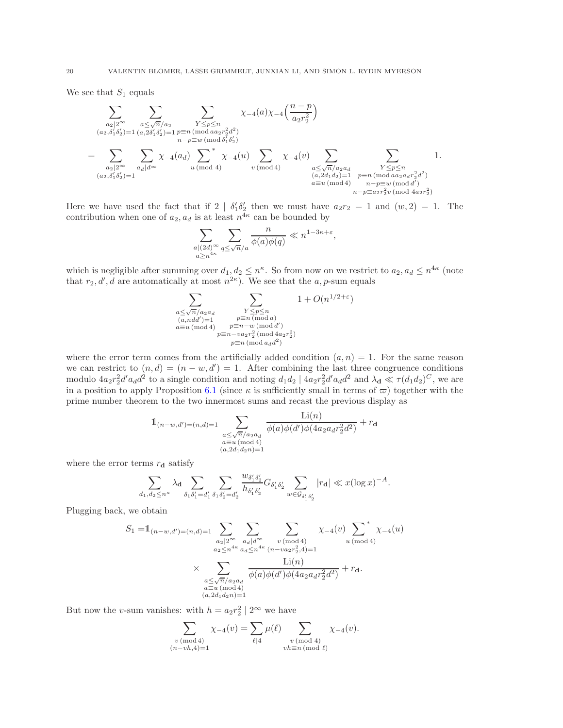We see that  $S_1$  equals

$$
\sum_{\substack{a_2 \mid 2^{\infty} \\ (a_2, \delta'_1 \delta'_2) = 1}} \sum_{\substack{a \le \sqrt{n}/a_2 \\ (a_2, \delta'_1 \delta'_2) = 1}} \sum_{\substack{Y \le p \le n \\ n - p \equiv w \pmod{\delta'_1 \delta'_2} \\ n - p \equiv w \pmod{\delta'_1 \delta'_2} \\ u \pmod{4}}} \chi_{-4}(a) \chi_{-4}\left(\frac{n - p}{a_2 r_2^2}\right)
$$
\n
$$
= \sum_{\substack{a_2 \mid 2^{\infty} \\ (a_2, \delta'_1 \delta'_2) = 1}} \sum_{\substack{a_d \mid d^{\infty} \\ (a_2, \delta'_1 \delta'_2) = 1}} \chi_{-4}(a_d) \sum_{\substack{w \pmod{4} \\ w \pmod{4}}} \chi_{-4}(w) \sum_{\substack{a \le \sqrt{n}/a_2 a_d \\ (a, 2d_1 d_2) = 1}} \sum_{\substack{p \equiv n \pmod{a_2 a_d r_2^2 d^2} \\ n - p \equiv w \pmod{d^2} \\ n - p \equiv w \pmod{d^2}}} 1.
$$

Here we have used the fact that if  $2 | \delta'_1 \delta'_2$  then we must have  $a_2 r_2 = 1$  and  $(w, 2) = 1$ . The contribution when one of  $a_2$ ,  $a_d$  is at least  $n^{4\kappa}$  can be bounded by

$$
\sum_{\substack{a|(2d)^\infty\\ a\geq n^{4\kappa}}} \sum_{q\leq \sqrt{n}/a} \frac{n}{\phi(a)\phi(q)} \ll n^{1-3\kappa+\varepsilon},
$$

which is negligible after summing over  $d_1, d_2 \leq n^{\kappa}$ . So from now on we restrict to  $a_2, a_d \leq n^{4\kappa}$  (note that  $r_2, d', d$  are automatically at most  $n^{2\kappa}$ ). We see that the  $a, p$ -sum equals

$$
\sum_{\substack{a \le \sqrt{n}/a_2a_d \\ (a,ndd')=1 \\ a \equiv u \, (\text{mod } 4)}} \sum_{\substack{Y \le p \le n \\ p \equiv n \, (\text{mod } a) \\ p \equiv n - w \, (\text{mod } d') \\ p \equiv n - v \, (\text{mod } d \, d)^2 \\ p \equiv n \, (\text{mod } a_d d^2)}} 1 + O(n^{1/2+\varepsilon})
$$

where the error term comes from the artificially added condition  $(a, n) = 1$ . For the same reason we can restrict to  $(n, d) = (n - w, d') = 1$ . After combining the last three congruence conditions modulo  $4a_2r_2^2d'a_d d^2$  to a single condition and noting  $d_1d_2 \mid 4a_2r_2^2d'a_d d^2$  and  $\lambda_d \ll \tau(d_1d_2)^C$ , we are in a position to apply Proposition [6.1](#page-17-0) (since  $\kappa$  is sufficiently small in terms of  $\varpi$ ) together with the prime number theorem to the two innermost sums and recast the previous display as

$$
\mathbb{1}_{(n-w,d')=(n,d)=1} \sum_{\substack{a \le \sqrt{n}/a_2 a_d \\ a \equiv u \pmod{4} \\ (a,2d_1d_2n)=1}} \frac{\text{Li}(n)}{\phi(a)\phi(d')\phi(4a_2a_d r_2^2 d^2)} + r_d
$$

where the error terms  $r_{\rm d}$  satisfy

$$
\sum_{d_1,d_2\le n^\kappa}\lambda_{\mathbf{d}} \sum_{\delta_1\delta_1'=d_1'}\sum_{\delta_1\delta_2'=d_2'}\frac{w_{\delta_1'\delta_2'}}{h_{\delta_1'\delta_2'}}G_{\delta_1'\delta_2'}\sum_{w\in \mathcal{G}_{\delta_1'\delta_2'}}|r_{\mathbf{d}}|\ll x(\log x)^{-A}.
$$

Plugging back, we obtain

$$
S_1 = 1_{(n-w,d')=(n,d)=1} \sum_{\substack{a_2 \mid 2^{\infty} \\ a_2 \le n^{4\kappa}}} \sum_{\substack{a_d \mid d^{\infty} \\ a_d \le n^{4\kappa}}} \sum_{\substack{v \pmod{4} \\ (n-wa_2r_2^2, 4)=1}} \chi_{-4}(v) \sum_{u \pmod{4}}^* \chi_{-4}(u)
$$
  
 
$$
\times \sum_{\substack{a \le \sqrt{n}/a_2a_d \\ a \equiv u \pmod{4} \\ (a,2d_1d_2n)=1}} \frac{\text{Li}(n)}{\phi(a)\phi(d')\phi(4a_2a_dr_2^2d^2)} + r_d.
$$

But now the *v*-sum vanishes: with  $h = a_2 r_2^2 \mid 2^{\infty}$  we have

$$
\sum_{\substack{v \pmod{4} \\ (n-vh,4)=1}} \chi_{-4}(v) = \sum_{\ell \mid 4} \mu(\ell) \sum_{\substack{v \pmod{4} \\ vb \equiv n \pmod{\ell}}} \chi_{-4}(v).
$$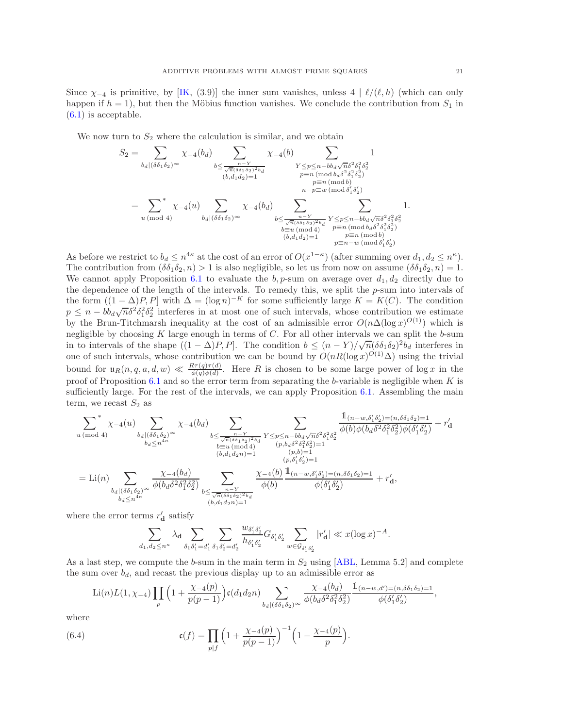Since  $\chi_{-4}$  is primitive, by [\[IK,](#page-49-14) (3.9)] the inner sum vanishes, unless 4 |  $\ell/(\ell, h)$  (which can only happen if  $h = 1$ ), but then the Möbius function vanishes. We conclude the contribution from  $S_1$  in [\(6.1\)](#page-18-1) is acceptable.

We now turn to  $S_2$  where the calculation is similar, and we obtain

$$
S_2 = \sum_{b_d | (\delta \delta_1 \delta_2)^\infty} \chi_{-4}(b_d) \sum_{\substack{b \le \frac{n-Y}{\sqrt{n}(\delta \delta_1 \delta_2)^{2}b_d}}} \chi_{-4}(b) \sum_{\substack{Y \le p \le n - bb_d \sqrt{n} \delta^2 \delta_1^2 \delta_2^2 \ p \equiv n \pmod{b_d \delta^2 \delta_1^2 \delta_2^2}}} 1
$$
  
\n
$$
= \sum_{u \pmod{4}}^* \chi_{-4}(u) \sum_{\substack{b_d | (\delta \delta_1 \delta_2)^\infty}} \chi_{-4}(b_d) \sum_{\substack{n - p \equiv w \pmod{b_d \delta^2 \delta_1^2 \delta_2^2}}} \sum_{\substack{p \equiv n \pmod{b_d \delta^2 \delta_1^2 \delta_2^2} \\ b \le \frac{n - Y}{\sqrt{n}(\delta \delta_1 \delta_2)^{2}b_d}}} 1.
$$
  
\n
$$
= \sum_{\substack{b \equiv u \pmod{4} \\ (b, d_1 d_2) = 1}}^* \chi_{-4}(u) \sum_{\substack{b \le \frac{n - Y}{\sqrt{n}(\delta \delta_1 \delta_2)^{2}b_d}}} \chi_{-4}(b_d) \sum_{\substack{p \equiv n \pmod{b_d \delta^2 \delta_1^2 \delta_2^2} \\ p \equiv n \pmod{b_p}}} 1.
$$

As before we restrict to  $b_d \leq n^{4\kappa}$  at the cost of an error of  $O(x^{1-\kappa})$  (after summing over  $d_1, d_2 \leq n^{\kappa}$ ). The contribution from  $(\delta \delta_1 \delta_2, n) > 1$  is also negligible, so let us from now on assume  $(\delta \delta_1 \delta_2, n) = 1$ . We cannot apply Proposition [6.1](#page-17-0) to evaluate the  $b, p$ -sum on average over  $d_1, d_2$  directly due to the dependence of the length of the intervals. To remedy this, we split the p-sum into intervals of the form  $((1 - \Delta)P, P]$  with  $\Delta = (\log n)^{-K}$  for some sufficiently large  $K = K(C)$ . The condition  $p \leq n - \overrightarrow{bb}_{d}\sqrt{n}\delta^{2}\delta_{1}^{2}\delta_{2}^{2}$  interferes in at most one of such intervals, whose contribution we estimate by the Brun-Titchmarsh inequality at the cost of an admissible error  $O(n\Delta(\log x)^{O(1)})$  which is negligible by choosing  $K$  large enough in terms of  $C$ . For all other intervals we can split the  $b$ -sum in to intervals of the shape  $((1 - \Delta)P, P]$ . The condition  $b \leq (n - Y)/\sqrt{n}(\delta \delta_1 \delta_2)^2 b_d$  interferes in one of such intervals, whose contribution we can be bound by  $O(nR(\log x)^{O(1)}\Delta)$  using the trivial bound for  $\mathfrak{u}_R(n, q, a, d, w) \ll \frac{R\tau(q)\tau(d)}{\phi(q)\phi(d)}$ . Here R is chosen to be some large power of log x in the proof of Proposition [6.1](#page-17-0) and so the error term from separating the b-variable is negligible when  $K$  is sufficiently large. For the rest of the intervals, we can apply Proposition [6.1.](#page-17-0) Assembling the main term, we recast  $S_2$  as

$$
\sum_{u \, (\text{mod } 4)}^{*} \chi_{-4}(u) \sum_{\substack{b_{d} \mid (\delta \delta_{1} \delta_{2})^{\infty} \\ b_{d} \leq n^{4\kappa}}} \chi_{-4}(b_{d}) \sum_{\substack{b \leq \frac{n-r}{\sqrt{n}(\delta \delta_{1} \delta_{2})^{2}b_{d} \\ b \equiv u \, (\text{mod } 4)}} \sum_{\substack{V \leq p \leq n - b b_{d} \sqrt{n} \delta^{2} \delta_{1}^{2} \delta_{2}^{2} \\ (p, b_{d} \delta^{2} \delta_{1}^{2} \delta_{2}^{2}) = 1}} \frac{\mathbb{1}_{(n-w, \delta'_{1}\delta'_{2}) = (n, \delta \delta_{1} \delta_{2}) = 1}}{\phi(b) \phi(b_{d} \delta^{2} \delta_{1}^{2} \delta_{2}^{2}) \phi(\delta'_{1}\delta'_{2})} + r'_{\mathbf{d}} \sum_{\substack{b \equiv u \, (\text{mod } 4) \\ (b, d_{1} d_{2} n) = 1}} \frac{\chi_{-4}(b_{d})}{(p, b_{d} \delta^{2} \delta_{1}^{2} \delta_{2}^{2}) = 1}}{\phi(b)} \frac{\chi_{-4}(b)}{\phi(b)} \frac{\mathbb{1}_{(n-w, \delta'_{1}\delta'_{2}) = (n, \delta \delta_{1} \delta_{2}) = 1}}{\phi(\delta'_{1}\delta'_{2})} + r'_{\mathbf{d}},
$$

where the error terms  $r'_{\mathbf{d}}$  satisfy

$$
\sum_{d_1,d_2\le n^\kappa}\lambda_{\mathbf{d}} \sum_{\delta_1\delta_1'=d_1'}\sum_{\delta_1\delta_2'=d_2'}\frac{w_{\delta_1'\delta_2'}}{h_{\delta_1'\delta_2'}}G_{\delta_1'\delta_2'}\sum_{w\in \mathcal{G}_{\delta_1'\delta_2'}}|r'_{\mathbf{d}}|\ll x(\log x)^{-A}.
$$

As a last step, we compute the b-sum in the main term in  $S_2$  using [\[ABL,](#page-48-2) Lemma 5.2] and complete the sum over  $b_d$ , and recast the previous display up to an admissible error as

$$
\mathrm{Li}(n) L(1, \chi_{-4}) \prod_p \Big(1+\frac{\chi_{-4}(p)}{p(p-1)}\Big) \mathfrak{c}(d_1 d_2 n) \sum_{b_d \mid (\delta \delta_1 \delta_2)^\infty} \frac{\chi_{-4}(b_d)}{\phi(b_d \delta^2 \delta_1^2 \delta_2^2)} \frac{1\!\!1_{(n-w,d')=(n,\delta \delta_1 \delta_2)=1}}{\phi(\delta_1' \delta_2')} ,
$$

where

<span id="page-20-0"></span>(6.4) 
$$
\mathfrak{c}(f) = \prod_{p \mid f} \left( 1 + \frac{\chi_{-4}(p)}{p(p-1)} \right)^{-1} \left( 1 - \frac{\chi_{-4}(p)}{p} \right).
$$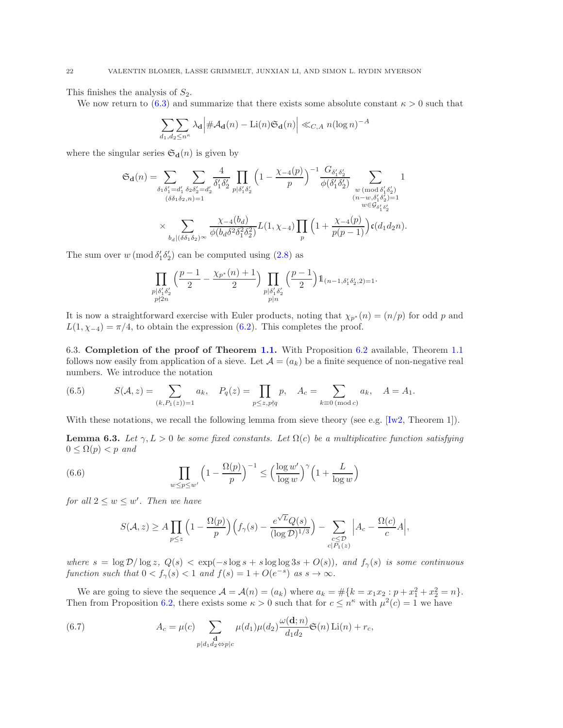This finishes the analysis of  $S_2$ .

We now return to [\(6.3\)](#page-18-0) and summarize that there exists some absolute constant  $\kappa > 0$  such that

$$
\sum_{d_1, d_2 \le n^{\kappa}} \lambda_{\mathbf{d}} \Big| \# \mathcal{A}_{\mathbf{d}}(n) - \mathrm{Li}(n) \mathfrak{S}_{\mathbf{d}}(n) \Big| \ll_{C, A} n (\log n)^{-A}
$$

where the singular series  $\mathfrak{S}_{d}(n)$  is given by

$$
\begin{split} \mathfrak{S}_{\mathbf{d}}(n) &= \sum_{\delta_1\delta_1'=d_1'\delta_2\delta_2'=d_2'}\frac{4}{\delta_1'\delta_2'} \prod_{p|\delta_1'\delta_2'}\Big(1-\frac{\chi_{-4}(p)}{p}\Big)^{-1} \frac{G_{\delta_1'\delta_2'}}{\phi(\delta_1'\delta_2')} \sum_{\substack{w \, (\text{mod}\,\delta_1'\delta_2')\\(n-w,\delta_1'\delta_2')=1}}1\\ &\times \sum_{b_d|(\delta\delta_1\delta_2)\infty}\frac{\chi_{-4}(b_d)}{\phi(b_d\delta^2\delta_1^2\delta_2^2)}L(1,\chi_{-4})\prod_p\Big(1+\frac{\chi_{-4}(p)}{p(p-1)}\Big)\mathfrak{c}(d_1d_2n). \end{split}
$$

The sum over  $w \pmod{\delta'_1 \delta'_2}$  can be computed using  $(2.8)$  as

$$
\prod_{\substack{p|\delta_1'\delta_2'\\p\nmid 2n}}\Big(\frac{p-1}{2}-\frac{\chi_{p^*}(n)+1}{2}\Big)\prod_{\substack{p|\delta_1'\delta_2'\\p|n}}\Big(\frac{p-1}{2}\Big)1\hspace{0.03cm}(n-1,\delta_1'\delta_2',2)=1.
$$

It is now a straightforward exercise with Euler products, noting that  $\chi_{p^*}(n) = (n/p)$  for odd p and  $L(1, \chi_{-4}) = \pi/4$ , to obtain the expression [\(6.2\)](#page-18-2). This completes the proof.

<span id="page-21-0"></span>6.3. Completion of the proof of Theorem [1.1.](#page-1-0) With Proposition [6.2](#page-18-3) available, Theorem [1.1](#page-1-0) follows now easily from application of a sieve. Let  $\mathcal{A} = (a_k)$  be a finite sequence of non-negative real numbers. We introduce the notation

<span id="page-21-4"></span>(6.5) 
$$
S(\mathcal{A}, z) = \sum_{(k, P_1(z)) = 1} a_k, \quad P_q(z) = \prod_{p \le z, p \nmid q} p, \quad A_c = \sum_{k \equiv 0 \pmod{c}} a_k, \quad A = A_1.
$$

With these notations, we recall the following lemma from sieve theory (see e.g. [\[Iw2,](#page-49-15) Theorem 1]).

<span id="page-21-3"></span>**Lemma 6.3.** Let  $\gamma, L > 0$  be some fixed constants. Let  $\Omega(c)$  be a multiplicative function satisfying  $0 \leq \Omega(p) < p$  and

<span id="page-21-2"></span>(6.6) 
$$
\prod_{w \le p \le w'} \left(1 - \frac{\Omega(p)}{p}\right)^{-1} \le \left(\frac{\log w'}{\log w}\right)^{\gamma} \left(1 + \frac{L}{\log w}\right)
$$

for all  $2 \leq w \leq w'$ . Then we have

$$
S(\mathcal{A}, z) \ge A \prod_{p \le z} \left(1 - \frac{\Omega(p)}{p}\right) \left(f_\gamma(s) - \frac{e^{\sqrt{L}} Q(s)}{(\log \mathcal{D})^{1/3}}\right) - \sum_{\substack{c \le \mathcal{D} \\ c|P_1(z)}} \left|A_c - \frac{\Omega(c)}{c} A\right|,
$$

where  $s = \log \mathcal{D}/\log z$ ,  $Q(s) < \exp(-s \log s + s \log \log 3s + O(s))$ , and  $f_{\gamma}(s)$  is some continuous function such that  $0 < f_{\gamma}(s) < 1$  and  $f(s) = 1 + O(e^{-s})$  as  $s \to \infty$ .

We are going to sieve the sequence  $\mathcal{A} = \mathcal{A}(n) = (a_k)$  where  $a_k = \#\{k = x_1x_2 : p + x_1^2 + x_2^2 = n\}.$ Then from Proposition [6.2,](#page-18-3) there exists some  $\kappa > 0$  such that for  $c \leq n^{\kappa}$  with  $\mu^2(c) = 1$  we have

<span id="page-21-1"></span>(6.7) 
$$
A_c = \mu(c) \sum_{\substack{\mathbf{d} \\ p|d_1d_2 \Leftrightarrow p|c}} \mu(d_1)\mu(d_2) \frac{\omega(\mathbf{d}; n)}{d_1d_2} \mathfrak{S}(n) \operatorname{Li}(n) + r_c,
$$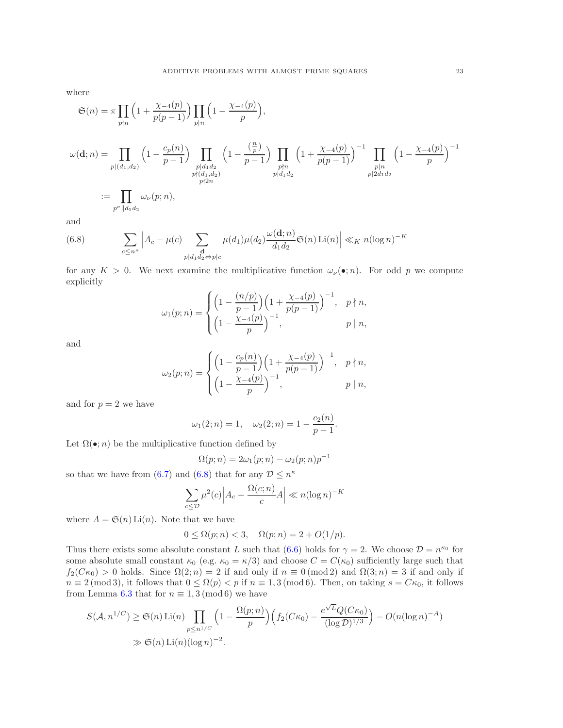where

$$
\mathfrak{S}(n) = \pi \prod_{p \nmid n} \left( 1 + \frac{\chi_{-4}(p)}{p(p-1)} \right) \prod_{p \mid n} \left( 1 - \frac{\chi_{-4}(p)}{p} \right),
$$
\n
$$
\omega(\mathbf{d}; n) = \prod_{\substack{p \mid (d_1, d_2) \\ p \nmid (d_1, d_2)}} \left( 1 - \frac{c_p(n)}{p-1} \right) \prod_{\substack{p \mid d_1 d_2 \\ p \nmid (d_1, d_2)}} \left( 1 - \frac{\left(\frac{n}{p}\right)}{p-1} \right) \prod_{\substack{p \nmid n \\ p \nmid d_1 d_2}} \left( 1 + \frac{\chi_{-4}(p)}{p(p-1)} \right)^{-1} \prod_{\substack{p \mid n \\ p \mid 2 d_1 d_2}} \left( 1 - \frac{\chi_{-4}(p)}{p} \right)^{-1}
$$
\n
$$
:= \prod_{\substack{p \mid n \\ p \nmid d_1 d_2}} \omega_{\nu}(p; n),
$$
\nand

<span id="page-22-0"></span>(6.8) 
$$
\sum_{c \leq n^{\kappa}} \left| A_c - \mu(c) \sum_{\substack{\mathbf{d} \\ p | d_1 d_2 \Leftrightarrow p | c}} \mu(d_1) \mu(d_2) \frac{\omega(\mathbf{d}; n)}{d_1 d_2} \mathfrak{S}(n) \operatorname{Li}(n) \right| \ll_K n (\log n)^{-K}
$$

for any  $K > 0$ . We next examine the multiplicative function  $\omega_{\nu}(\bullet; n)$ . For odd p we compute explicitly

$$
\omega_1(p;n) = \begin{cases} \left(1 - \frac{(n/p)}{p-1}\right) \left(1 + \frac{\chi_{-4}(p)}{p(p-1)}\right)^{-1}, & p \nmid n, \\ \left(1 - \frac{\chi_{-4}(p)}{p}\right)^{-1}, & p \mid n, \end{cases}
$$

and

$$
\omega_2(p;n) = \begin{cases} \left(1 - \frac{c_p(n)}{p-1}\right) \left(1 + \frac{\chi_{-4}(p)}{p(p-1)}\right)^{-1}, & p \nmid n, \\ \left(1 - \frac{\chi_{-4}(p)}{p}\right)^{-1}, & p \mid n, \end{cases}
$$

and for  $p = 2$  we have

$$
\omega_1(2; n) = 1, \quad \omega_2(2; n) = 1 - \frac{c_2(n)}{p-1}.
$$

Let  $\Omega(\bullet; n)$  be the multiplicative function defined by

$$
\Omega(p;n) = 2\omega_1(p;n) - \omega_2(p;n)p^{-1}
$$

so that we have from [\(6.7\)](#page-21-1) and [\(6.8\)](#page-22-0) that for any  $\mathcal{D} \leq n^{\kappa}$ 

$$
\sum_{c \le \mathcal{D}} \mu^2(c) \left| A_c - \frac{\Omega(c; n)}{c} A \right| \ll n(\log n)^{-K}
$$

where  $A = \mathfrak{S}(n) \text{Li}(n)$ . Note that we have

$$
0 \le \Omega(p; n) < 3, \quad \Omega(p; n) = 2 + O(1/p).
$$

Thus there exists some absolute constant L such that  $(6.6)$  holds for  $\gamma = 2$ . We choose  $\mathcal{D} = n^{\kappa_0}$  for some absolute small constant  $\kappa_0$  (e.g.  $\kappa_0 = \kappa/3$ ) and choose  $C = C(\kappa_0)$  sufficiently large such that  $f_2(C\kappa_0) > 0$  holds. Since  $\Omega(2; n) = 2$  if and only if  $n \equiv 0 \pmod{2}$  and  $\Omega(3; n) = 3$  if and only if  $n \equiv 2 \pmod{3}$ , it follows that  $0 \leq \Omega(p) < p$  if  $n \equiv 1, 3 \pmod{6}$ . Then, on taking  $s = C\kappa_0$ , it follows from Lemma [6.3](#page-21-3) that for  $n \equiv 1, 3 \pmod{6}$  we have

$$
S(\mathcal{A}, n^{1/C}) \ge \mathfrak{S}(n) \operatorname{Li}(n) \prod_{p \le n^{1/C}} \left(1 - \frac{\Omega(p; n)}{p}\right) \left(f_2(C\kappa_0) - \frac{e^{\sqrt{L}}Q(C\kappa_0)}{(\log \mathcal{D})^{1/3}}\right) - O(n(\log n)^{-A})
$$
  

$$
\gg \mathfrak{S}(n) \operatorname{Li}(n) (\log n)^{-2}.
$$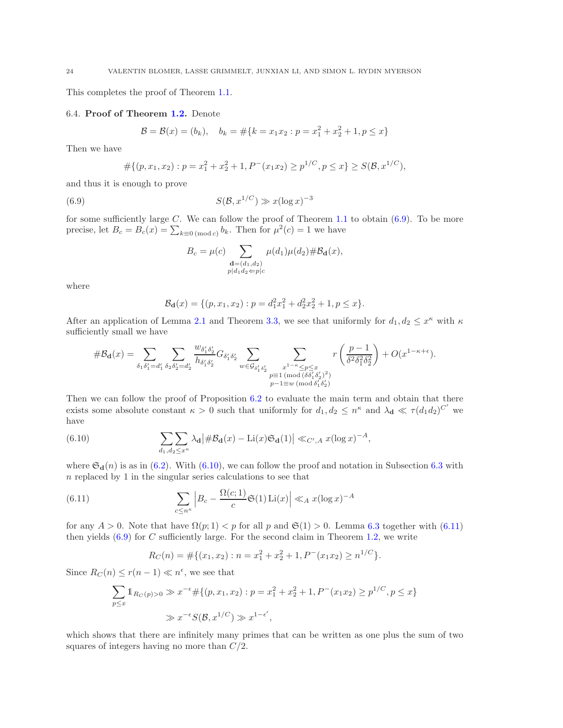This completes the proof of Theorem [1.1.](#page-1-0)

#### 6.4. Proof of Theorem [1.2.](#page-1-2) Denote

$$
\mathcal{B} = \mathcal{B}(x) = (b_k), \quad b_k = \#\{k = x_1x_2 : p = x_1^2 + x_2^2 + 1, p \le x\}
$$

Then we have

$$
#\{(p, x_1, x_2) : p = x_1^2 + x_2^2 + 1, P^-(x_1 x_2) \ge p^{1/C}, p \le x\} \ge S(\mathcal{B}, x^{1/C}),
$$

and thus it is enough to prove

<span id="page-23-0"></span>
$$
(6.9) \tS(\mathcal{B}, x^{1/C}) \gg x(\log x)^{-3}
$$

for some sufficiently large C. We can follow the proof of Theorem [1.1](#page-1-0) to obtain  $(6.9)$ . To be more precise, let  $B_c = B_c(x) = \sum_{k \equiv 0 \pmod{c}} b_k$ . Then for  $\mu^2(c) = 1$  we have

$$
B_c = \mu(c) \sum_{\substack{\mathbf{d} = (d_1, d_2) \\ p|d_1d_2 \Leftarrow p|c}} \mu(d_1)\mu(d_2) \# \mathcal{B}_{\mathbf{d}}(x),
$$

where

$$
\mathcal{B}_{\mathbf{d}}(x) = \{ (p, x_1, x_2) : p = d_1^2 x_1^2 + d_2^2 x_2^2 + 1, p \le x \}.
$$

After an application of Lemma [2.1](#page-5-1) and Theorem [3.3,](#page-7-1) we see that uniformly for  $d_1, d_2 \leq x^{\kappa}$  with  $\kappa$ sufficiently small we have

$$
\#\mathcal{B}_{\mathbf{d}}(x) = \sum_{\delta_1\delta_1'=d_1'}\sum_{\delta_2\delta_2'=d_2'}\frac{w_{\delta_1'\delta_2'}}{h_{\delta_1'\delta_2'}}G_{\delta_1'\delta_2'}\sum_{\substack{w\in\mathcal{G}_{\delta_1'\delta_2'}}\\ \substack{x^{1-\kappa}\leq p\leq x\\ p\equiv 1\;(\mathrm{mod}\,(\delta\delta_1'\delta_2')^2)\\ p-1\equiv w\;(\mathrm{mod}\,\delta_1'\delta_2')} }r\left(\frac{p-1}{\delta^2\delta_1^2\delta_2^2}\right)+O(x^{1-\kappa+\epsilon}).
$$

Then we can follow the proof of Proposition [6.2](#page-18-3) to evaluate the main term and obtain that there exists some absolute constant  $\kappa > 0$  such that uniformly for  $d_1, d_2 \leq n^{\kappa}$  and  $\lambda_d \ll \tau(d_1 d_2)^{C'}$  we have

<span id="page-23-1"></span>(6.10) 
$$
\sum_{d_1,d_2\leq x^{\kappa}} \lambda_{\mathbf{d}} \big| \# \mathcal{B}_{\mathbf{d}}(x) - \mathrm{Li}(x) \mathfrak{S}_{\mathbf{d}}(1) \big| \ll_{C',A} x(\log x)^{-A},
$$

where  $\mathfrak{S}_{d}(n)$  is as in [\(6.2\)](#page-18-2). With [\(6.10\)](#page-23-1), we can follow the proof and notation in Subsection [6.3](#page-21-0) with  $n$  replaced by 1 in the singular series calculations to see that

<span id="page-23-2"></span>(6.11) 
$$
\sum_{c \leq n^{\kappa}} \left| B_c - \frac{\Omega(c;1)}{c} \mathfrak{S}(1) \operatorname{Li}(x) \right| \ll_A x (\log x)^{-A}
$$

for any  $A > 0$ . Note that have  $\Omega(p; 1) < p$  for all p and  $\mathfrak{S}(1) > 0$ . Lemma [6.3](#page-21-3) together with [\(6.11\)](#page-23-2) then yields  $(6.9)$  for C sufficiently large. For the second claim in Theorem [1.2,](#page-1-2) we write

$$
R_C(n) = \# \{ (x_1, x_2) : n = x_1^2 + x_2^2 + 1, P^-(x_1 x_2) \ge n^{1/C} \}.
$$

Since  $R_C(n) \le r(n-1) \ll n^{\epsilon}$ , we see that

$$
\sum_{p \le x} 1_{R_C(p) > 0} \gg x^{-\epsilon} \# \{ (p, x_1, x_2) : p = x_1^2 + x_2^2 + 1, P^-(x_1 x_2) \ge p^{1/C}, p \le x \}
$$
\n
$$
\gg x^{-\epsilon} S(\mathcal{B}, x^{1/C}) \gg x^{1-\epsilon'},
$$

which shows that there are infinitely many primes that can be written as one plus the sum of two squares of integers having no more than  $C/2$ .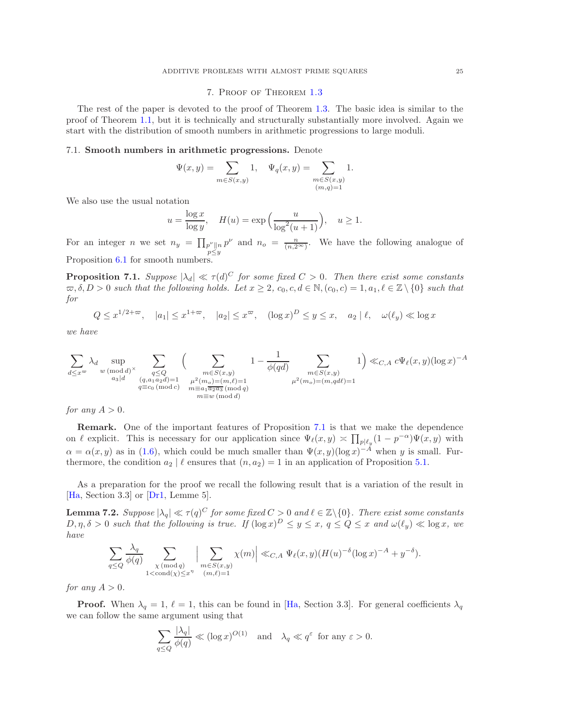### 7. Proof of Theorem [1.3](#page-2-1)

<span id="page-24-1"></span>The rest of the paper is devoted to the proof of Theorem [1.3.](#page-2-1) The basic idea is similar to the proof of Theorem [1.1,](#page-1-0) but it is technically and structurally substantially more involved. Again we start with the distribution of smooth numbers in arithmetic progressions to large moduli.

# 7.1. Smooth numbers in arithmetic progressions. Denote

$$
\Psi(x,y) = \sum_{m \in S(x,y)} 1, \quad \Psi_q(x,y) = \sum_{\substack{m \in S(x,y) \\ (m,q)=1}} 1.
$$

We also use the usual notation

$$
u = \frac{\log x}{\log y}, \quad H(u) = \exp\left(\frac{u}{\log^2(u+1)}\right), \quad u \ge 1.
$$

For an integer *n* we set  $n_y = \prod_{\substack{p^{\nu} \parallel n \\ p \leq y}}$  $p^{\nu}$  and  $n_o = \frac{n}{(n,2^{\infty})}$ . We have the following analogue of Proposition [6.1](#page-17-0) for smooth numbers.

<span id="page-24-0"></span>**Proposition 7.1.** Suppose  $|\lambda_d| \ll \tau(d)^C$  for some fixed  $C > 0$ . Then there exist some constants  $\varpi, \delta, D > 0$  such that the following holds. Let  $x \geq 2$ ,  $c_0, c, d \in \mathbb{N}$ ,  $(c_0, c) = 1, a_1, \ell \in \mathbb{Z} \setminus \{0\}$  such that for

$$
Q \le x^{1/2 + \varpi}, \quad |a_1| \le x^{1 + \varpi}, \quad |a_2| \le x^{\varpi}, \quad (\log x)^D \le y \le x, \quad a_2 \mid \ell, \quad \omega(\ell_y) \ll \log x
$$

we have

$$
\sum_{d \leq x^{\varpi}} \lambda_d \sup_{\substack{w \pmod{d}^{\times} \\ a_3 | d}} \sum_{\substack{q \leq Q \\ (q, a_1 a_2 d) = 1 \\ q \equiv c_0 \, (\text{mod } c)}} \Big( \sum_{\substack{m \in S(x, y) \\ \mu^2(m_o) = (m, \ell) = 1 \\ m \equiv a_1 \overline{a_2 a_3} \, (\text{mod } q)}} 1 - \frac{1}{\phi(qd)} \sum_{\substack{m \in S(x, y) \\ \mu^2(m_o) = (m, qd\ell) = 1 \\ \mu^2(m_o) = (m, qd\ell) = 1}} 1 \Big) \ll_{C, A} c\Psi_{\ell}(x, y) (\log x)^{-A}
$$

for any  $A > 0$ .

Remark. One of the important features of Proposition [7.1](#page-24-0) is that we make the dependence on  $\ell$  explicit. This is necessary for our application since  $\Psi_{\ell}(x,y) \asymp \prod_{p|\ell_y}(1-p^{-\alpha})\Psi(x,y)$  with  $\alpha = \alpha(x, y)$  as in [\(1.6\)](#page-2-3), which could be much smaller than  $\Psi(x, y)$ (log x)<sup>-A</sup> when y is small. Furthermore, the condition  $a_2 | l$  ensures that  $(n, a_2) = 1$  in an application of Proposition [5.1.](#page-14-0)

As a preparation for the proof we recall the following result that is a variation of the result in [\[Ha,](#page-48-15) Section 3.3] or [\[Dr1,](#page-48-12) Lemme 5].

<span id="page-24-2"></span>**Lemma 7.2.** Suppose  $|\lambda_q| \ll \tau(q)^C$  for some fixed  $C > 0$  and  $\ell \in \mathbb{Z}\backslash\{0\}$ . There exist some constants  $D, \eta, \delta > 0$  such that the following is true. If  $(\log x)^D \leq y \leq x$ ,  $q \leq Q \leq x$  and  $\omega(\ell_y) \ll \log x$ , we have

$$
\sum_{q\leq Q}\frac{\lambda_q}{\phi(q)}\sum_{\substack{\chi \pmod q \\ 1<\mathrm{cond}(\chi)\leq x^{\eta}}} \Big|\sum_{\substack{m\in S(x,y) \\ (m,\ell)=1}}\chi(m)\Big| \ll_{C,A} \Psi_\ell(x,y)(H(u)^{-\delta}(\log x)^{-A} + y^{-\delta}).
$$

for any  $A > 0$ .

**Proof.** When  $\lambda_q = 1$ ,  $\ell = 1$ , this can be found in [\[Ha,](#page-48-15) Section 3.3]. For general coefficients  $\lambda_q$ we can follow the same argument using that

$$
\sum_{q \le Q} \frac{|\lambda_q|}{\phi(q)} \ll (\log x)^{O(1)} \quad \text{and} \quad \lambda_q \ll q^{\varepsilon} \text{ for any } \varepsilon > 0.
$$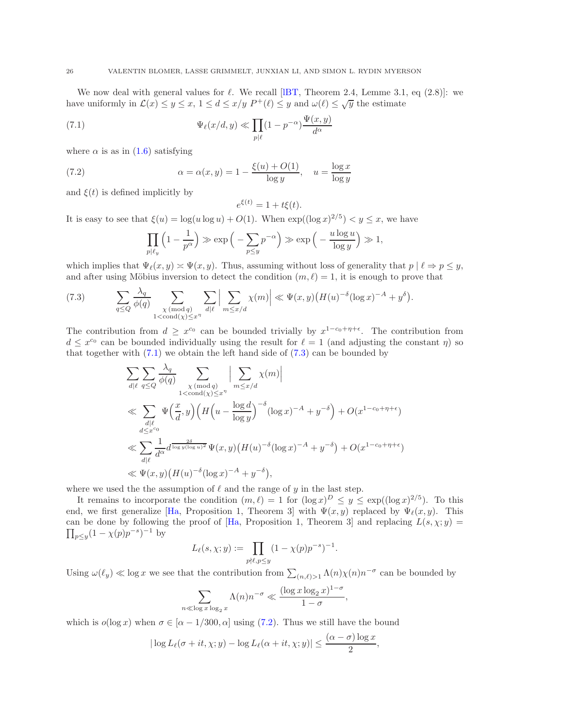We now deal with general values for  $\ell$ . We recall [IBT, Theorem 2.4, Lemme 3.1, eq (2.8)]: we have uniformly in  $\mathcal{L}(x) \leq y \leq x$ ,  $1 \leq d \leq x/y$   $P^+(\ell) \leq y$  and  $\omega(\ell) \leq \sqrt{y}$  the estimate

<span id="page-25-0"></span>(7.1) 
$$
\Psi_{\ell}(x/d, y) \ll \prod_{p|\ell} (1 - p^{-\alpha}) \frac{\Psi(x, y)}{d^{\alpha}}
$$

where  $\alpha$  is as in [\(1.6\)](#page-2-3) satisfying

<span id="page-25-2"></span>(7.2) 
$$
\alpha = \alpha(x, y) = 1 - \frac{\xi(u) + O(1)}{\log y}, \quad u = \frac{\log x}{\log y}
$$

and  $\xi(t)$  is defined implicitly by

 $e^{\xi(t)} = 1 + t\xi(t).$ 

It is easy to see that  $\xi(u) = \log(u \log u) + O(1)$ . When  $\exp((\log x)^{2/5}) < y \leq x$ , we have

$$
\prod_{p|\ell_y} \left(1 - \frac{1}{p^{\alpha}}\right) \gg \exp\left(-\sum_{p\leq y} p^{-\alpha}\right) \gg \exp\left(-\frac{u \log u}{\log y}\right) \gg 1,
$$

which implies that  $\Psi_{\ell}(x, y) \simeq \Psi(x, y)$ . Thus, assuming without loss of generality that  $p | \ell \Rightarrow p \leq y$ , and after using Möbius inversion to detect the condition  $(m, \ell) = 1$ , it is enough to prove that

<span id="page-25-1"></span>(7.3) 
$$
\sum_{q \leq Q} \frac{\lambda_q}{\phi(q)} \sum_{\substack{\chi \pmod{q} \\ 1 < \text{cond}(\chi) \leq x^{\eta}}} \sum_{d \mid \ell} \left| \sum_{m \leq x/d} \chi(m) \right| \ll \Psi(x, y) \left( H(u)^{-\delta} (\log x)^{-A} + y^{\delta} \right).
$$

The contribution from  $d \geq x^{c_0}$  can be bounded trivially by  $x^{1-c_0+\eta+\epsilon}$ . The contribution from  $d \leq x^{c_0}$  can be bounded individually using the result for  $\ell = 1$  (and adjusting the constant  $\eta$ ) so that together with [\(7.1\)](#page-25-0) we obtain the left hand side of [\(7.3\)](#page-25-1) can be bounded by

$$
\sum_{d|\ell} \sum_{q \leq Q} \frac{\lambda_q}{\phi(q)} \sum_{\substack{\chi \pmod{q} \\ 1 < \text{cond}(\chi) \leq x^{\eta}}} \Big| \sum_{m \leq x/d} \chi(m) \Big|
$$
  

$$
\ll \sum_{\substack{d|\ell \\ d \leq x^{c_0}}} \Psi\left(\frac{x}{d}, y\right) \left( H\left(u - \frac{\log d}{\log y}\right)^{-\delta} (\log x)^{-A} + y^{-\delta} \right) + O(x^{1 - c_0 + \eta + \epsilon})
$$
  

$$
\ll \sum_{d|\ell} \frac{1}{d^{\alpha}} d^{\frac{2\delta}{\log y(\log u)^2}} \Psi(x, y) \left( H(u)^{-\delta} (\log x)^{-A} + y^{-\delta} \right) + O(x^{1 - c_0 + \eta + \epsilon})
$$
  

$$
\ll \Psi(x, y) \left( H(u)^{-\delta} (\log x)^{-A} + y^{-\delta} \right),
$$

where we used the the assumption of  $\ell$  and the range of y in the last step.

It remains to incorporate the condition  $(m, \ell) = 1$  for  $(\log x)^D \leq y \leq \exp((\log x)^{2/5})$ . To this end, we first generalize [\[Ha,](#page-48-15) Proposition 1, Theorem 3] with  $\Psi(x, y)$  replaced by  $\Psi_{\ell}(x, y)$ . This  $\prod_{p\leq y}(1-\chi(p)p^{-s})^{-1}$  by can be done by following the proof of [\[Ha,](#page-48-15) Proposition 1, Theorem 3] and replacing  $L(s, \chi; y)$ 

$$
L_{\ell}(s, \chi; y) := \prod_{p \nmid \ell, p \le y} (1 - \chi(p)p^{-s})^{-1}.
$$

Using  $\omega(\ell_y) \ll \log x$  we see that the contribution from  $\sum_{(n,\ell)>1} \Lambda(n) \chi(n) n^{-\sigma}$  can be bounded by

$$
\sum_{\log x \log_2 x} \Lambda(n) n^{-\sigma} \ll \frac{(\log x \log_2 x)^{1-\sigma}}{1-\sigma},
$$

which is  $o(\log x)$  when  $\sigma \in [\alpha - 1/300, \alpha]$  using [\(7.2\)](#page-25-2). Thus we still have the bound

 $n \ll$ 

$$
|\log L_{\ell}(\sigma + it, \chi; y) - \log L_{\ell}(\alpha + it, \chi; y)| \leq \frac{(\alpha - \sigma) \log x}{2},
$$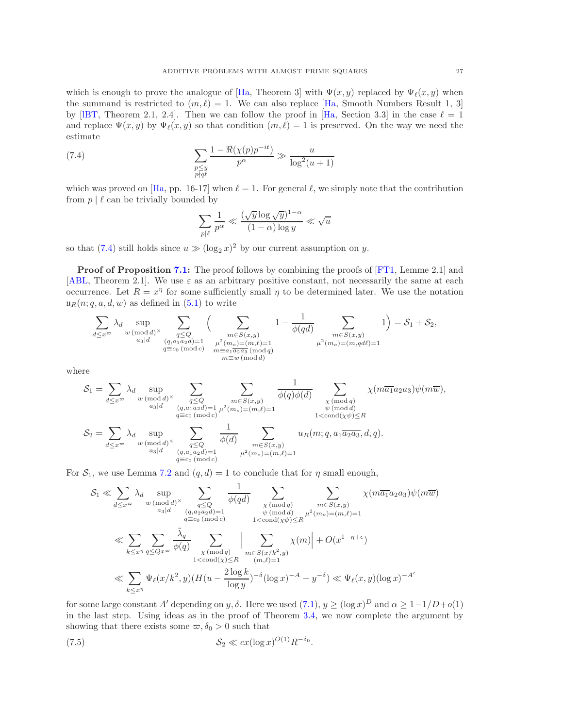which is enough to prove the analogue of [\[Ha,](#page-48-15) Theorem 3] with  $\Psi(x, y)$  replaced by  $\Psi_{\ell}(x, y)$  when the summand is restricted to  $(m, \ell) = 1$ . We can also replace [\[Ha,](#page-48-15) Smooth Numbers Result 1, 3] by [IBT, Theorem 2.1, 2.4]. Then we can follow the proof in [\[Ha,](#page-48-15) Section 3.3] in the case  $\ell = 1$ and replace  $\Psi(x, y)$  by  $\Psi_{\ell}(x, y)$  so that condition  $(m, \ell) = 1$  is preserved. On the way we need the estimate

<span id="page-26-0"></span>(7.4) 
$$
\sum_{\substack{p \le y \\ p \nmid q\ell}} \frac{1 - \Re(\chi(p)p^{-it})}{p^{\alpha}} \gg \frac{u}{\log^2(u+1)}
$$

which was proved on [\[Ha,](#page-48-15) pp. 16-17] when  $\ell = 1$ . For general  $\ell$ , we simply note that the contribution from  $p \mid \ell$  can be trivially bounded by

$$
\sum_{p \mid \ell} \frac{1}{p^{\alpha}} \ll \frac{(\sqrt{y} \log \sqrt{y})^{1-\alpha}}{(1-\alpha) \log y} \ll \sqrt{u}
$$

so that [\(7.4\)](#page-26-0) still holds since  $u \gg (\log_2 x)^2$  by our current assumption on y.

Proof of Proposition [7.1:](#page-24-0) The proof follows by combining the proofs of [\[FT1,](#page-48-11) Lemme 2.1] and [\[ABL,](#page-48-2) Theorem 2.1]. We use  $\varepsilon$  as an arbitrary positive constant, not necessarily the same at each occurrence. Let  $R = x^{\eta}$  for some sufficiently small  $\eta$  to be determined later. We use the notation  $\mathfrak{u}_R(n; q, a, d, w)$  as defined in  $(5.1)$  to write

$$
\sum_{d\leq x^{\varpi}}\lambda_d\sup_{\substack{w \pmod{d}\\ a_3|d}}\sum_{\substack{q\leq Q\\(q,a_1a_2d)=1\\ q\equiv c_0 \pmod{c}}}\Big(\sum_{\substack{m\in S(x,y)\\ \mu^2(m_o)=(m,\ell)=1\\ m\equiv a_1\overline{a_2a_3}\pmod{q}\\ m\equiv w \pmod{d}}}\Big(1-\frac{1}{\phi(qd)}\sum_{\substack{m\in S(x,y)\\ \mu^2(m_o)=(m,qd\ell)=1}}1\Big)=\mathcal{S}_1+\mathcal{S}_2,
$$

where

$$
\mathcal{S}_1 = \sum_{d \leq x^{\varpi}} \lambda_d \sup_{\substack{w \, (\text{mod } d)^\times \\ a_3 | d}} \sum_{\substack{q \leq Q \\ (q, a_1 a_2 d) = 1 \\ q \equiv c_0 \, (\text{mod } c)}} \sum_{\substack{m \in S(x, y) \\ \mu^2(m_o) = (m, \ell) = 1}} \frac{1}{\phi(q)\phi(d)} \sum_{\substack{\chi \, (\text{mod } q) \\ \psi \, (\text{mod } d) \\ \chi^2(m \text{mod } d) \\ 1 < \text{cond}(\chi\psi) \leq R}} \chi(m\overline{a_1}a_2 a_3) \psi(m\overline{w}),
$$
\n
$$
\mathcal{S}_2 = \sum_{d \leq x^{\varpi}} \lambda_d \sup_{\substack{w \, (\text{mod } d)^\times \\ a_3 | d}} \sum_{\substack{q \leq Q \\ (q, a_1 a_2 d) = 1 \\ q \equiv c_0 \, (\text{mod } c)}} \frac{1}{\phi(d)} \sum_{\substack{m \in S(x, y) \\ m \in S(x, y) \\ \mu^2(m_o) = (m, \ell) = 1}} u_R(m; q, a_1 \overline{a_2 a_3}, d, q).
$$

For  $S_1$ , we use Lemma [7.2](#page-24-2) and  $(q, d) = 1$  to conclude that for  $\eta$  small enough,

$$
S_1 \ll \sum_{d \leq x^{\varpi}} \lambda_d \sup_{\substack{w \pmod{d} \atop a_3|d}} \sum_{\substack{q \leq Q \text{ (mod } q) \\ (q, a_2a_2d) = 1}} \frac{1}{\phi(qd)} \sum_{\substack{\chi \pmod{q} \\ \psi \pmod{d} \\ \psi \pmod{d} \\ 1 < \text{cond}(\chi\psi) \leq R}} \sum_{m \in S(x,y)} \chi(m\overline{a_1}a_2a_3)\psi(m\overline{w})
$$

$$
\ll \sum_{k \leq x^{\eta}} \sum_{q \leq Qx^{\varpi}} \frac{\tilde{\lambda}_q}{\phi(q)} \sum_{\substack{\chi \pmod{q} \\ 1 < \text{cond}(\chi) \leq R \\ 1 < \text{cond}(\chi) \leq R}} \left| \sum_{m \in S(x/k^2, y)} \chi(m) \right| + O(x^{1-\eta+\epsilon})
$$

$$
\ll \sum_{k \leq x^{\eta}} \Psi_{\ell}(x/k^2, y) (H(u - \frac{2 \log k}{\log y})^{-\delta} (\log x)^{-A} + y^{-\delta}) \ll \Psi_{\ell}(x, y) (\log x)^{-A'}
$$

for some large constant A' depending on y,  $\delta$ . Here we used  $(7.1)$ ,  $y \ge (\log x)^D$  and  $\alpha \ge 1 - 1/D + o(1)$ in the last step. Using ideas as in the proof of Theorem [3.4,](#page-8-0) we now complete the argument by showing that there exists some  $\varpi, \delta_0 > 0$  such that

<span id="page-26-1"></span>
$$
(7.5) \tS_2 \ll cx(\log x)^{O(1)}R^{-\delta_0}.
$$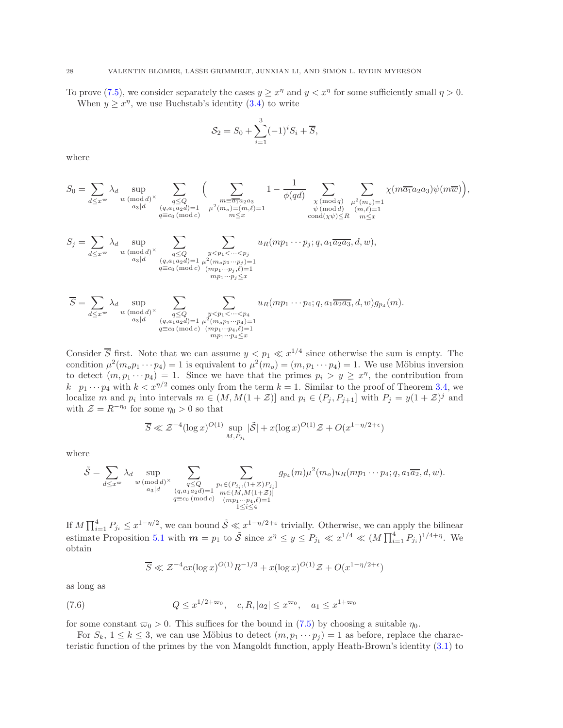To prove [\(7.5\)](#page-26-1), we consider separately the cases  $y \geq x^{\eta}$  and  $y < x^{\eta}$  for some sufficiently small  $\eta > 0$ . When  $y \geq x^{\eta}$ , we use Buchstab's identity [\(3.4\)](#page-9-2) to write

$$
S_2 = S_0 + \sum_{i=1}^{3} (-1)^i S_i + \overline{S},
$$

where

$$
S_0 = \sum_{d \leq x^{\infty}} \lambda_d \sup_{\substack{w \pmod{d} \times \text{diag} \\ a_3|d}} \sum_{\substack{q \leq Q \\ (q, a_1 a_2 d) = 1}} \left( \sum_{\substack{m \equiv a_1 a_2 a_3 \\ \mu^2(m_o) = (m, \ell) = 1}} 1 - \frac{1}{\phi(qd)} \sum_{\substack{\chi \pmod{q} \\ \psi \pmod{d} \\ \psi \pmod{d} \\ \text{cond}(x) = 1}} \chi(m\overline{a_1}a_2 a_3) \psi(m\overline{w}) \right),
$$
  

$$
S_j = \sum_{d \leq x^{\infty}} \lambda_d \sup_{\substack{w \pmod{d} \\ \mu^2(\text{mod } e)}} \sum_{\substack{q \leq Q \\ q \leq Q \\ \text{diag}(p, a_1 a_2 d) = 1}} \sum_{\substack{\mu^2(m_o) = (m, \ell) = 1 \\ \mu^2(m_o p_1 \cdots p_j) = 1 \\ \text{proj}(x) = 1}} u_R(mp_1 \cdots p_j; q, a_1 \overline{a_2 a_3}, d, w),
$$
  

$$
\overline{S} = \sum_{d \leq x^{\infty}} \lambda_d \sup_{\substack{w \pmod{d} \\ w \pmod{d} \\ \mu^2(\text{mod } e)}} \sum_{\substack{q \leq Q \\ q \leq Q \\ \text{diag}(p, a_1 a_2 d) = 1}} \sum_{\substack{\mu^2(m_o) = (m, \ell) = 1 \\ \mu^2(m_o p_1 \cdots p_j) = 1 \\ \text{proj}(x) = 1}} u_R(mp_1 \cdots p_4; q, a_1 \overline{a_2 a_3}, d, w) g_{p_4}(m).
$$

Consider  $\overline{S}$  first. Note that we can assume  $y < p_1 \ll x^{1/4}$  since otherwise the sum is empty. The condition  $\mu^2(m_0p_1\cdots p_4)=1$  is equivalent to  $\mu^2(m_0)=(m,p_1\cdots p_4)=1$ . We use Möbius inversion to detect  $(m, p_1 \cdots p_4) = 1$ . Since we have that the primes  $p_i > y \geq x^{\eta}$ , the contribution from  $k | p_1 \cdots p_4$  with  $k < x^{\eta/2}$  comes only from the term  $k = 1$ . Similar to the proof of Theorem [3.4,](#page-8-0) we localize m and  $p_i$  into intervals  $m \in (M, M(1+\mathcal{Z})]$  and  $p_i \in (P_j, P_{j+1}]$  with  $P_j = y(1+\mathcal{Z})^j$  and with  $\mathcal{Z} = R^{-\eta_0}$  for some  $\eta_0 > 0$  so that

$$
\overline{S} \ll \mathcal{Z}^{-4} (\log x)^{O(1)} \sup_{M, P_{j_i}} |\tilde{\mathcal{S}}| + x (\log x)^{O(1)} \mathcal{Z} + O(x^{1 - \eta/2 + \epsilon})
$$

where

$$
\tilde{S} = \sum_{d \leq x^{\varpi}} \lambda_d \sup_{\substack{w \, (\text{mod } d)^{\times} \\ a_3 | d}} \sum_{\substack{q \leq Q \\ (q, a_1 a_2 d) = 1 \\ q \equiv c_0 \, (\text{mod } c)}} \sum_{\substack{p_i \in (P_{j_i}, (1 + \mathcal{Z})P_{j_i}] \\ m \in (M, M(1 + \mathcal{Z})] \\ (mp_1 \cdots p_4, \ell) = 1 \\ 1 \leq i \leq 4}} g_{p_4}(m) \mu^2(m_o) u_R(mp_1 \cdots p_4; q, a_1 \overline{a_2}, d, w).
$$

If  $M \prod_{i=1}^4 P_{j_i} \leq x^{1-\eta/2}$ , we can bound  $\tilde{S} \ll x^{1-\eta/2+\varepsilon}$  trivially. Otherwise, we can apply the bilinear estimate Proposition [5.1](#page-14-0) with  $m = p_1$  to  $\tilde{S}$  since  $x^{\eta} \leq y \leq P_{j_1} \ll x^{1/4} \ll (M \prod_{i=1}^4 P_{j_i})^{1/4+\eta}$ . We obtain

$$
\overline{S} \ll \mathcal{Z}^{-4} c x (\log x)^{O(1)} R^{-1/3} + x (\log x)^{O(1)} \mathcal{Z} + O(x^{1 - \eta/2 + \epsilon})
$$

as long as

<span id="page-27-0"></span>(7.6) 
$$
Q \le x^{1/2 + \varpi_0}, \quad c, R, |a_2| \le x^{\varpi_0}, \quad a_1 \le x^{1 + \varpi_0}
$$

for some constant  $\overline{\omega}_0 > 0$ . This suffices for the bound in [\(7.5\)](#page-26-1) by choosing a suitable  $\eta_0$ .

For  $S_k$ ,  $1 \leq k \leq 3$ , we can use Möbius to detect  $(m, p_1 \cdots p_j) = 1$  as before, replace the characteristic function of the primes by the von Mangoldt function, apply Heath-Brown's identity [\(3.1\)](#page-7-4) to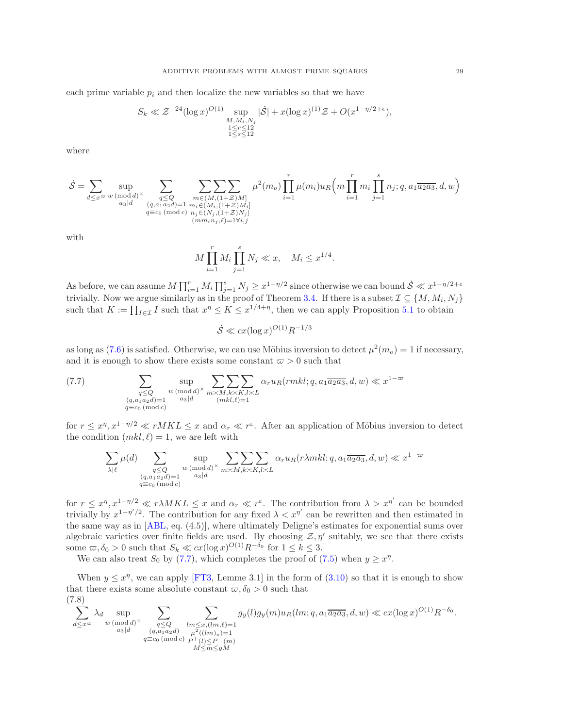each prime variable  $p_i$  and then localize the new variables so that we have

$$
S_k \ll \mathcal{Z}^{-24} (\log x)^{O(1)} \sup_{\substack{M,M_i,N_j \\ 1 \le r \le 12 \\ 1 \le s \le 12}} |\dot{\mathcal{S}}| + x(\log x)^{(1)} \mathcal{Z} + O(x^{1-\eta/2+\epsilon}),
$$

where

$$
\dot{\mathcal{S}} = \sum_{d \leq x^{\varpi}} \sup_{\substack{w \, (\text{mod } d)^{\times} \\ a_3 | d}} \sum_{\substack{q \leq Q \\ (q, a_1 a_2 d) = 1 \\ q \equiv c_0 \, (\text{mod } c)}} \sum_{\substack{m \in (M, (1 + \mathcal{Z})M] \\ m_i \in (M_i, (1 + \mathcal{Z})M_i] \\ m_i \in (N_j, (1 + \mathcal{Z})N_j] \\ (mm_i n_j, \ell) = 1 \forall i,j}} \mu^2(m_o) \prod_{i=1}^r \mu(m_i) u_R\left(m \prod_{i=1}^r m_i \prod_{j=1}^s n_j; q, a_1 \overline{a_2 a_3}, d, w\right)
$$

with

$$
M \prod_{i=1}^{r} M_i \prod_{j=1}^{s} N_j \ll x, \quad M_i \leq x^{1/4}.
$$

As before, we can assume  $M\prod_{i=1}^r M_i \prod_{j=1}^s N_j \geq x^{1-\eta/2}$  since otherwise we can bound  $\dot{S} \ll x^{1-\eta/2+\varepsilon}$ trivially. Now we argue similarly as in the proof of Theorem [3.4.](#page-8-0) If there is a subset  $\mathcal{I} \subseteq \{M, M_i, N_j\}$ such that  $K := \prod_{I \in \mathcal{I}} I$  such that  $x^{\eta} \leq K \leq x^{1/4 + \eta}$ , then we can apply Proposition [5.1](#page-14-0) to obtain

$$
\dot{S} \ll cx(\log x)^{O(1)}R^{-1/3}
$$

as long as  $(7.6)$  is satisfied. Otherwise, we can use Möbius inversion to detect  $\mu^2(m_o) = 1$  if necessary, and it is enough to show there exists some constant  $\varpi > 0$  such that

<span id="page-28-0"></span>(7.7) 
$$
\sum_{\substack{q \leq Q \\ (q, a_1 a_2 d) = 1 \\ q \equiv c_0 \pmod{c}}} \sup_{\substack{w \pmod{d}^{\times} \\ a_3 | d}} \sum_{\substack{m \asymp M, k \asymp K, l \asymp L \\ (mkl, \ell) = 1}} \sum_{\substack{\alpha_r u_R(rmkl; q, a_1 \overline{a_2 a_3}, d, w) \\ \ll x^{1 - \varpi}}
$$

for  $r \leq x^{\eta}, x^{1-\eta/2} \ll rMKL \leq x$  and  $\alpha_r \ll r^{\varepsilon}$ . After an application of Möbius inversion to detect the condition  $(mkl, l) = 1$ , we are left with

$$
\sum_{\substack{\lambda|\ell}} \mu(d) \sum_{\substack{q \leq Q \\ (q, a_1 a_2 d) = 1 \\ q \equiv c_0 \, (\text{mod } c)}} \sup_{\substack{w \, (\text{mod } d)^\times \\ a_3 | d}} \sum_{m \asymp M, k \asymp K, l \asymp L} \sum_{\substack{\alpha_r u_R(r\lambda m k l; q, a_1 \overline{a_2 a_3}, d, w) \\ \ll x^{1 - \varpi}}
$$

for  $r \leq x^{\eta}, x^{1-\eta/2} \ll r\lambda MKL \leq x$  and  $\alpha_r \ll r^{\varepsilon}$ . The contribution from  $\lambda > x^{\eta'}$  can be bounded trivially by  $x^{1-\eta'/2}$ . The contribution for any fixed  $\lambda < x^{\eta'}$  can be rewritten and then estimated in the same way as in [\[ABL,](#page-48-2) eq. (4.5)], where ultimately Deligne's estimates for exponential sums over algebraic varieties over finite fields are used. By choosing  $\mathcal{Z}, \eta'$  suitably, we see that there exists some  $\varpi, \delta_0 > 0$  such that  $S_k \ll cx(\log x)^{O(1)} R^{-\delta_0}$  for  $1 \leq k \leq 3$ .

We can also treat  $S_0$  by [\(7.7\)](#page-28-0), which completes the proof of [\(7.5\)](#page-26-1) when  $y \geq x^{\eta}$ .

When  $y \leq x^{\eta}$ , we can apply [\[FT3,](#page-48-10) Lemme 3.1] in the form of [\(3.10\)](#page-11-5) so that it is enough to show that there exists some absolute constant  $\varpi, \delta_0 > 0$  such that (7.8)

<span id="page-28-1"></span>
$$
\sum_{d\leq x^{\varpi}}\lambda_d \sup_{\substack{w \pmod{d}^{\times} \\ a_3|d}} \sum_{\substack{q\leq Q \\ (q, a_1a_2d) \\ q \equiv c_0 \pmod{c}}} \sum_{\substack{lm\leq x, (lm,\ell)=1 \\ \mu^2((lm)_o)=1 \\ P^+(l)\leq P^-(m)}} g_y(l)g_y(m)u_R(lm;q,a_1\overline{a_2a_3},d,w) \ll cx(\log x)^{O(1)}R^{-\delta_0}.
$$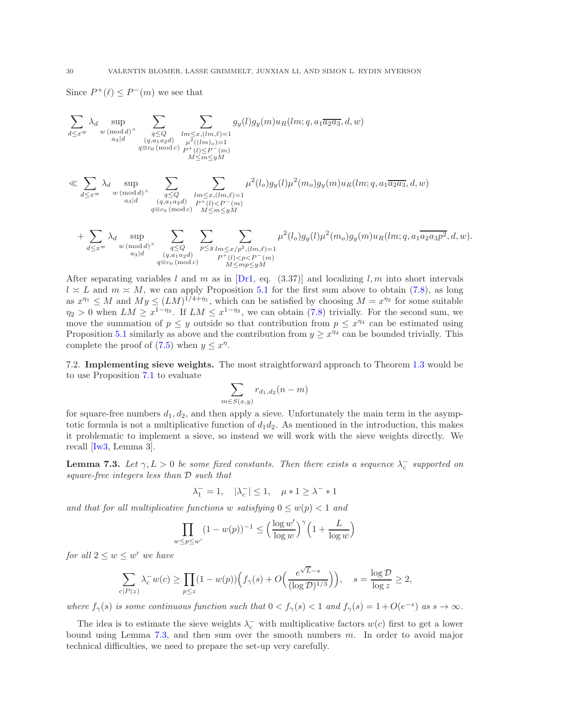Since  $P^+(\ell) \leq P^-(m)$  we see that

$$
\sum_{d \leq x^{\infty}} \lambda_d \sup_{w \, (\text{mod } d)^{\times}} \sum_{\substack{q \leq Q \\ (q, a_1 a_2 d)}} \sum_{\substack{l m \leq x, (lm, \ell) = 1 \\ \mu^2((lm_0) = 1)}} g(y(l)g(y(m)u_R(lm; q, a_1 \overline{a_2 a_3}, d, w)
$$
\n
$$
\ll \sum_{d \leq x^{\infty}} \lambda_d \sup_{\substack{w \, (\text{mod } d)^{\times} \\ w \, (\text{mod } d)^{\times}}} \sum_{\substack{q \leq Q \\ q \leq Q \\ q \equiv c_0 \, (\text{mod } c)}} \sum_{\substack{l m \leq x, (lm, \ell) = 1 \\ \mu^2(l_0)g(y(l)\mu^2(m_0)g(y(m))u_R(lm; q, a_1 \overline{a_2 a_3}, d, w)}} \mu^2(l_0)g_y(l)\mu^2(m_0)g_y(m)u_R(lm; q, a_1 \overline{a_2 a_3}, d, w)
$$
\n
$$
+ \sum_{d \leq x^{\infty}} \lambda_d \sup_{w \, (\text{mod } d)^{\times}} \sum_{\substack{q \leq Q \\ w \, (\text{mod } d)^{\times}}} \sum_{\substack{q \leq Q \\ q \leq Q \\ q \equiv c_0 \, (\text{mod } c)}} \sum_{\substack{p \leq y \, \ln \leq x/p^2, (lm, \ell) = 1 \\ p^+(l) < p < P^-(m) \\ p^+(l) < p < P^-(m) \\ M \leq m p \leq yM}} \mu^2(l_0)g_y(l)\mu^2(m_0)g_y(m)u_R(lm; q, a_1 \overline{a_2 a_3 p^2}, d, w).
$$

After separating variables l and m as in  $[Dr1, eq. (3.37)]$  and localizing l, m into short intervals  $l \approx L$  and  $m \approx M$ , we can apply Proposition [5.1](#page-14-0) for the first sum above to obtain [\(7.8\)](#page-28-1), as long as  $x^{\eta_1} \leq M$  and  $My \leq (LM)^{1/4+\eta_1}$ , which can be satisfied by choosing  $M = x^{\eta_2}$  for some suitable  $\eta_2 > 0$  when  $LM \geq x^{1-\eta_3}$ . If  $LM \leq x^{1-\eta_3}$ , we can obtain [\(7.8\)](#page-28-1) trivially. For the second sum, we move the summation of  $p \leq y$  outside so that contribution from  $p \leq x^{\eta_4}$  can be estimated using Proposition [5.1](#page-14-0) similarly as above and the contribution from  $y \geq x^{\eta_4}$  can be bounded trivially. This complete the proof of  $(7.5)$  when  $y \leq x^{\eta}$ .

7.2. Implementing sieve weights. The most straightforward approach to Theorem [1.3](#page-2-1) would be to use Proposition [7.1](#page-24-0) to evaluate

$$
\sum_{m \in S(x,y)} r_{d_1,d_2}(n-m)
$$

for square-free numbers  $d_1, d_2$ , and then apply a sieve. Unfortunately the main term in the asymptotic formula is not a multiplicative function of  $d_1d_2$ . As mentioned in the introduction, this makes it problematic to implement a sieve, so instead we will work with the sieve weights directly. We recall [\[Iw3,](#page-49-16) Lemma 3].

<span id="page-29-0"></span>**Lemma 7.3.** Let  $\gamma, L > 0$  be some fixed constants. Then there exists a sequence  $\lambda_c^-$  supported on square-free integers less than D such that

$$
\lambda_1^- = 1, \quad |\lambda_c^-| \le 1, \quad \mu * 1 \ge \lambda^- * 1
$$

and that for all multiplicative functions w satisfying  $0 \leq w(p) < 1$  and

$$
\prod_{w \le p \le w'} (1 - w(p))^{-1} \le \left(\frac{\log w'}{\log w}\right)^{\gamma} \left(1 + \frac{L}{\log w}\right)
$$

for all  $2 \leq w \leq w'$  we have

$$
\sum_{c|P(z)} \lambda_c^- w(c) \ge \prod_{p \le z} (1 - w(p)) \Big( f_\gamma(s) + O\Big(\frac{e^{\sqrt{L} - s}}{(\log \mathcal{D})^{1/3}} \Big) \Big), \quad s = \frac{\log \mathcal{D}}{\log z} \ge 2,
$$

where  $f_{\gamma}(s)$  is some continuous function such that  $0 < f_{\gamma}(s) < 1$  and  $f_{\gamma}(s) = 1 + O(e^{-s})$  as  $s \to \infty$ .

The idea is to estimate the sieve weights  $\lambda_c^-$  with multiplicative factors  $w(c)$  first to get a lower bound using Lemma [7.3,](#page-29-0) and then sum over the smooth numbers m. In order to avoid major technical difficulties, we need to prepare the set-up very carefully.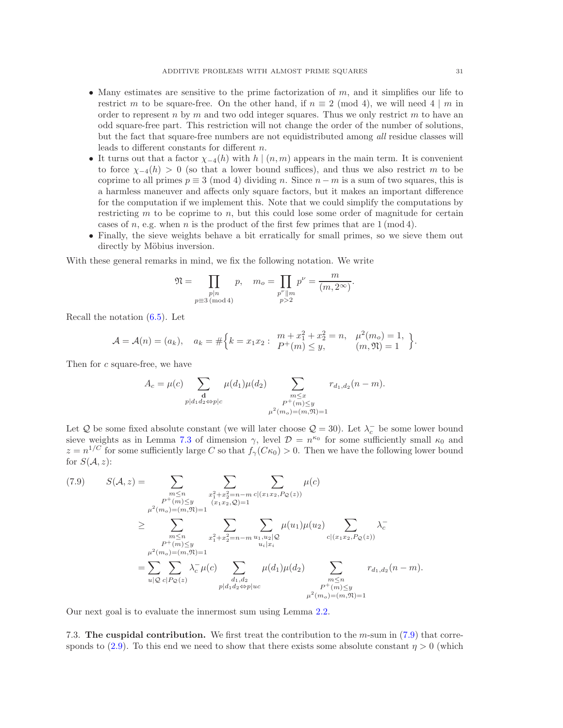- Many estimates are sensitive to the prime factorization of  $m$ , and it simplifies our life to restrict m to be square-free. On the other hand, if  $n \equiv 2 \pmod{4}$ , we will need  $4 \mid m$  in order to represent n by m and two odd integer squares. Thus we only restrict m to have an odd square-free part. This restriction will not change the order of the number of solutions, but the fact that square-free numbers are not equidistributed among all residue classes will leads to different constants for different n.
- It turns out that a factor  $\chi_{-4}(h)$  with  $h \mid (n,m)$  appears in the main term. It is convenient to force  $\chi_{-4}(h) > 0$  (so that a lower bound suffices), and thus we also restrict m to be coprime to all primes  $p \equiv 3 \pmod{4}$  dividing n. Since  $n - m$  is a sum of two squares, this is a harmless maneuver and affects only square factors, but it makes an important difference for the computation if we implement this. Note that we could simplify the computations by restricting  $m$  to be coprime to  $n$ , but this could lose some order of magnitude for certain cases of n, e.g. when n is the product of the first few primes that are  $1 \pmod{4}$ .
- Finally, the sieve weights behave a bit erratically for small primes, so we sieve them out directly by Möbius inversion.

With these general remarks in mind, we fix the following notation. We write

$$
\mathfrak{N}=\prod_{\substack{p\mid n\\p\equiv 3\,(\text{mod}\,4)}}p,\quad m_o=\prod_{\substack{p^\nu\mid\mid m\\p>2}}p^\nu=\frac{m}{(m,2^\infty)}.
$$

Recall the notation [\(6.5\)](#page-21-4). Let

$$
\mathcal{A} = \mathcal{A}(n) = (a_k), \quad a_k = \# \Big\{ k = x_1 x_2 : \begin{array}{c} m + x_1^2 + x_2^2 = n, & \mu^2(m_o) = 1, \\ P^+(m) \le y, & (m, \mathfrak{N}) = 1 \end{array} \Big\}.
$$

Then for c square-free, we have

$$
A_c = \mu(c) \sum_{\substack{\mathbf{d} \\ p \mid d_1 d_2 \Leftrightarrow p \mid c}} \mu(d_1) \mu(d_2) \sum_{\substack{m \le x \\ p^+(m) \le y \\ \mu^2(m_o) = (m, \mathfrak{N}) = 1}} r_{d_1, d_2}(n - m).
$$

Let Q be some fixed absolute constant (we will later choose  $\mathcal{Q} = 30$ ). Let  $\lambda_c^-$  be some lower bound sieve weights as in Lemma [7.3](#page-29-0) of dimension  $\gamma$ , level  $\mathcal{D} = n^{\kappa_0}$  for some sufficiently small  $\kappa_0$  and  $z = n^{1/C}$  for some sufficiently large C so that  $f_{\gamma}(C\kappa_0) > 0$ . Then we have the following lower bound for  $S(A, z)$ :

<span id="page-30-0"></span>
$$
(7.9) \quad S(\mathcal{A}, z) = \sum_{\substack{m \le n \\ P^+(m) \le y \\ \mu^2(m_o) = (m, \mathfrak{N}) = 1}} \sum_{\substack{x_1^2 + x_2^2 = n - m \\ (x_1 x_2, Q) = 1}} \mu(c)
$$
  

$$
\ge \sum_{\substack{m \le n \\ P^+(m) \le y \\ \mu^2(m_o) = (m, \mathfrak{N}) = 1}} \sum_{\substack{x_1^2 + x_2^2 = n - m \\ u_1, u_2 | Q}} \sum_{\substack{u_1 | u_1 \\ u_2 | u_2}} \mu(u_1) \mu(u_2) \sum_{\substack{c | (x_1 x_2, P_{\mathcal{Q}}(z)) \\ c | (x_1 x_2, P_{\mathcal{Q}}(z))}} \lambda_c^-
$$
  

$$
= \sum_{u | Q} \sum_{c | P_{\mathcal{Q}}(z)} \lambda_c^- \mu(c) \sum_{\substack{d_1, d_2 \\ p | d_1 d_2 \Leftrightarrow p | uc}} \mu(d_1) \mu(d_2) \sum_{\substack{m \le n \\ P^+(m) \le y \\ \mu^2(m_o) = (m, \mathfrak{N}) = 1}} r_{d_1, d_2} (n - m).
$$

Our next goal is to evaluate the innermost sum using Lemma [2.2.](#page-5-0)

7.3. The cuspidal contribution. We first treat the contribution to the  $m$ -sum in [\(7.9\)](#page-30-0) that corre-sponds to [\(2.9\)](#page-5-6). To this end we need to show that there exists some absolute constant  $\eta > 0$  (which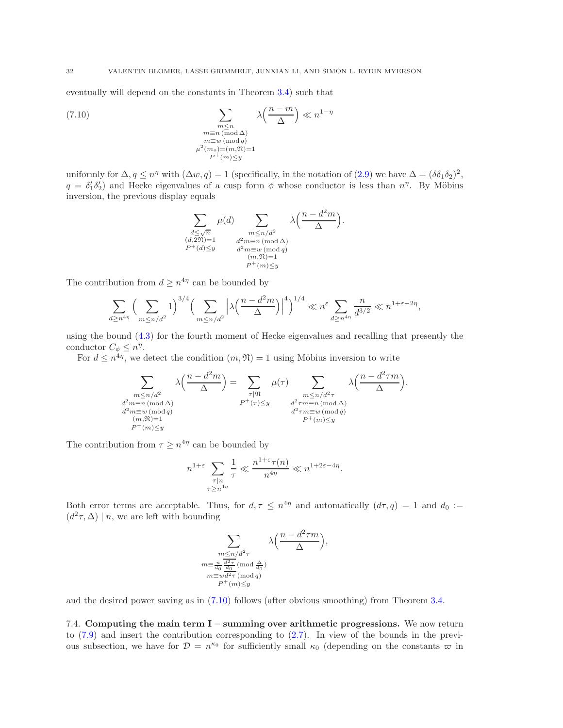eventually will depend on the constants in Theorem [3.4\)](#page-8-0) such that

<span id="page-31-1"></span>(7.10) 
$$
\sum_{\substack{m \le n \\ m \equiv n \pmod{\Delta} \\ m \equiv w \pmod{q} \\ \mu^2(m_o) = (m, \mathfrak{N}) = 1}} \lambda\left(\frac{n - m}{\Delta}\right) \ll n^{1 - \eta}
$$

uniformly for  $\Delta, q \leq n^{\eta}$  with  $(\Delta w, q) = 1$  (specifically, in the notation of  $(2.9)$  we have  $\Delta = (\delta \delta_1 \delta_2)^2$ ,  $q = \delta'_1 \delta'_2$  and Hecke eigenvalues of a cusp form  $\phi$  whose conductor is less than  $n^{\eta}$ . By Möbius inversion, the previous display equals

$$
\sum_{\substack{d \le \sqrt{n} \\ (d, 2\mathfrak{N}) = 1 \\ P^+(d) \le y}} \mu(d) \sum_{\substack{m \le n/d^2 \\ d^2 m \equiv n \pmod{\Delta} \\ d^2 m \equiv w \pmod{q} \\ (m, \mathfrak{N}) = 1 \\ P^+(m) \le y}} \lambda\left(\frac{n - d^2 m}{\Delta}\right).
$$

The contribution from  $d \geq n^{4\eta}$  can be bounded by

$$
\sum_{d\geq n^{4\eta}}\Big(\sum_{m\leq n/d^2}1\Big)^{3/4}\Big(\sum_{m\leq n/d^2}\Big|\lambda\Big(\frac{n-d^2m}{\Delta}\Big)\Big|^4\Big)^{1/4}\ll n^{\varepsilon}\sum_{d\geq n^{4\eta}}\frac{n}{d^{3/2}}\ll n^{1+\varepsilon-2\eta},
$$

using the bound [\(4.3\)](#page-12-2) for the fourth moment of Hecke eigenvalues and recalling that presently the conductor  $C_{\phi} \leq n^{\eta}$ .

For  $d \leq n^{4\eta}$ , we detect the condition  $(m, \mathfrak{N}) = 1$  using Möbius inversion to write

$$
\sum_{\substack{m \le n/d^2 \\ d^2m \equiv n \, (\text{mod } \Delta) \\ d^2m \equiv w \, (\text{mod } q) \\ (m, \mathfrak{N}) = 1}} \lambda\left(\frac{n - d^2m}{\Delta}\right) = \sum_{\substack{\tau \mid \mathfrak{N} \\ P^+(\tau) \le y}} \mu(\tau) \sum_{\substack{m \le n/d^2\tau \\ d^2\tau m \equiv n \, (\text{mod } \Delta) \\ d^2\tau m \equiv w \, (\text{mod } q) \\ P^+(m) \le y}} \lambda\left(\frac{n - d^2\tau m}{\Delta}\right).
$$

The contribution from  $\tau \geq n^{4\eta}$  can be bounded by

$$
n^{1+\varepsilon}\sum_{\substack{\tau|n\\ \tau\geq n^{4\eta}}} \frac{1}{\tau} \ll \frac{n^{1+\varepsilon}\tau(n)}{n^{4\eta}} \ll n^{1+2\varepsilon-4\eta}.
$$

Both error terms are acceptable. Thus, for  $d, \tau \leq n^{4\eta}$  and automatically  $(d\tau, q) = 1$  and  $d_0 :=$  $(d^2\tau, \Delta) \mid n$ , we are left with bounding

$$
\sum_{\substack{m \le n/d^2 \tau \\ m \equiv \frac{n}{d_0} \frac{d^2 \tau}{d_0} \pmod{\frac{\Delta}{d_0}} \\ m \equiv w d^2 \tau \pmod{q} \\ P^+(m) \le y}} \lambda\left(\frac{n - d^2 \tau m}{\Delta}\right),
$$

and the desired power saving as in [\(7.10\)](#page-31-1) follows (after obvious smoothing) from Theorem [3.4.](#page-8-0)

<span id="page-31-0"></span>7.4. Computing the main term I – summing over arithmetic progressions. We now return to  $(7.9)$  and insert the contribution corresponding to  $(2.7)$ . In view of the bounds in the previous subsection, we have for  $\mathcal{D} = n^{\kappa_0}$  for sufficiently small  $\kappa_0$  (depending on the constants  $\varpi$  in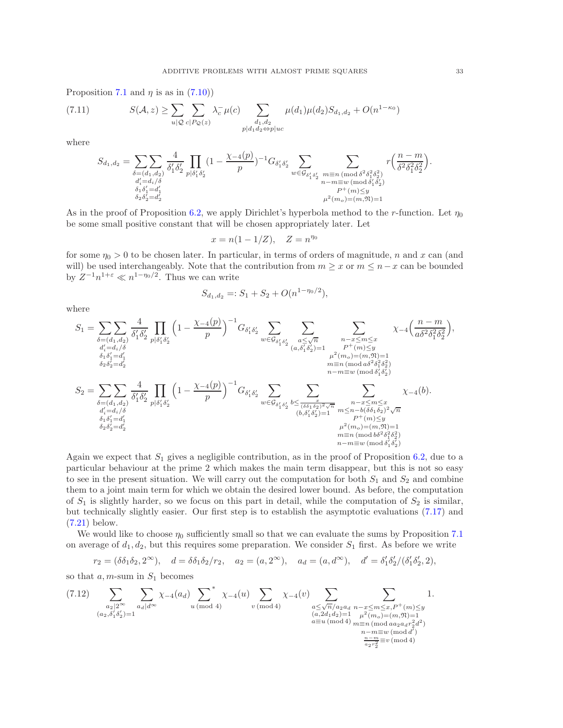Proposition [7.1](#page-24-0) and  $\eta$  is as in [\(7.10\)](#page-31-1))

<span id="page-32-1"></span>(7.11) 
$$
S(\mathcal{A}, z) \geq \sum_{u | \mathcal{Q}} \sum_{c | P_{\mathcal{Q}}(z)} \lambda_c^-(\mu(c) \sum_{\substack{d_1, d_2 \\ p | d_1 d_2 \Leftrightarrow p | uc}} \mu(d_1) \mu(d_2) S_{d_1, d_2} + O(n^{1 - \kappa_0})
$$

where

$$
S_{d_1,d_2} = \sum_{\substack{\delta = (d_1,d_2) \\ d'_i = d_i/\delta \\ \delta_1 \delta'_1 = d'_1}} \frac{4}{\delta'_1 \delta'_2} \prod_{p | \delta'_1 \delta'_2} (1 - \frac{\chi_{-4}(p)}{p})^{-1} G_{\delta'_1 \delta'_2} \sum_{w \in \mathcal{G}_{\delta'_1 \delta'_2}} \sum_{\substack{m \equiv n \, (\text{mod} \, \delta^2 \delta_1^2 \delta_2^2) \\ n - m \equiv w \, (\text{mod} \, \delta'_1 \delta'_2) \\ p^+(m) \leq y \\ \mu^2(m_o) = (m, \mathfrak{N}) = 1}} r \Big( \frac{n - m}{\delta^2 \delta_1^2 \delta_2^2} \Big).
$$

As in the proof of Proposition [6.2,](#page-18-3) we apply Dirichlet's hyperbola method to the r-function. Let  $\eta_0$ be some small positive constant that will be chosen appropriately later. Let

$$
x = n(1 - 1/Z), \quad Z = n^{\eta_0}
$$

for some  $\eta_0 > 0$  to be chosen later. In particular, in terms of orders of magnitude, n and x can (and will) be used interchangeably. Note that the contribution from  $m \geq x$  or  $m \leq n-x$  can be bounded by  $Z^{-1}n^{1+\varepsilon} \ll n^{1-\eta_0/2}$ . Thus we can write

$$
S_{d_1,d_2} =: S_1 + S_2 + O(n^{1-\eta_0/2}),
$$

where

$$
\begin{split} S_1 &= \sum_{\substack{\delta=(d_1,d_2) \\ d'_i=d_i/\delta \\ d'_i=d'_i \\ \delta_1\delta'_1=d'_i}} \frac{4}{\delta'_1\delta'_2} \prod_{p|\delta'_1\delta'_2} \Big(1-\frac{\chi_{-4}(p)}{p}\Big)^{-1} G_{\delta'_1\delta'_2} \sum_{w\in\mathcal{G}_{\delta'_1\delta'_2}} \sum_{\substack{a\leq \sqrt{n} \\ (a,\delta'_1\delta'_2)=1}} \sum_{\substack{n-x\leq m\leq x \\ p^+(m)\leq y \\ n\equiv n \,(\text{mod}\,a\delta^2\delta_1^2\delta_2^2}} \chi_{-4} \Big(\frac{n-m}{a\delta^2\delta_1^2\delta_2^2}\Big),\\ S_2&=\sum_{\substack{\delta=(d_1,d_2) \\ d'_i=d'_i \\ d'_i=d'_i \\ \delta_1\delta'_1=d'_i}} \frac{4}{\delta_1\delta'_2} \prod_{p|\delta'_1\delta'_2} \Big(1-\frac{\chi_{-4}(p)}{p}\Big)^{-1} G_{\delta'_1\delta'_2} \sum_{w\in\mathcal{G}_{\delta'_1\delta'_2}} \sum_{\substack{b\leq \frac{x}{(\delta\delta_1\delta_2)^2\sqrt{n} \\ (b,\delta'_1\delta'_2)=1}} \sum_{\substack{n-x\leq m\leq x \\ m\leq n-b(\delta\delta_1\delta_2)^2\sqrt{n} \\ \delta_1\delta'_1=d'_1 \\ p^+(m)\leq y \\ \delta_2\delta'_2=d'_2}} \chi_{-4}(b).\\ \delta_2\delta'_2&=d'_2} \sum_{\substack{b\leq \frac{x}{(\delta\delta_1\delta_2)^2\sqrt{n} \\ b\equiv n \,(\text{mod}\,b\delta^2\delta_1^2\delta_2^2)}} \sum_{\substack{n-x\leq m\leq x \\ (b,\delta'_1\delta'_2)=1}} \sum_{\substack{n-x\leq m\leq x \\ p^+(m)\leq y \\ n-m\equiv w \,(\text{mod}\,b\delta^2\delta_1^2\delta_2^2)}} \chi_{-4}(b). \end{split}
$$

Again we expect that  $S_1$  gives a negligible contribution, as in the proof of Proposition [6.2,](#page-18-3) due to a particular behaviour at the prime 2 which makes the main term disappear, but this is not so easy to see in the present situation. We will carry out the computation for both  $S_1$  and  $S_2$  and combine them to a joint main term for which we obtain the desired lower bound. As before, the computation of  $S_1$  is slightly harder, so we focus on this part in detail, while the computation of  $S_2$  is similar, but technically slightly easier. Our first step is to establish the asymptotic evaluations [\(7.17\)](#page-35-0) and [\(7.21\)](#page-37-0) below.

We would like to choose  $\eta_0$  sufficiently small so that we can evaluate the sums by Proposition [7.1](#page-24-0) on average of  $d_1, d_2$ , but this requires some preparation. We consider  $S_1$  first. As before we write

$$
r_2 = (\delta \delta_1 \delta_2, 2^{\infty}), \quad d = \delta \delta_1 \delta_2 / r_2, \quad a_2 = (a, 2^{\infty}), \quad a_d = (a, d^{\infty}), \quad d' = \delta_1' \delta_2' / (\delta_1' \delta_2', 2),
$$

so that  $a, m$ -sum in  $S_1$  becomes

<span id="page-32-0"></span>
$$
(7.12) \sum_{\substack{a_2 \mid 2^{\infty} \\ (a_2, \delta'_1 \delta'_2) = 1}} \sum_{\substack{a_d \mid d^{\infty} \\ a_d \mid d^{\infty}}} \chi_{-4}(a_d) \sum_{\substack{u \pmod{4} \\ u \pmod{4}}}^* \chi_{-4}(u) \sum_{\substack{a \le \sqrt{n}/a_2 a_d \\ (a_2, \delta'_1 a_2) = 1 \\ a \equiv u \pmod{4} \\ n \equiv n \pmod{4} \\ n \equiv m \pmod{d'} \\ \frac{n - m \equiv w \pmod{d}}{a_2 n^2 \equiv v \pmod{4}}} 1.
$$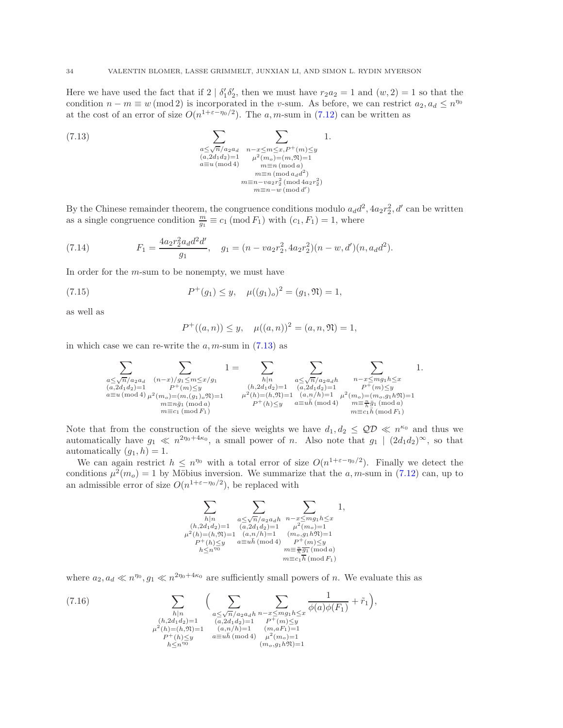Here we have used the fact that if  $2 | \delta'_1 \delta'_2$ , then we must have  $r_2 a_2 = 1$  and  $(w, 2) = 1$  so that the condition  $n - m \equiv w \pmod{2}$  is incorporated in the v-sum. As before, we can restrict  $a_2, a_d \leq n^{\eta_0}$ at the cost of an error of size  $O(n^{1+\varepsilon-\eta_0/2})$ . The a, m-sum in [\(7.12\)](#page-32-0) can be written as

<span id="page-33-0"></span>(7.13) 
$$
\sum_{\substack{a \le \sqrt{n}/a_2 a_d \\ (a, 2d_1 d_2) = 1 \\ a \equiv u \pmod{4}}} \sum_{\substack{n-x \le m \le x, P^+(m) \le y \\ \mu^2(m_o) = (m, \mathfrak{N}) = 1 \\ m \equiv n \pmod{a} \\ m \equiv n - va_2 r_2^2 \pmod{4a_2 r_2^2}}}} 1.
$$

By the Chinese remainder theorem, the congruence conditions modulo  $a_d d^2$ ,  $4a_2 r_2^2$ , d' can be written as a single congruence condition  $\frac{m}{g_1} \equiv c_1 \pmod{F_1}$  with  $(c_1, F_1) = 1$ , where

<span id="page-33-1"></span>(7.14) 
$$
F_1 = \frac{4a_2r_2^2a_d d^2d'}{g_1}, \quad g_1 = (n - va_2r_2^2, 4a_2r_2^2)(n - w, d')(n, a_d d^2).
$$

In order for the m-sum to be nonempty, we must have

<span id="page-33-3"></span>(7.15) 
$$
P^+(g_1) \leq y, \quad \mu((g_1)_o)^2 = (g_1, \mathfrak{N}) = 1,
$$

as well as

$$
P^+((a, n)) \le y, \quad \mu((a, n))^2 = (a, n, \mathfrak{N}) = 1,
$$

in which case we can re-write the  $a, m$ -sum in  $(7.13)$  as

$$
\sum_{\substack{a \le \sqrt{n}/a_2a_d \pmod{4} \\ (a,2d_1d_2)=1}} \sum_{\substack{p+ (m) \leq y \\ p+ (m) \leq y \\ m \equiv n \bar{g}_1 \pmod{4}}} 1 = \sum_{\substack{h|n \\ (h,2d_1d_2)=1}} \sum_{\substack{a \le \sqrt{n}/a_2a_dh \\ (h,2d_1d_2)=1}} \sum_{\substack{n-x \leq m g_1h \leq x \\ (a,2d_1d_2)=1 \\ p^2(h) = (h, \mathfrak{N}) = 1}} \sum_{\substack{a \leq \sqrt{n}/a_2a_dh \\ (a,2d_1d_2)=1 \\ (a,n/h)=1 \\ m \equiv \frac{n}{h} \bar{g}_1 \pmod{R} \\ m \equiv \frac{n}{h} \bar{g}_1 \pmod{R} \\ m \equiv c_1 \bar{h} \pmod{F_1}} 1.
$$

Note that from the construction of the sieve weights we have  $d_1, d_2 \leq QD \ll n^{\kappa_0}$  and thus we automatically have  $g_1 \ll n^{2\eta_0+4\kappa_0}$ , a small power of n. Also note that  $g_1 \mid (2d_1d_2)^\infty$ , so that automatically  $(g_1, h) = 1$ .

We can again restrict  $h \leq n^{\eta_0}$  with a total error of size  $O(n^{1+\epsilon-\eta_0/2})$ . Finally we detect the conditions  $\mu^2(m_o) = 1$  by Möbius inversion. We summarize that the a, m-sum in [\(7.12\)](#page-32-0) can, up to an admissible error of size  $O(n^{1+\epsilon-\eta_0/2})$ , be replaced with



where  $a_2, a_d \ll n^{\eta_0}, g_1 \ll n^{2\eta_0+4\kappa_0}$  are sufficiently small powers of *n*. We evaluate this as

<span id="page-33-2"></span>(7.16) 
$$
\sum_{\substack{h|n \ (h,2d_1d_2)=1 \ \mu^2(h)=(h,\mathfrak{N})=1}} \left( \sum_{\substack{a \leq \sqrt{n}/a_2a_dh \\ (a,2d_1d_2)=1 \ \mu^2(h)=(h,\mathfrak{N})=1}} \sum_{\substack{a \leq \sqrt{n}/a_2a_dh \\ (a,n/h)=1 \ (m,aF_1)=1 \ (m,F_1)=1 \ \mu^2(h) \leq y \\ h \leq n^{\eta_0}}} \frac{1}{\varphi(a)\phi(F_1)} + \tilde{r}_1 \right),
$$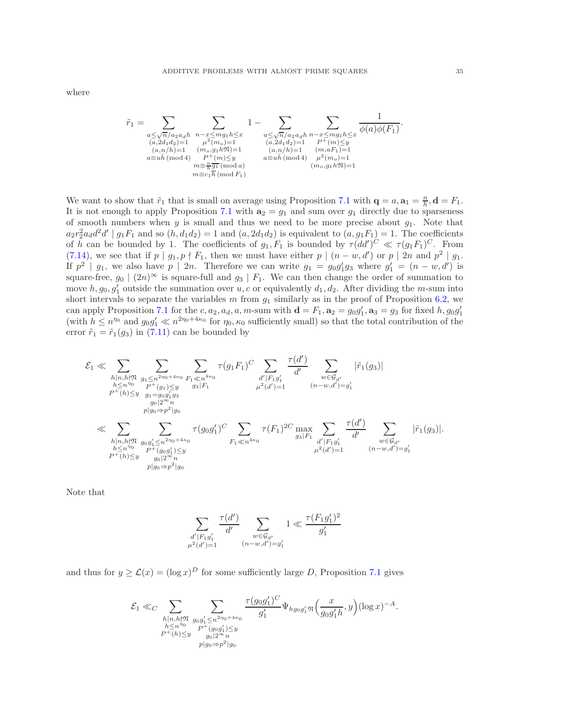where

$$
\tilde{r}_1 = \sum_{\substack{a \le \sqrt{n}/a_2a_dh \\ (a,2d_1d_2)=1}} \sum_{\substack{n-x \le mg_1h \le x \\ \mu^2(m_0)=1 \\ n \equiv u\bar{h} \,(\text{mod } 4)}} 1 - \sum_{\substack{a \le \sqrt{n}/a_2a_dh \\ (a,2d_1d_2)=1 \\ (a,n/h)=1}} \sum_{\substack{m \ge \sqrt{n}/a_2a_dh \\ (a,2d_1d_2)=1 \\ (a,n/h)=1 \\ n \equiv \frac{n}{n} \, \overline{g_1} \,(\text{mod } a)}} \frac{1}{\phi(a)\phi(F_1)}.
$$
\n
$$
\sum_{\substack{a \le \sqrt{n}/a_2a_dh \\ (a,2d_1d_2)=1 \\ (a,n/h)=1 \\ a \equiv u\bar{h} \,(\text{mod } 4)} \sum_{\substack{p^+(m) \le y \\ p^2(m_0)=1 \\ (m_0,g_1h\mathfrak{N})=1}} \frac{1}{\phi(a)\phi(F_1)}.
$$

We want to show that  $\tilde{r}_1$  that is small on average using Proposition [7.1](#page-24-0) with  $\mathbf{q} = a, \mathbf{a}_1 = \frac{n}{h}, \mathbf{d} = F_1$ . It is not enough to apply Proposition [7.1](#page-24-0) with  $a_2 = g_1$  and sum over  $g_1$  directly due to sparseness of smooth numbers when y is small and thus we need to be more precise about  $g_1$ . Note that  $a_2r_2^2a_d d^2d' | g_1F_1$  and so  $(h, d_1d_2) = 1$  and  $(a, 2d_1d_2)$  is equivalent to  $(a, g_1F_1) = 1$ . The coefficients of h can be bounded by 1. The coefficients of  $g_1, F_1$  is bounded by  $\tau(dd')^C \ll \tau(g_1F_1)^C$ . From [\(7.14\)](#page-33-1), we see that if  $p | g_1, p \nmid F_1$ , then we must have either  $p | (n - w, d')$  or  $p | 2n$  and  $p^2 | g_1$ . If  $p^2 \mid g_1$ , we also have  $p \mid 2n$ . Therefore we can write  $g_1 = g_0 g_1' g_3$  where  $g_1' = (n - w, d')$  is square-free,  $g_0 | (2n)^\infty$  is square-full and  $g_3 | F_1$ . We can then change the order of summation to move  $h, g_0, g'_1$  outside the summation over  $u, c$  or equivalently  $d_1, d_2$ . After dividing the m-sum into short intervals to separate the variables m from  $g_1$  similarly as in the proof of Proposition [6.2,](#page-18-3) we can apply Proposition [7.1](#page-24-0) for the c,  $a_2$ ,  $a_d$ ,  $a$ ,  $m$ -sum with  $\mathbf{d} = F_1$ ,  $\mathbf{a}_2 = g_0 g'_1$ ,  $\mathbf{a}_3 = g_3$  for fixed  $h$ ,  $g_0 g'_1$  (with  $h \leq n^{\eta_0}$  and  $g_0 g'_1 \ll n^{2\eta_0+4\kappa_0}$  for  $\eta_0$ ,  $\kappa_0$  sufficiently error  $\tilde{r}_1 = \tilde{r}_1(g_3)$  in [\(7.11\)](#page-32-1) can be bounded by

$$
\mathcal{E}_{1} \ll \sum_{\substack{h|n,h \nmid \mathfrak{N} \\ h \leq n^{700} \\ P^+(h) \leq y}} \sum_{\substack{g_1 \leq n^{2\eta_0 + 4\kappa_0} \\ g_1 \leq g_1 \\ g_0 | 2^{\infty} n \\ g_0 | 2^{\infty} n}} \tau(g_1 F_1)^C \sum_{\substack{d'|F_1 g'_1 \\ d''_1 d''_2(d') = 1}} \frac{\tau(d')}{d'} \sum_{\substack{w \in \mathcal{G}_{d'}} \\ (n - w, d') = g'_1}} |\tilde{r}_1(g_3)|
$$
\n
$$
\ll \sum_{\substack{h|n,h \nmid \mathfrak{N} \\ h \leq n^{700} \\ h \leq n^{700} \\ P^+(h) \leq y}} \sum_{\substack{g_0 | 2^{\infty} n \\ g_0 | 2^{\infty} n \\ g_1 | 2^{\infty} n}} \tau(g_0 g'_1)^C \sum_{\substack{F_1 \ll n^{4\kappa_0} \\ F_1 \ll n^{4\kappa_0}}} \tau(F_1)^{2C} \max_{\substack{g_3 | F_1 \\ g_3 | F_1}} \sum_{\substack{d'|F_1 g'_1 \\ d'| F_1 g'_1 \\ d''_2(d') = 1}} \frac{\tau(d')}{d'} \sum_{\substack{w \in \mathcal{G}_{d'}} \\ w \in \mathcal{G}_{d'}} |\tilde{r}_1(g_3)|.
$$

Note that

$$
\sum_{\substack{d' \mid F_1 g'_1 \\ \mu^2(d') = 1}} \frac{\tau(d')}{d'} \sum_{\substack{w \in \mathcal{G}_{d'}} \\ (n - w, d') = g'_1} 1 \ll \frac{\tau(F_1 g'_1)^2}{g'_1}
$$

and thus for  $y \ge \mathcal{L}(x) = (\log x)^D$  for some sufficiently large D, Proposition [7.1](#page-24-0) gives

$$
\mathcal{E}_1 \ll_C \sum_{\substack{h|n,h\nmid \mathfrak{N} \\ h \leq n^{\eta_0} \\ P^+(h) \leq y}} \sum_{\substack{g_0 g_1' \leq n^{2\eta_0 + 4\kappa_0} \\ P^+(g_0g_1') \leq y \\ g_0 | 2^{\infty} n}} \frac{\tau(g_0 g_1')^C}{g_1'} \Psi_{h g_0 g_1' \mathfrak{N}} \Big(\frac{x}{g_0 g_1'h}, y\Big) (\log x)^{-A}.
$$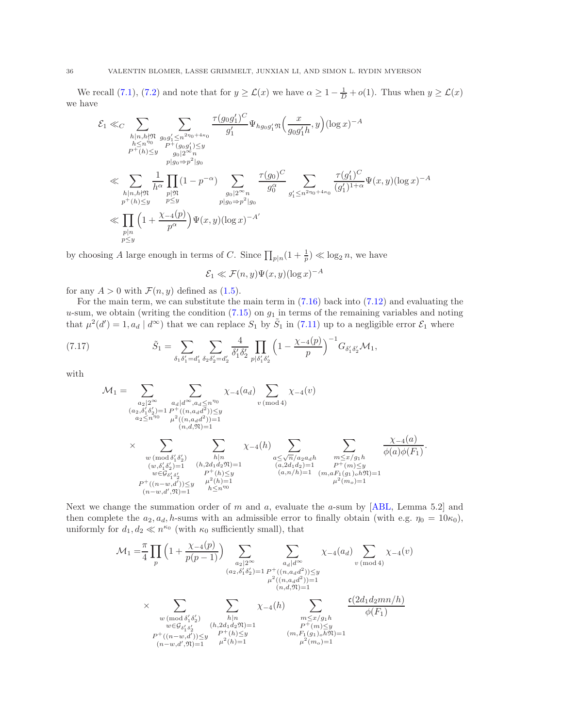We recall [\(7.1\)](#page-25-0), [\(7.2\)](#page-25-2) and note that for  $y \geq \mathcal{L}(x)$  we have  $\alpha \geq 1 - \frac{1}{D} + o(1)$ . Thus when  $y \geq \mathcal{L}(x)$ we have

$$
\mathcal{E}_1 \ll_C \sum_{\substack{h|n,h \nmid \mathfrak{N} \\ h \leq n^{70} \\ p+(h) \leq y}} \sum_{\substack{g_0 g_1' \leq n^{2\eta_0+4\kappa_0 \\ p^+(g_0g_1') \leq y \\ g_0 \geq \infty}} \frac{\tau(g_0g_1')^C}{g_1'} \Psi_{h g_0 g_1' \mathfrak{N}} \left(\frac{x}{g_0g_1'h}, y\right) (\log x)^{-A}
$$
\n
$$
\ll \sum_{\substack{h|n,h \nmid \mathfrak{N} \\ h \neq 0}} \frac{1}{h^{\alpha}} \prod_{\substack{g_0 \geq \infty \\ p \mid \mathfrak{N} \\ p \leq y}} (1-p^{-\alpha}) \sum_{\substack{g_0 \geq \infty \\ g_0 \geq \infty \\ p \mid g_0 \Rightarrow p^2 \mid g_0}} \frac{\tau(g_0)^C}{g_0^{\alpha}} \sum_{\substack{g_1' \leq n^{2\eta_0+4\kappa_0} \\ g_1' \leq n^{2\eta_0+4\kappa_0}}} \frac{\tau(g_1')^C}{(g_1')^{1+\alpha}} \Psi(x, y) (\log x)^{-A}
$$
\n
$$
\ll \prod_{\substack{p|n \\ p \leq y}} \left(1 + \frac{\chi_{-4}(p)}{p^{\alpha}}\right) \Psi(x, y) (\log x)^{-A'}
$$

by choosing A large enough in terms of C. Since  $\prod_{p|n}(1+\frac{1}{p}) \ll \log_2 n$ , we have

$$
\mathcal{E}_1 \ll \mathcal{F}(n,y) \Psi(x,y) (\log x)^{-A}
$$

for any  $A > 0$  with  $\mathcal{F}(n, y)$  defined as [\(1.5\)](#page-2-4).

For the main term, we can substitute the main term in  $(7.16)$  back into  $(7.12)$  and evaluating the u-sum, we obtain (writing the condition  $(7.15)$  on  $g_1$  in terms of the remaining variables and noting that  $\mu^2(d') = 1, a_d \mid d^{\infty}$  that we can replace  $S_1$  by  $\tilde{S}_1$  in [\(7.11\)](#page-32-1) up to a negligible error  $\mathcal{E}_1$  where

<span id="page-35-0"></span>(7.17) 
$$
\tilde{S}_1 = \sum_{\delta_1 \delta_1' = d_1'} \sum_{\delta_2 \delta_2' = d_2'} \frac{4}{\delta_1' \delta_2'} \prod_{p | \delta_1' \delta_2'} \left(1 - \frac{\chi_{-4}(p)}{p}\right)^{-1} G_{\delta_1' \delta_2'} \mathcal{M}_1,
$$

with

$$
\begin{array}{lcl} \mathcal{M}_1 = & \displaystyle \sum_{\substack{a_2 \mid 2^{\infty} \\ (a_2, \delta'_1 \delta'_2) = 1}} \sum_{\substack{a_d \mid d^{\infty}, a_d \leq n^{\eta_0} \\ \mu^2((n, a_d d^2)) \leq y \\ a_2 \leq n^{\eta_0}}} \chi_{-4}(a_d) \sum_{v \, (\operatorname{mod} 4)} \chi_{-4}(v) \\ & \displaystyle \sum_{\substack{a_2 \mid d^{\infty} \\ (a_3, \delta'_1 \delta'_2) = 1}} \sum_{\substack{\mu^2((n, a_d d^2)) = 1 \\ (b, 2d_1 d_2 \mathfrak{N}) = 1}} \chi_{-4}(h) \sum_{\substack{a \leq \sqrt{n}/a_2 a_d h \\ a \leq \sqrt{n}/a_2 a_d h \\ \mu^2(m_2 a_d h)}} \sum_{\substack{m \leq x/g_1 h \\ m \leq x/g_1 h \\ m \leq x/g_1 h \\ \mu^2(m_2 g_2 g_1 g_2 g_2 g_3 g_4 g_5 g_2 g_3 g_4 g_5 g_6 g_7 g_7 g_8 g_9 g_9 g_9 g_9 g_9 g_9 g_1 g_9 g_1 g_2 g_3 g_4 g_2 g_1 g_2 g_3 g_4 g_4 g_2 g_3 g_4 g_4 g_2 g_3 g_4 g_4 g_2 g_3 g_4 g_4 g_4 g_2 g_3 g_4 g_4 g_2 g_3 g_4 g_4 g_2 g_3 g_4 g_4 g_2 g_3 g_4 g_4 g_2 g_3 g_4 g_4 g_2 g_3 g_4 g_4 g_2 g_3 g_4 g_4 g_4 g_3 g_4 g_4 g_4 g_5 g_4 g_4 g_5 g_4 g_5 g_4 g_5 g_4 g_5 g_4 g_5 g_4 g_5 g_4 g_5 g_4 g_6 g_5 g_6 g_6 g_7 g_7 g_7 g_7 g_7 g_7 g_7 g_7 g_7 g_7 g_7 g_7 g_8 g_7 g_7 g_8 g_7 g_7 g_8 g_7 g_7 g_8 g_7 g_7 g_8 g_7 g_7 g_8 g_7 g_7 g_8 g_7 g_7 g_8 g_7 g_8 g_7 g_7 g_8 g_7 g_
$$

Next we change the summation order of m and a, evaluate the a-sum by  $[ABL, Lemma 5.2]$  and then complete the  $a_2, a_d, h$ -sums with an admissible error to finally obtain (with e.g.  $\eta_0 = 10\kappa_0$ ), uniformly for  $d_1, d_2 \ll n^{\kappa_0}$  (with  $\kappa_0$  sufficiently small), that

$$
\mathcal{M}_{1} = \frac{\pi}{4} \prod_{p} \left( 1 + \frac{\chi_{-4}(p)}{p(p-1)} \right) \sum_{\substack{a_{2}|2^{\infty} \\ (a_{2}, \delta'_{1}\delta'_{2}) = 1}} \sum_{\substack{P^{+}((n, a_{d}d^{2})) \leq y \\ \mu^{2}((n, a_{d}d^{2})) = 1}} \chi_{-4}(a_{d}) \sum_{v \pmod{4}} \chi_{-4}(v)
$$
\n
$$
\times \sum_{\substack{w \pmod{6'_{1}\delta'_{2}}} \\ w \in \mathcal{G}_{\delta'_{1}\delta'_{2}}} \sum_{\substack{h|n \\ (h, 2d_{1}d_{2}\mathfrak{N}) = 1}} \chi_{-4}(h) \sum_{\substack{m \leq x/g_{1}h \\ m \leq x/g_{1}h \\ P^{+}(m) \leq y \\ (n - w, d', \mathfrak{N}) = 1}} \frac{\mathfrak{c}(2d_{1}d_{2}mn/h)}{\phi(F_{1})} \overline{\phi(F_{1})}
$$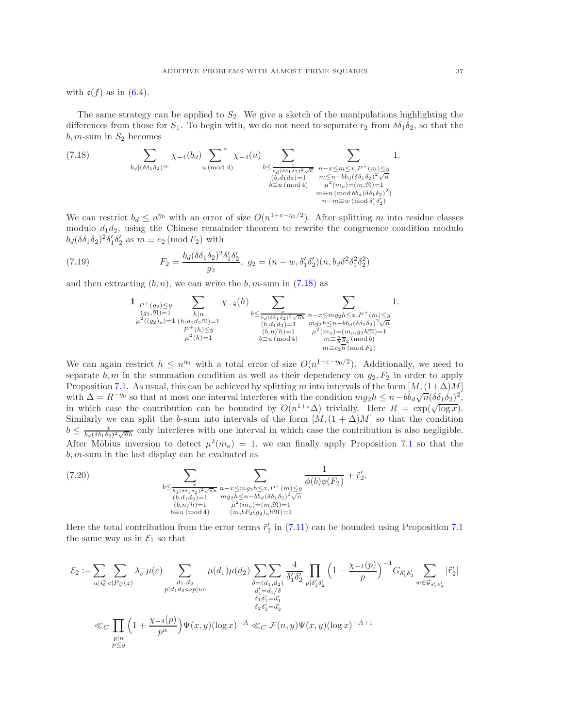with  $c(f)$  as in  $(6.4)$ .

The same strategy can be applied to  $S_2$ . We give a sketch of the manipulations highlighting the differences from those for  $S_1$ . To begin with, we do not need to separate  $r_2$  from  $\delta \delta_1 \delta_2$ , so that the  $b, m$ -sum in  $S_2$  becomes

<span id="page-36-0"></span>(7.18) 
$$
\sum_{\substack{b_d \mid (\delta \delta_1 \delta_2)^\infty \\ b_d \equiv u \pmod{4}}} \chi_{-4}(b_d) \sum_{\substack{u \pmod{4} \\ u \pmod{4}}}^* \chi_{-4}(u) \sum_{\substack{b \le \frac{x}{b_d(\delta \delta_1 \delta_2)^2 \sqrt{n} \\ (b, d_1 d_2) = 1 \\ b \equiv u \pmod{4}}} \sum_{\substack{m - x \le m \le x, P^+(m) \le y \\ m \le n - bb_d(\delta \delta_1 \delta_2)^2 \sqrt{n} \\ m \equiv n \pmod{b_d(\delta \delta_1 \delta_2)^2}}} 1.
$$

We can restrict  $b_d \n\t\leq n^{\eta_0}$  with an error of size  $O(n^{1+\varepsilon-\eta_0/2})$ . After splitting m into residue classes modulo  $d_1d_2$ , using the Chinese remainder theorem to rewrite the congruence condition modulo  $b_d(\delta \delta_1 \delta_2)^2 \delta'_1 \delta'_2$  as  $m \equiv c_2 \pmod{F_2}$  with

<span id="page-36-2"></span>(7.19) 
$$
F_2 = \frac{b_d(\delta \delta_1 \delta_2)^2 \delta'_1 \delta'_2}{g_2}, \ g_2 = (n - w, \delta'_1 \delta'_2)(n, b_d \delta^2 \delta_1^2 \delta_2^2)
$$

and then extracting  $(b, n)$ , we can write the  $b, m$ -sum in [\(7.18\)](#page-36-0) as

$$
\begin{array}{llll}1 & p +_{(g_2) \le y} & \displaystyle \sum_{\substack{(g_2, \mathfrak{N}) = 1\\ \mu^2((g_2)_o) = 1}} \sum_{\substack{h \mid n\\ h^2(h) = 1}} \chi_{-4}(h) & \displaystyle \sum_{\substack{\frac{x}{b_d(\delta \delta_1 \delta_2)^2 \sqrt{n}h}\\ (b, d_1 d_2) = 1\\ \mu^2(h) = 1}} \sum_{\substack{h \mid n \\ h^2(h) = 1}} \sum_{\substack{\frac{x}{b_d(\delta \delta_1 \delta_2)^2 \sqrt{n}h}\\ (b, n/h) = 1\\ b \equiv u \, (\text{mod } 4)}} \sum_{\substack{n - x \le mg_2h \le x, P^+(m) \le y\\ m \equiv \frac{n}{h} \overline{g}_2 \, (\text{mod } b)\\ m \equiv c_2 h \, (\text{mod } F_2)}} 1. \end{array}
$$

We can again restrict  $h \leq n^{\eta_0}$  with a total error of size  $O(n^{1+\varepsilon-\eta_0/2})$ . Additionally, we need to separate  $b, m$  in the summation condition as well as their dependency on  $g_2, F_2$  in order to apply Proposition [7.1.](#page-24-0) As usual, this can be achieved by splitting m into intervals of the form  $[M,(1+\Delta)M]$ with  $\Delta = R^{-\eta_0}$  so that at most one interval interferes with the condition  $mg_2h \leq n - bb_d\sqrt{n}(\delta\delta_1\delta_2)^2$ , in which case the contribution can be bounded by  $O(n^{1+\epsilon}\Delta)$  trivially. Here  $R = \exp(\sqrt{\log x})$ . Similarly we can split the b-sum into intervals of the form  $[M,(1 + \Delta)M]$  so that the condition  $b \leq \frac{x}{b_d(\delta\delta_1\delta_2)^2\sqrt{n}h}$  only interferes with one interval in which case the contribution is also negligible. After Möbius inversion to detect  $\mu^2(m_o) = 1$ , we can finally apply Proposition [7.1](#page-24-0) so that the b, m-sum in the last display can be evaluated as

<span id="page-36-1"></span>(7.20) 
$$
\sum_{\substack{b \le \frac{x}{b_d(\delta\delta_1\delta_2)^2\sqrt{n}h} \ n-x \le m g_2h \le x, P^+(m) \le y \\ (b, d_1d_2)=1 \\ (b, n/h)=1}} \sum_{\substack{m-x \le m g_2h \le x, P^+(m) \le y \\ m g_2h \le n - b b_d(\delta\delta_1\delta_2)^2\sqrt{n} \\ \mu^2(m_o)=(m, \mathfrak{N})=1 \\ (m, bF_2(g_2)_o h \mathfrak{N})=1}} \frac{1}{\phi(b)\phi(F_2)} + \tilde{r}_2'.
$$

Here the total contribution from the error terms  $\tilde{r}'_2$  in [\(7.11\)](#page-32-1) can be bounded using Proposition [7.1](#page-24-0) the same way as in  $\mathcal{E}_1$  so that

$$
\mathcal{E}_2 := \sum_{u|\mathcal{Q}} \sum_{c|P_{\mathcal{Q}}(z)} \lambda_c^- \mu(c) \sum_{\substack{d_1, d_2 \\ p|d_1d_2 \Leftrightarrow p|uc}} \mu(d_1)\mu(d_2) \sum_{\substack{\delta = (d_1, d_2) \\ d'_i = d_i/\delta \\ \delta_1 \delta'_1 = d'_1 \\ \delta_2 \delta'_2 = d'_2}} \frac{4}{\delta'_1 \delta'_2} \prod_{p|\delta'_1 \delta'_2} \left(1 - \frac{\chi_{-4}(p)}{p}\right)^{-1} G_{\delta'_1 \delta'_2} \sum_{w \in \mathcal{G}_{\delta'_1 \delta'_2}} |\tilde{r}'_2|
$$
  

$$
\ll_C \prod_{\substack{p|n \\ p|n}} \left(1 + \frac{\chi_{-4}(p)}{p^{\alpha}}\right) \Psi(x, y) (\log x)^{-A} \ll_C \mathcal{F}(n, y) \Psi(x, y) (\log x)^{-A+1}
$$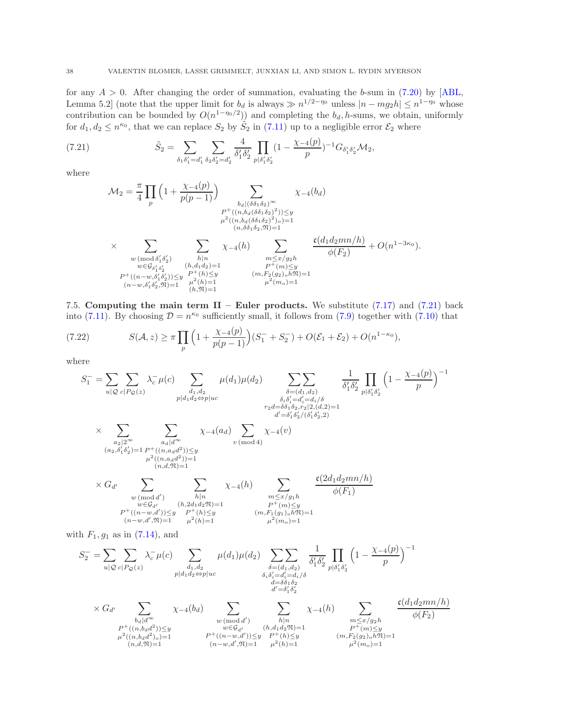for any  $A > 0$ . After changing the order of summation, evaluating the b-sum in [\(7.20\)](#page-36-1) by [\[ABL,](#page-48-2) Lemma 5.2] (note that the upper limit for  $b_d$  is always  $\gg n^{1/2-\eta_0}$  unless  $|n - mg_2 h| \leq n^{1-\eta_0}$  whose contribution can be bounded by  $O(n^{1-\eta_0/2})$  and completing the  $b_d$ , h-sums, we obtain, uniformly for  $d_1, d_2 \leq n^{\kappa_0}$ , that we can replace  $S_2$  by  $\tilde{S}_2$  in [\(7.11\)](#page-32-1) up to a negligible error  $\mathcal{E}_2$  where

<span id="page-37-0"></span>(7.21) 
$$
\tilde{S}_2 = \sum_{\delta_1 \delta_1' = d_1'} \sum_{\delta_2 \delta_2' = d_2'} \frac{4}{\delta_1' \delta_2'} \prod_{p | \delta_1' \delta_2'} (1 - \frac{\chi_{-4}(p)}{p})^{-1} G_{\delta_1' \delta_2'} \mathcal{M}_2,
$$

where

$$
\mathcal{M}_2 = \frac{\pi}{4} \prod_p \left( 1 + \frac{\chi_{-4}(p)}{p(p-1)} \right) \sum_{\substack{b_d \mid (\delta \delta_1 \delta_2)^\infty \\ P^+(n, b_d(\delta \delta_1 \delta_2)^2) \le y}} \chi_{-4}(b_d)
$$
\n
$$
\times \sum_{\substack{w \pmod{\delta'_1 \delta'_2} \\ w \in \mathcal{G}_{\delta'_1 \delta'_2}}} \sum_{\substack{h \mid n \\ (h, d_d) = 1}} \chi_{-4}(h) \sum_{\substack{m \le x/g_2 h \\ m \le x/g_2 h \\ w \in \mathcal{G}_{\delta'_1 \delta'_2}}} \frac{\mathfrak{c}(d_1 d_2 m n/h)}{\phi(F_2)} + O(n^{1-3\kappa_0}).
$$
\n
$$
P^+(n-w, \delta'_1 \delta'_2) \le y \sum_{\substack{h \mid n \\ (h, d_d) = 1}} \frac{\chi_{-4}(h)}{\chi_{-4}(h)} \sum_{\substack{m \le x/g_2 h \\ P^+(m) \le y \\ (m, F_2(g_2)_o h \mathfrak{N}) = 1}} \frac{\mathfrak{c}(d_1 d_2 m n/h)}{\phi(F_2)} + O(n^{1-3\kappa_0}).
$$

7.5. Computing the main term  $II$  – Euler products. We substitute [\(7.17\)](#page-35-0) and [\(7.21\)](#page-37-0) back into [\(7.11\)](#page-32-1). By choosing  $\mathcal{D} = n^{\kappa_0}$  sufficiently small, it follows from [\(7.9\)](#page-30-0) together with [\(7.10\)](#page-31-1) that

<span id="page-37-1"></span>(7.22) 
$$
S(\mathcal{A}, z) \geq \pi \prod_{p} \left( 1 + \frac{\chi_{-4}(p)}{p(p-1)} \right) (S_1^- + S_2^-) + O(\mathcal{E}_1 + \mathcal{E}_2) + O(n^{1-\kappa_0}),
$$

where

$$
S_{1}^{-} = \sum_{u | Q} \sum_{c | P_{Q}(z)} \lambda_{c}^{-} \mu(c) \sum_{\substack{d_{1}, d_{2} \\ p | d_{1} d_{2} \Leftrightarrow p | uc}} \mu(d_{1}) \mu(d_{2}) \sum_{\substack{\delta = (d_{1}, d_{2}) \\ \delta_{i} \leq d_{i} = d_{i}/\delta}} \frac{1}{\delta_{1}' \delta_{2}' \prod_{p | \delta_{1}' \delta_{2}'} \left(1 - \frac{\chi_{-4}(p)}{p}\right)^{-1}}{\delta_{1} \delta_{2}' \delta_{2}' \prod_{p | \delta_{1}' \delta_{2}' } \left(1 - \frac{\chi_{-4}(p)}{p}\right)^{-1}}
$$
\n
$$
\times \sum_{\substack{a_{2} | 2^{\infty} \\ a_{2} | 2^{\infty} \\ \delta_{i} \delta_{2}' = 1}} \sum_{\substack{P^{+}((n, a_{d}d^{2})) \leq y \\ \mu^{2}((n, a_{d}d^{2})) = 1 \\ \mu^{2}((n, a_{d}d^{2})) = 1}} \chi_{-4}(a_{d}) \sum_{v \, (\text{mod } 4)} \chi_{-4}(v)
$$
\n
$$
\times G_{d'} \sum_{\substack{w \text{ (mod } d' \\ w \text{ (mod } d')}} \sum_{\substack{h | n \\ h | n \\ \delta_{i} \in \mathcal{G}_{i} \\ \delta_{i} \delta_{i}' = d_{i}' \text{ (mod } 4)}} \chi_{-4}(h) \sum_{\substack{m \leq x / g_1 h \\ m \leq x / g_1 h \\ \delta_{i} \in \mathcal{G}_{i}' \\ \delta_{i} \in \mathcal{F}_{i}'}} \frac{c(2d_1 d_2 m n / h)}{\phi(F_1)}
$$
\n
$$
P^{+}(n - w, d')) \leq y \quad P^{+}(h) \leq y \quad (m, F_1(g_1), b \mathfrak{N}) = 1}{(n - w, d', \mathfrak{N}) = 1} \quad \mu^{2}(h) = 1
$$
\nh  $F_1, g_1$  as in (7.14), and\n
$$
G = \sum_{\substack{v \in \mathcal{G}_{i} \\ \delta_{i} \in \mathcal{F}_{i}'}} \sum_{\substack{v \, (\lambda \in \mathcal{K}) = 1 \\ \mu^{
$$

with with  $\frac{1}{2}$ 

$$
S_2^- = \sum_{u|\mathcal{Q}} \sum_{c|P_{\mathcal{Q}}(z)} \lambda_c^- \mu(c) \sum_{\substack{d_1, d_2 \\ p|d_1d_2 \Leftrightarrow p|uc}} \mu(d_1)\mu(d_2) \sum_{\substack{\delta = (d_1, d_2) \\ \delta_i \delta'_i = d'_i = d_i/\delta}} \frac{1}{\delta'_1 \delta'_2} \prod_{p|\delta'_1 \delta'_2} \left(1 - \frac{\chi_{-4}(p)}{p}\right)^{-1}
$$
  

$$
\times G_{d'} \sum_{\substack{b_d|d^{\infty} \\ b_d|d^{\infty}}} \chi_{-4}(b_d) \sum_{\substack{w \pmod{d'} \\ w \pmod{d'} \\ w \in \mathcal{G}_{d'}}} \sum_{\substack{h|n \\ h|n}} \chi_{-4}(h) \sum_{\substack{m \le x/g_2h \\ m \le x/g_2h \\ p^+(m) \le y \\ p^+(m) \le y \\ (n, d, \mathfrak{N}) = 1}} \frac{\mathfrak{c}(d_1d_2mn/h)}{\phi(F_2)}
$$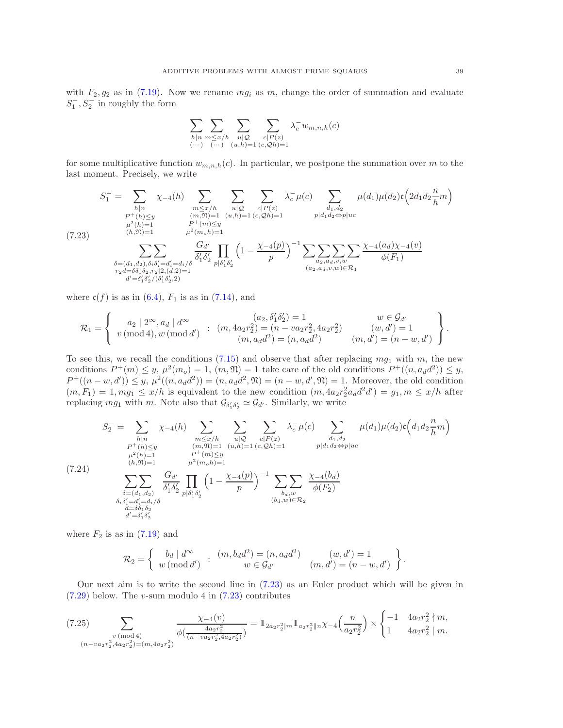with  $F_2, g_2$  as in [\(7.19\)](#page-36-2). Now we rename  $mg_i$  as m, change the order of summation and evaluate  $S_1^-, S_2^-$  in roughly the form

$$
\sum_{\substack{h|n \\ (\cdots) }}\sum_{\substack{m\leq x/h \\ (\cdots) } }\sum_{\substack{u| \mathcal{Q} \\ (u,h)=1}}\sum_{\substack{c|P(z) \\ (c,\mathcal{Q}h)=1}} \lambda_c^- w_{m,n,h}(c)
$$

for some multiplicative function  $w_{m,n,h}(c)$ . In particular, we postpone the summation over m to the last moment. Precisely, we write

<span id="page-38-0"></span>
$$
S_{1}^{-} = \sum_{\substack{h|n \\ P^{+}(h) \leq y \\ \mu^{2}(h) = 1}} \chi_{-4}(h) \sum_{\substack{m \leq x/h \\ (m, \mathfrak{N}) = 1 \\ (h, \mathfrak{N}) = 1}} \sum_{\substack{u|Q \\ u^{2}(h) = 1 \\ u^{2}(m_{o}h) = 1 \\ u^{2}(m_{o}h) = 1}} \sum_{\substack{u|Q \\ (u, h) = 1 \\ (u, h) = 1}} \chi_{-4}(c) \sum_{\substack{d_1, d_2 \\ (d_1, d_2 \Leftrightarrow p|uc \\ p|d_1d_2 \Leftrightarrow p|uc}} \mu(d_1)\mu(d_2)\mathfrak{c}\left(2d_1d_2\frac{n}{h}m\right)
$$
\n
$$
(7.23)
$$
\n
$$
\sum_{\substack{h|n \\ (h, \mathfrak{N}) = 1}} \sum_{\substack{p^{2}(m_{o}h) = 1 \\ \mu^{2}(m_{o}h) = 1}} \frac{G_{d'}}{\delta_{1}'\delta_{2}'} \prod_{\substack{p|\delta_{1}'\delta_{2}' \\ p|\delta_{1}'\delta_{2}'}} \left(1 - \frac{\chi_{-4}(p)}{p}\right)^{-1} \sum_{\substack{a_2, a_d, v, w \\ (a_2, a_d, v, w) \in \mathcal{R}_1}} \frac{\chi_{-4}(a_d)\chi_{-4}(v)}{\phi(F_1)}
$$
\n
$$
\sum_{\substack{r_2d = \delta\delta_{1}\delta_{2}, r_2|2, (d, 2) = 1 \\ d' = \delta_{1}'\delta_{2}'/(\delta_{1}'\delta_{2}', 2)}} \frac{\mathcal{L}_{d'}\left(1 - \frac{\chi_{-4}(p)}{p}\right)^{-1} \sum_{\substack{a_2, a_d, v, w \\ (a_2, a_d, v, w) \in \mathcal{R}_1}} \frac{\chi_{-4}(a_d)\chi_{-4}(v)}{\phi(F_1)}
$$

where  $c(f)$  is as in  $(6.4)$ ,  $F_1$  is as in  $(7.14)$ , and

$$
\mathcal{R}_1 = \left\{ \begin{array}{ll} a_2 \mid 2^{\infty}, a_d \mid d^{\infty} & (a_2, \delta'_1 \delta'_2) = 1 & w \in \mathcal{G}_{d'} \\ v \, (\text{mod } 4), w \, (\text{mod } d') & : & (m, 4a_2 r_2^2) = (n - v a_2 r_2^2, 4a_2 r_2^2) & (w, d') = 1 \\ (m, a_d d^2) = (n, a_d d^2) & (m, d') = (n - w, d') \end{array} \right\}.
$$

To see this, we recall the conditions [\(7.15\)](#page-33-3) and observe that after replacing  $mg_1$  with m, the new conditions  $P^+(m) \leq y, \mu^2(m_o) = 1, (m, \mathfrak{N}) = 1$  take care of the old conditions  $P^+((n, a_d d^2)) \leq y,$  $P^+((n-w, d')) \leq y, \mu^2((n, a_d d^2)) = (n, a_d d^2, \mathfrak{N}) = (n - w, d', \mathfrak{N}) = 1.$  Moreover, the old condition  $(m, F_1) = 1, mg_1 \le x/h$  is equivalent to the new condition  $(m, 4a_2r_2^2a_d d^2d') = g_1, m \le x/h$  after replacing  $mg_1$  with m. Note also that  $\mathcal{G}_{\delta'_1 \delta'_2} \simeq \mathcal{G}_{d'}$ . Similarly, we write

$$
S_2^- = \sum_{\substack{h|n \\ p^+(h) \le y \\ \mu^2(h) = 1}} \chi_{-4}(h) \sum_{\substack{m \le x/h \\ (m, \mathfrak{N}) = 1 \\ p^+(m) \le y \\ (h, \mathfrak{N}) = 1}} \sum_{\substack{u|Q \\ u^2(h) = 1 \\ u^2(m_0h) = 1 \\ u^2(m_0h) = 1}} \sum_{\substack{c|P(z) \\ c|P(z) = 1 \\ p^+(m) \le y \\ (h, \mathfrak{N}) = 1}} \lambda_c^- \mu(c) \sum_{\substack{d_1, d_2 \\ d_1, d_2 \Rightarrow p|u \le x}} \mu(d_1) \mu(d_2) \mathfrak{e}\left(d_1 d_2 \frac{n}{h} m\right)
$$
\n
$$
S_2^-(h_1, d_2) = \sum_{\substack{p^2(m_0h) = 1 \\ p^2(m_0h) = 1 \\ p| \delta_1' \delta_2'}} \sum_{\substack{u^2(m_0h) = 1 \\ u^2(m_0h) = 1 \\ u^2(m_0h) = 1}} \sum_{\substack{h \ge x/h \\ (h_2, u) \ge x/h} \sum_{\substack{d_1, d_2 \\ p^2(h_1, u) \ge x/h \\ (h_2, u) \in \mathcal{R}_2}} \mu(d_1) \mu(d_2) \mathfrak{e}\left(d_1 d_2 \frac{n}{h} m\right)
$$

where  $F_2$  is as in  $(7.19)$  and

<span id="page-38-2"></span> $($ 

$$
\mathcal{R}_2 = \left\{ \begin{array}{ll} b_d \mid d^{\infty} & ; & (m, b_d d^2) = (n, a_d d^2) \\ w \; (\text{mod } d') & ; & w \in \mathcal{G}_{d'} \end{array} \right. \quad (w, d') = 1 \\ (m, d') = (n - w, d') \end{array} \right\}.
$$

Our next aim is to write the second line in [\(7.23\)](#page-38-0) as an Euler product which will be given in  $(7.29)$  below. The *v*-sum modulo 4 in  $(7.23)$  contributes

<span id="page-38-1"></span>
$$
(7.25) \sum_{\substack{v \pmod{4} \\ (n - v a_2 r_2^2, 4 a_2 r_2^2) = (m, 4 a_2 r_2^2)}} \frac{\chi_{-4}(v)}{\phi(\frac{4 a_2 r_2^2}{(n - v a_2 r_2^2, 4 a_2 r_2^2)})} = \mathbb{1}_{2 a_2 r_2^2 |m} \mathbb{1}_{a_2 r_2^2 |n} \chi_{-4}\left(\frac{n}{a_2 r_2^2}\right) \times \begin{cases} -1 & 4 a_2 r_2^2 \nmid m, \\ 1 & 4 a_2 r_2^2 \mid m, \end{cases}
$$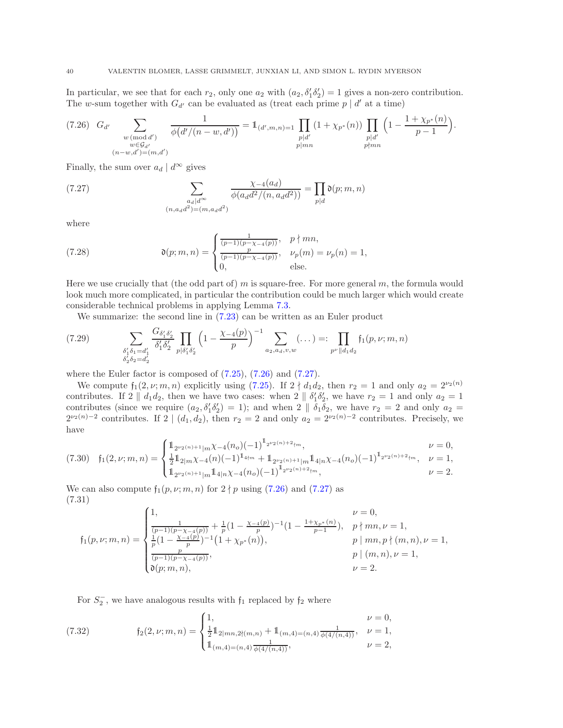In particular, we see that for each  $r_2$ , only one  $a_2$  with  $(a_2, \delta'_1 \delta'_2) = 1$  gives a non-zero contribution. The w-sum together with  $G_{d'}$  can be evaluated as (treat each prime  $p \mid d'$  at a time)

<span id="page-39-1"></span>
$$
(7.26) \quad G_{d'} \sum_{\substack{w \pmod{d'} \\ w \in \mathcal{G}_{d'}}} \frac{1}{\phi(d'/(n-w,d'))} = 1_{(d',m,n)=1} \prod_{\substack{p|d' \\ p \mid mn}} (1 + \chi_{p^*}(n)) \prod_{\substack{p|d' \\ p \nmid mn}} \left(1 - \frac{1 + \chi_{p^*}(n)}{p-1}\right).
$$

Finally, the sum over  $a_d | d^{\infty}$  gives

<span id="page-39-2"></span>(7.27) 
$$
\sum_{\substack{a_d | d^{\infty} \\ (n, a_d d^2) = (m, a_d d^2)}} \frac{\chi_{-4}(a_d)}{\phi(a_d d^2 / (n, a_d d^2))} = \prod_{p | d} \mathfrak{d}(p; m, n)
$$

where

<span id="page-39-6"></span>(7.28) 
$$
\mathfrak{d}(p;m,n) = \begin{cases} \frac{1}{(p-1)(p-\chi_{-4}(p))}, & p \nmid mn, \\ \frac{p}{(p-1)(p-\chi_{-4}(p))}, & \nu_p(m) = \nu_p(n) = 1, \\ 0, & \text{else.} \end{cases}
$$

Here we use crucially that (the odd part of)  $m$  is square-free. For more general  $m$ , the formula would look much more complicated, in particular the contribution could be much larger which would create considerable technical problems in applying Lemma [7.3.](#page-29-0)

We summarize: the second line in  $(7.23)$  can be written as an Euler product

<span id="page-39-0"></span>
$$
(7.29) \qquad \qquad \sum_{\substack{\delta_1' \delta_1 = d_1' \\ \delta_2' \delta_2 = d_2'}} \frac{G_{\delta_1' \delta_2'}}{\delta_1' \delta_2'} \prod_{p | \delta_1' \delta_2'} \left(1 - \frac{\chi_{-4}(p)}{p}\right)^{-1} \sum_{a_2, a_d, v, w} (\dots) =: \prod_{p^{\nu} || d_1 d_2} f_1(p, \nu; m, n)
$$

where the Euler factor is composed of  $(7.25)$ ,  $(7.26)$  and  $(7.27)$ .

We compute  $f_1(2, \nu; m, n)$  explicitly using  $(7.25)$ . If  $2 \nmid d_1 d_2$ , then  $r_2 = 1$  and only  $a_2 = 2^{\nu_2(n)}$ contributes. If  $2 \parallel d_1 d_2$ , then we have two cases: when  $2 \parallel \delta'_1 \delta'_2$ , we have  $r_2 = 1$  and only  $a_2 = 1$ contributes (since we require  $(a_2, \delta'_1 \delta'_2) = 1$ ); and when  $2 \parallel \delta_1 \delta_2$ , we have  $r_2 = 2$  and only  $a_2 =$  $2^{\nu_2(n)-2}$  contributes. If  $2 \mid (d_1, d_2)$ , then  $r_2 = 2$  and only  $a_2 = 2^{\nu_2(n)-2}$  contributes. Precisely, we have

<span id="page-39-4"></span>
$$
(7.30) \quad \mathfrak{f}_1(2,\nu;m,n)=\begin{cases}1\!\!\! 1_{2^{\nu_2(n)+1}|m}\chi_{-4}(n_o)(-1)^{1_{2^{\nu_2(n)+2}\nmid m}}, & \nu=0,\\ \frac{1}{2}1\!\!\! 1_{2|m}\chi_{-4}(n)(-1)^{1_{4\nmid m}}+1_{2^{\nu_2(n)+1}|m}1_{4|n}\chi_{-4}(n_o)(-1)^{1_{2^{\nu_2(n)+2}\nmid m}}, & \nu=1,\\ 1_{2^{\nu_2(n)+1}|m}1_{4|n}\chi_{-4}(n_o)(-1)^{1_{2^{\nu_2(n)+2}\nmid m}}, & \nu=2.\end{cases}
$$

<span id="page-39-5"></span>We can also compute  $f_1(p, \nu; m, n)$  for  $2 \nmid p$  using [\(7.26\)](#page-39-1) and [\(7.27\)](#page-39-2) as (7.31)

$$
\mathfrak{f}_1(p,\nu;m,n)=\begin{cases} 1, & \nu=0,\\ \frac{1}{(p-1)(p-\chi_{-4}(p))}+\frac{1}{p}(1-\frac{\chi_{-4}(p)}{p})^{-1}(1-\frac{1+\chi_{p^*}(n)}{p-1}), & p\nmid mn,\nu=1,\\ \frac{1}{p}(1-\frac{\chi_{-4}(p)}{p})^{-1}\left(1+\chi_{p^*}(n)\right), & p\mid mn,p\nmid (m,n),\nu=1,\\ \frac{p}{(p-1)(p-\chi_{-4}(p))}, & p\mid (m,n),\nu=1,\\ \mathfrak{d}(p;m,n), & \nu=2. \end{cases}
$$

For  $S_2^-$ , we have analogous results with  $f_1$  replaced by  $f_2$  where

<span id="page-39-3"></span>(7.32) 
$$
\mathfrak{f}_2(2,\nu;m,n) = \begin{cases} 1, & \nu = 0, \\ \frac{1}{2} \mathbb{1}_{2|mn,2\{(m,n)\}} + \mathbb{1}_{(m,4)=(n,4)} \frac{1}{\phi(4/(n,4))}, & \nu = 1, \\ \mathbb{1}_{(m,4)=(n,4)} \frac{1}{\phi(4/(n,4))}, & \nu = 2, \end{cases}
$$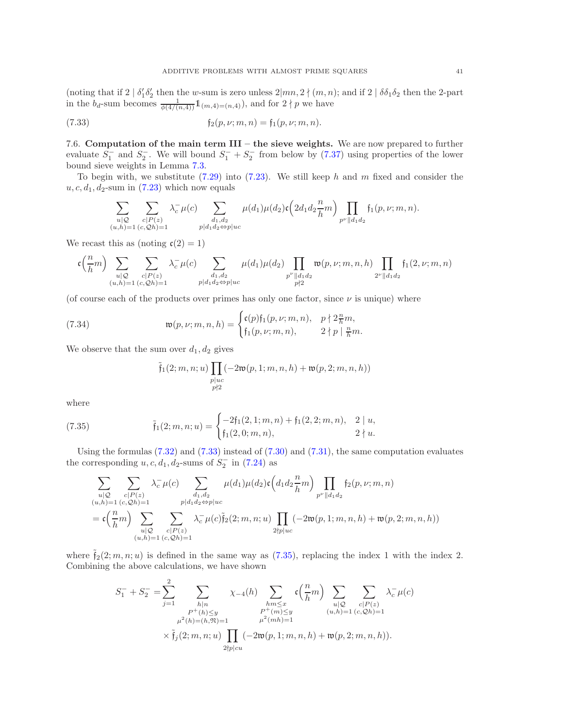(noting that if  $2 | \delta'_1 \delta'_2$  then the w-sum is zero unless  $2 | mn, 2 \nmid (m, n)$ ; and if  $2 | \delta \delta_1 \delta_2$  then the 2-part in the  $b_d$ -sum becomes  $\frac{1}{\phi(4/(n,4))}\mathbb{1}_{(m,4)=(n,4)}$ , and for  $2 \nmid p$  we have

<span id="page-40-0"></span>(7.33) 
$$
f_2(p,\nu;m,n) = f_1(p,\nu;m,n).
$$

7.6. Computation of the main term III – the sieve weights. We are now prepared to further evaluate  $S_1^-$  and  $S_2^-$ . We will bound  $S_1^- + S_2^-$  from below by  $(7.37)$  using properties of the lower bound sieve weights in Lemma [7.3.](#page-29-0)

To begin with, we substitute  $(7.29)$  into  $(7.23)$ . We still keep h and m fixed and consider the  $u, c, d_1, d_2$ -sum in [\(7.23\)](#page-38-0) which now equals

$$
\sum_{\substack{u|\mathcal{Q}\\(u,h)=1}}\sum_{\substack{c|P(z)\\(c,\mathcal{Q}h)=1}}\lambda_c^-\mu(c)\sum_{\substack{d_1,d_2\\p|d_1d_2\Leftrightarrow p|uc}}\mu(d_1)\mu(d_2)\mathfrak{c}\left(2d_1d_2\frac{n}{h}m\right)\prod_{p^{\nu}||d_1d_2}\mathfrak{f}_1(p,\nu;m,n).
$$

We recast this as (noting  $c(2) = 1$ )

$$
\mathfrak{c} \Big( \frac{n}{h} m \Big) \sum_{\substack{u \mid \mathcal{Q} \\ (u,h) = 1}} \sum_{\substack{c \mid P(z) \\ (c, \mathcal{Q}h) = 1}} \lambda_c^- \mu(c) \sum_{\substack{d_1, d_2 \\ p \mid d_1d_2 \Leftrightarrow p \mid uc}} \mu(d_1) \mu(d_2) \prod_{\substack{p^{\nu} \mid \mid d_1d_2 \\ p \nmid 2}} \mathfrak{w}(p, \nu; m, n, h) \prod_{2^{\nu} \mid \mid d_1d_2} \mathfrak{f}_1(2, \nu; m, n)
$$

(of course each of the products over primes has only one factor, since  $\nu$  is unique) where

<span id="page-40-2"></span>(7.34) 
$$
\mathfrak{w}(p,\nu;m,n,h) = \begin{cases} \mathfrak{c}(p) \mathfrak{f}_1(p,\nu;m,n), & p \nmid 2 \frac{n}{h} m, \\ \mathfrak{f}_1(p,\nu;m,n), & 2 \nmid p \mid \frac{n}{h} m. \end{cases}
$$

We observe that the sum over  $d_1, d_2$  gives

$$
\tilde{\mathfrak{f}}_1(2; m, n; u) \prod_{\substack{p \mid uc \\ p \nmid 2}} (-2\mathfrak{w}(p, 1; m, n, h) + \mathfrak{w}(p, 2; m, n, h))
$$

where

<span id="page-40-1"></span>(7.35) 
$$
\tilde{\mathfrak{f}}_1(2; m, n; u) = \begin{cases} -2\mathfrak{f}_1(2, 1; m, n) + \mathfrak{f}_1(2, 2; m, n), & 2 \mid u, \\ \mathfrak{f}_1(2, 0; m, n), & 2 \nmid u. \end{cases}
$$

Using the formulas [\(7.32\)](#page-39-3) and [\(7.33\)](#page-40-0) instead of [\(7.30\)](#page-39-4) and [\(7.31\)](#page-39-5), the same computation evaluates the corresponding  $u, c, d_1, d_2$ -sums of  $S_2^-$  in  $(7.24)$  as

$$
\sum_{\substack{u|\mathcal{Q} \\ (u,h)=1}} \sum_{\substack{c|P(z) \\ (c,\mathcal{Q}h)=1}} \lambda_c^- \mu(c) \sum_{\substack{d_1,d_2 \\ p|d_1d_2\Leftrightarrow p|uc}} \mu(d_1)\mu(d_2) \mathfrak{c} \left(d_1d_2\frac{n}{h}m\right) \prod_{p^\nu ||d_1d_2} \mathfrak{f}_2(p,\nu;m,n)
$$
\n
$$
= \mathfrak{c} \left(\frac{n}{h}m\right) \sum_{\substack{u|\mathcal{Q} \\ (u,h)=1}} \sum_{\substack{c|P(z) \\ (c,\mathcal{Q}h)=1}} \lambda_c^- \mu(c) \tilde{\mathfrak{f}}_2(2;m,n;u) \prod_{2\nmid p|uc} (-2\mathfrak{w}(p,1;m,n,h) + \mathfrak{w}(p,2;m,n,h))
$$

where  $\tilde{f}_2(2; m, n; u)$  is defined in the same way as  $(7.35)$ , replacing the index 1 with the index 2. Combining the above calculations, we have shown

$$
S_1^- + S_2^- = \sum_{j=1}^2 \sum_{\substack{h|n \ p^+(h) \le y \\ \mu^2(h) = (h, \mathfrak{N}) = 1}} \chi_{-4}(h) \sum_{\substack{hm \le x \\ P^+(m) \le y \\ \mu^2(h) = 1}} \mathfrak{c} \left(\frac{n}{h}m\right) \sum_{\substack{u|Q \ c|P(z) \\ (u,h) = 1}} \sum_{\substack{c|P(z) \\ (u,h) = 1}} \lambda_c^- \mu(c)
$$
  

$$
\times \tilde{\mathfrak{f}}_j(2; m, n; u) \prod_{\substack{2 \nmid p | cu}} (-2\mathfrak{w}(p, 1; m, n, h) + \mathfrak{w}(p, 2; m, n, h)).
$$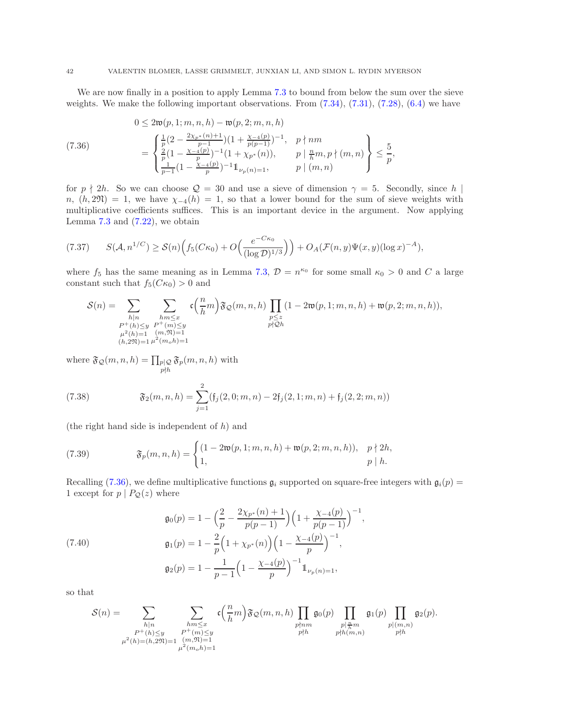We are now finally in a position to apply Lemma [7.3](#page-29-0) to bound from below the sum over the sieve weights. We make the following important observations. From [\(7.34\)](#page-40-2), [\(7.31\)](#page-39-5), [\(7.28\)](#page-39-6), [\(6.4\)](#page-20-0) we have

<span id="page-41-1"></span>(7.36) 
$$
0 \leq 2\mathfrak{w}(p, 1; m, n, h) - \mathfrak{w}(p, 2; m, n, h)
$$

$$
= \begin{cases} \frac{1}{p}(2 - \frac{2\chi_{p^*}(n) + 1}{p-1})(1 + \frac{\chi_{-4}(p)}{p(p-1)})^{-1}, & p \nmid nm \\ \frac{2}{p}(1 - \frac{\chi_{-4}(p)}{p})^{-1}(1 + \chi_{p^*}(n)), & p \mid \frac{n}{h}m, p \nmid (m, n) \\ \frac{1}{p-1}(1 - \frac{\chi_{-4}(p)}{p})^{-1}1_{\nu_p(n) = 1}, & p \mid (m, n) \end{cases} \leq \frac{5}{p},
$$

for  $p \nmid 2h$ . So we can choose  $\mathcal{Q} = 30$  and use a sieve of dimension  $\gamma = 5$ . Secondly, since h |  $n, (h, 2\mathfrak{N}) = 1$ , we have  $\chi_{-4}(h) = 1$ , so that a lower bound for the sum of sieve weights with multiplicative coefficients suffices. This is an important device in the argument. Now applying Lemma  $7.3$  and  $(7.22)$ , we obtain

<span id="page-41-0"></span>
$$
(7.37) \qquad S(\mathcal{A}, n^{1/C}) \geq \mathcal{S}(n) \Big( f_5(C\kappa_0) + O\Big(\frac{e^{-C\kappa_0}}{(\log \mathcal{D})^{1/3}} \Big) \Big) + O_A(\mathcal{F}(n, y) \Psi(x, y) (\log x)^{-A}),
$$

where  $f_5$  has the same meaning as in Lemma [7.3,](#page-29-0)  $\mathcal{D} = n^{\kappa_0}$  for some small  $\kappa_0 > 0$  and C a large constant such that  $f_5(C\kappa_0) > 0$  and

$$
\mathcal{S}(n) = \sum_{\substack{h|n \\ P^+(h) \leq y \\ \mu^2(h) = 1 \\ (h,2\mathfrak{N}) = 1}} \sum_{\substack{hm \leq x \\ P^+(m) \leq y \\ (m, \mathfrak{N}) = 1}} \mathfrak{c}\Big(\frac{n}{h}m\Big) \mathfrak{F}_{\mathcal{Q}}(m,n,h) \prod_{\substack{p \leq z \\ p \nmid \mathcal{Q}h}} (1 - 2\mathfrak{w}(p,1;m,n,h) + \mathfrak{w}(p,2;m,n,h)),
$$

where  $\mathfrak{F}_{\mathcal{Q}}(m, n, h) = \prod_{\substack{p \mid \mathcal{Q} \\ p \nmid h}}$  $\mathfrak{F}_{p}(m,n,h)$  with

<span id="page-41-2"></span>(7.38) 
$$
\mathfrak{F}_2(m,n,h) = \sum_{j=1}^2 (\mathfrak{f}_j(2,0;m,n) - 2\mathfrak{f}_j(2,1;m,n) + \mathfrak{f}_j(2,2;m,n))
$$

(the right hand side is independent of  $h$ ) and

<span id="page-41-3"></span>(7.39) 
$$
\mathfrak{F}_p(m,n,h) = \begin{cases} (1-2\mathfrak{w}(p,1;m,n,h) + \mathfrak{w}(p,2;m,n,h)), & p \nmid 2h, \\ 1, & p \mid h. \end{cases}
$$

Recalling [\(7.36\)](#page-41-1), we define multiplicative functions  $\mathfrak{g}_i$  supported on square-free integers with  $\mathfrak{g}_i(p)$  = 1 except for  $p \mid P_{\mathcal{Q}}(z)$  where

<span id="page-41-4"></span>(7.40)  
\n
$$
\mathfrak{g}_0(p) = 1 - \left(\frac{2}{p} - \frac{2\chi_{p^*}(n) + 1}{p(p-1)}\right) \left(1 + \frac{\chi_{-4}(p)}{p(p-1)}\right)^{-1},
$$
\n
$$
\mathfrak{g}_1(p) = 1 - \frac{2}{p} \left(1 + \chi_{p^*}(n)\right) \left(1 - \frac{\chi_{-4}(p)}{p}\right)^{-1},
$$
\n
$$
\mathfrak{g}_2(p) = 1 - \frac{1}{p-1} \left(1 - \frac{\chi_{-4}(p)}{p}\right)^{-1} \mathbb{1}_{\nu_p(n) = 1},
$$

so that

$$
\mathcal{S}(n) = \sum_{\substack{h|n \\ P^+(h) \leq y \\ \mu^2(h) = (h,2\mathfrak{N}) = 1}} \sum_{\substack{hm \leq x \\ P^+(m) \leq y \\ \mu^2(m_0h) = 1}} \mathfrak{c}\left(\frac{n}{h}m\right) \mathfrak{F}_{\mathcal{Q}}(m,n,h) \prod_{\substack{p|nm \\ p\nmid h}} \mathfrak{g}_0(p) \prod_{\substack{p|\frac{n}{h}m \\ p\nmid h(m,n)}} \mathfrak{g}_1(p) \prod_{\substack{p|(m,n) \\ p\nmid h}} \mathfrak{g}_2(p).
$$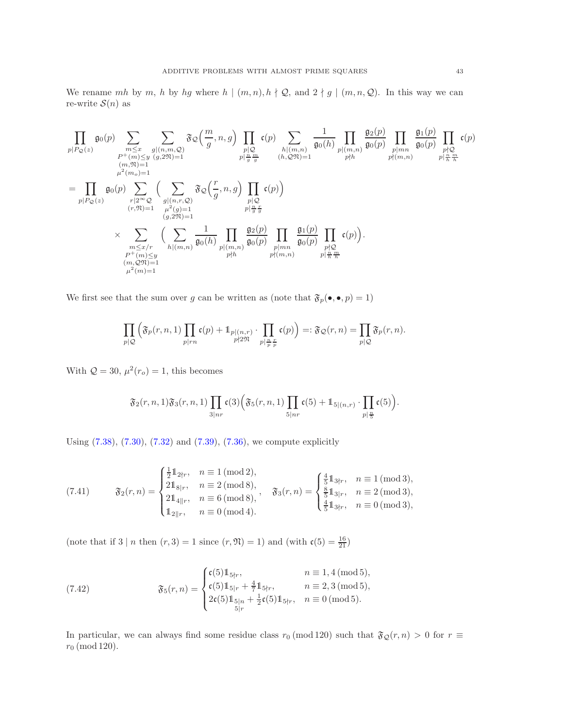We rename mh by m, h by hg where  $h \mid (m, n), h \nmid \mathcal{Q}$ , and  $2 \nmid g \mid (m, n, \mathcal{Q})$ . In this way we can re-write  $S(n)$  as

$$
\prod_{p|P_{\mathcal{Q}}(z)} \mathfrak{g}_{0}(p) \sum_{\substack{m \leq x \\ P^{+}(m) \leq y \\ (m, \mathfrak{N}) = 1}} \mathfrak{F}_{0}\left(\frac{m}{g}, n, g\right) \prod_{\substack{p|Q \mid \mathfrak{D} \\ p \nmid \frac{n}{g} \frac{m}{g}}} \mathfrak{c}(p) \sum_{\substack{h|(m,n) \\ (h, \mathfrak{D}) = 1}} \frac{1}{\mathfrak{g}_{0}(h)} \prod_{\substack{p|m,n \\ p \nmid \frac{n}{g}}} \frac{\mathfrak{g}_{2}(p)}{\mathfrak{g}_{0}(p)} \prod_{\substack{p|Q \mid \mathfrak{D} \\ p \nmid \frac{n}{g}}} \frac{\mathfrak{g}_{1}(p)}{\mathfrak{g}_{0}(p)} \prod_{\substack{p|Q \mid \mathfrak{D} \\ p \nmid \frac{n}{g}}} \mathfrak{c}(p) \n= \prod_{\substack{p|P_{\mathcal{Q}}(z) \\ (r, \mathfrak{N}) = 1}} \mathfrak{g}_{0}(p) \sum_{\substack{r|2 \approx \mathfrak{D} \\ (r, \mathfrak{N}) = 1}} \left( \sum_{\substack{p|q|n,r,\mathfrak{D} \\ (g,2\mathfrak{N}) = 1}} \mathfrak{F}_{\mathcal{Q}}\left(\frac{r}{g}, n, g\right) \prod_{\substack{p|Q \mid \mathfrak{D} \\ p \nmid \frac{n}{g} \frac{r}{g}}} \mathfrak{c}(p) \right) \n\times \sum_{\substack{m \leq x/r \\ P^{+}(m) \leq y \\ (m, \mathfrak{D}) = 1}} \left( \sum_{\substack{h|(m,n) \\ p \nmid \frac{n}{g}}} \frac{1}{\mathfrak{g}_{0}(h)} \prod_{\substack{p|m,n \\ p \nmid \frac{n}{g}}} \frac{\mathfrak{g}_{2}(p)}{\mathfrak{g}_{0}(p)} \prod_{\substack{p|m,n \\ p \nmid \frac{n}{g}}} \frac{\mathfrak{g}_{1}(p)}{\mathfrak{g}_{0}(p)} \prod_{\substack{p|Q \mid \mathfrak{D} \\ p \nmid \frac{n}{g}}} \mathfrak{c}(p) \right).
$$

We first see that the sum over  $g$  can be written as (note that  $\mathfrak{F}_p(\bullet,\bullet,p)=1)$ 

$$
\prod_{p|\mathcal{Q}} \left( \mathfrak{F}_p(r,n,1) \prod_{p|r n} \mathfrak{c}(p) + \mathbb{1}_{\substack{p|(n,r) \\ p\nmid 2\mathfrak{N}}} \cdot \prod_{p|\frac{n}{p}\frac{r}{p}} \mathfrak{c}(p) \right) =: \mathfrak{F}_{\mathcal{Q}}(r,n) = \prod_{p|\mathcal{Q}} \mathfrak{F}_p(r,n).
$$

With  $Q = 30$ ,  $\mu^2(r_o) = 1$ , this becomes

$$
\mathfrak{F}_2(r,n,1)\mathfrak{F}_3(r,n,1)\prod_{3|nr}\mathfrak{c}(3)\Big(\mathfrak{F}_5(r,n,1)\prod_{5|nr}\mathfrak{c}(5)+1\!\!1_{5|(n,r)}\cdot\prod_{p|\frac{n}{5}}\mathfrak{c}(5)\Big).
$$

Using [\(7.38\)](#page-41-2), [\(7.30\)](#page-39-4), [\(7.32\)](#page-39-3) and [\(7.39\)](#page-41-3), [\(7.36\)](#page-41-1), we compute explicitly

<span id="page-42-0"></span>(7.41) 
$$
\mathfrak{F}_2(r,n) = \begin{cases} \frac{1}{2} \mathbb{1}_{2 \nmid r}, & n \equiv 1 \pmod{2}, \\ 2 \mathbb{1}_{8 \mid r}, & n \equiv 2 \pmod{8}, \\ 2 \mathbb{1}_{4 \mid \mid r}, & n \equiv 6 \pmod{8}, \\ \mathbb{1}_{2 \mid r}, & n \equiv 0 \pmod{4}. \end{cases}, \mathfrak{F}_3(r,n) = \begin{cases} \frac{4}{5} \mathbb{1}_{3 \nmid r}, & n \equiv 1 \pmod{3}, \\ \frac{8}{5} \mathbb{1}_{3 \mid r}, & n \equiv 2 \pmod{3}, \\ \frac{4}{5} \mathbb{1}_{3 \nmid r}, & n \equiv 0 \pmod{3}, \end{cases}
$$

(note that if  $3 | n$  then  $(r, 3) = 1$  since  $(r, \mathfrak{N}) = 1$ ) and (with  $\mathfrak{c}(5) = \frac{16}{21}$ )

<span id="page-42-1"></span>(7.42) 
$$
\mathfrak{F}_5(r,n) = \begin{cases} \mathfrak{c}(5) \mathbb{1}_{5 \nmid r}, & n \equiv 1,4 \pmod{5}, \\ \mathfrak{c}(5) \mathbb{1}_{5 \mid r} + \frac{4}{7} \mathbb{1}_{5 \nmid r}, & n \equiv 2,3 \pmod{5}, \\ 2\mathfrak{c}(5) \mathbb{1}_{5 \mid n} + \frac{1}{2}\mathfrak{c}(5) \mathbb{1}_{5 \nmid r}, & n \equiv 0 \pmod{5}. \end{cases}
$$

In particular, we can always find some residue class  $r_0 \pmod{120}$  such that  $\mathfrak{F}_{\mathcal{Q}}(r, n) > 0$  for  $r \equiv$  $r_0 \pmod{120}$ .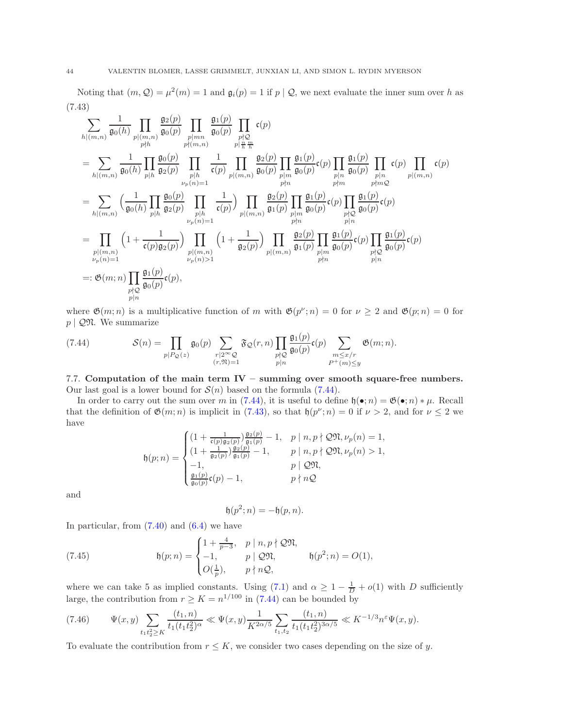<span id="page-43-2"></span>Noting that  $(m, Q) = \mu^2(m) = 1$  and  $\mathfrak{g}_i(p) = 1$  if  $p \mid Q$ , we next evaluate the inner sum over h as (7.43)

$$
\sum_{h|(m,n)} \frac{1}{\mathfrak{g}_{0}(h)} \prod_{p | (m,n)} \frac{\mathfrak{g}_{2}(p)}{\mathfrak{g}_{0}(p)} \prod_{p | n} \frac{\mathfrak{g}_{1}(p)}{\mathfrak{g}_{0}(p)} \prod_{p | n} \frac{\mathfrak{g}_{1}(p)}{\mathfrak{g}_{0}(p)} \prod_{p | n} \frac{\mathfrak{g}_{2}(p)}{\mathfrak{g}_{0}(p)} \prod_{p | n} \frac{\mathfrak{g}_{2}(p)}{\mathfrak{g}_{0}(p)} \prod_{p | n} \frac{\mathfrak{g}_{2}(p)}{\mathfrak{g}_{0}(p)} \prod_{p | n} \frac{\mathfrak{g}_{1}(p)}{\mathfrak{g}_{0}(p)} \prod_{p | n} \frac{\mathfrak{g}_{1}(p)}{\mathfrak{g}_{0}(p)} \prod_{p | n} \frac{\mathfrak{g}_{1}(p)}{\mathfrak{g}_{0}(p)} \prod_{p | n} \frac{\mathfrak{g}_{1}(p)}{\mathfrak{g}_{0}(p)} \prod_{p | n} \frac{\mathfrak{g}_{1}(p)}{\mathfrak{g}_{0}(p)} \prod_{p | n} \frac{\mathfrak{g}_{1}(p)}{\mathfrak{g}_{1}(p)} \prod_{p | n} \frac{\mathfrak{g}_{1}(p)}{\mathfrak{g}_{1}(p)} \prod_{p | n} \frac{\mathfrak{g}_{1}(p)}{\mathfrak{g}_{1}(p)} \prod_{p | n} \frac{\mathfrak{g}_{2}(p)}{\mathfrak{g}_{1}(p)} \prod_{p | n} \frac{\mathfrak{g}_{2}(p)}{\mathfrak{g}_{1}(p)} \prod_{p | n} \frac{\mathfrak{g}_{1}(p)}{\mathfrak{g}_{0}(p)} \mathfrak{c}(p) \prod_{p | n} \frac{\mathfrak{g}_{1}(p)}{\mathfrak{g}_{0}(p)} \mathfrak{c}(p) \prod_{p | n} \frac{\mathfrak{g}_{1}(p)}{\mathfrak{g}_{0}(p)} \mathfrak{c}(p) \prod_{p | n} \frac{\mathfrak{g}_{1}(p)}{\mathfrak{g}_{0}(p)} \mathfrak{c}(p) \prod_{p | n} \frac{\mathfrak{g}_{1}(p)}{\mathfrak{g}_{0}(p)} \mathfrak{c}(p) \prod_{p | n} \frac{\mathfrak{g}_{1}(p)}{\mathfrak{g}_{0}(p)} \mathfrak{c}(
$$

where  $\mathfrak{G}(m; n)$  is a multiplicative function of m with  $\mathfrak{G}(p^{\nu}; n) = 0$  for  $\nu \geq 2$  and  $\mathfrak{G}(p; n) = 0$  for  $p \mid \mathcal{Q} \mathfrak{N}$ . We summarize

<span id="page-43-1"></span>(7.44) 
$$
\mathcal{S}(n) = \prod_{p|P_{\mathcal{Q}}(z)} \mathfrak{g}_0(p) \sum_{\substack{r|2 \sim \mathcal{Q} \\ (r,\mathfrak{N})=1}} \mathfrak{F}_{\mathcal{Q}}(r,n) \prod_{\substack{p \nmid \mathcal{Q} \\ p|n}} \frac{\mathfrak{g}_1(p)}{\mathfrak{g}_0(p)} \mathfrak{c}(p) \sum_{\substack{m \leq x/r \\ P^+(m) \leq y}} \mathfrak{G}(m;n).
$$

<span id="page-43-0"></span>7.7. Computation of the main term IV – summing over smooth square-free numbers. Our last goal is a lower bound for  $S(n)$  based on the formula [\(7.44\)](#page-43-1).

In order to carry out the sum over m in [\(7.44\)](#page-43-1), it is useful to define  $\mathfrak{h}(\bullet; n) = \mathfrak{G}(\bullet; n) * \mu$ . Recall that the definition of  $\mathfrak{G}(m; n)$  is implicit in [\(7.43\)](#page-43-2), so that  $\mathfrak{h}(p^{\nu}; n) = 0$  if  $\nu > 2$ , and for  $\nu \leq 2$  we have

$$
\mathfrak{h}(p;n) = \begin{cases}\n(1 + \frac{1}{\mathfrak{c}(p)\mathfrak{g}_2(p)}\frac{\mathfrak{g}_2(p)}{\mathfrak{g}_1(p)} - 1, & p \mid n, p \nmid \mathcal{QN}, \nu_p(n) = 1, \\
(1 + \frac{1}{\mathfrak{g}_2(p)}\frac{\mathfrak{g}_2(p)}{\mathfrak{g}_1(p)} - 1, & p \mid n, p \nmid \mathcal{QN}, \nu_p(n) > 1, \\
-1, & p \mid \mathcal{QN}, \\
\frac{\mathfrak{g}_1(p)}{\mathfrak{g}_0(p)}\mathfrak{c}(p) - 1, & p \nmid n \mathcal{Q}\n\end{cases}
$$

and

$$
\mathfrak{h}(p^2; n) = -\mathfrak{h}(p, n).
$$

In particular, from  $(7.40)$  and  $(6.4)$  we have

<span id="page-43-4"></span>(7.45) 
$$
\mathfrak{h}(p;n) = \begin{cases} 1 + \frac{4}{p-3}, & p \mid n, p \nmid \mathcal{Q}\mathfrak{N}, \\ -1, & p \mid \mathcal{Q}\mathfrak{N}, \\ O(\frac{1}{p}), & p \nmid n\mathcal{Q}, \end{cases} \qquad \mathfrak{h}(p^2;n) = O(1),
$$

where we can take 5 as implied constants. Using [\(7.1\)](#page-25-0) and  $\alpha \geq 1 - \frac{1}{D} + o(1)$  with D sufficiently large, the contribution from  $r \ge K = n^{1/100}$  in [\(7.44\)](#page-43-1) can be bounded by

<span id="page-43-3"></span>
$$
(7.46) \qquad \Psi(x,y) \sum_{t_1 t_2^2 \ge K} \frac{(t_1,n)}{t_1(t_1 t_2^2)^{\alpha}} \ll \Psi(x,y) \frac{1}{K^{2\alpha/5}} \sum_{t_1,t_2} \frac{(t_1,n)}{t_1(t_1 t_2^2)^{3\alpha/5}} \ll K^{-1/3} n^{\varepsilon} \Psi(x,y).
$$

To evaluate the contribution from  $r \leq K$ , we consider two cases depending on the size of y.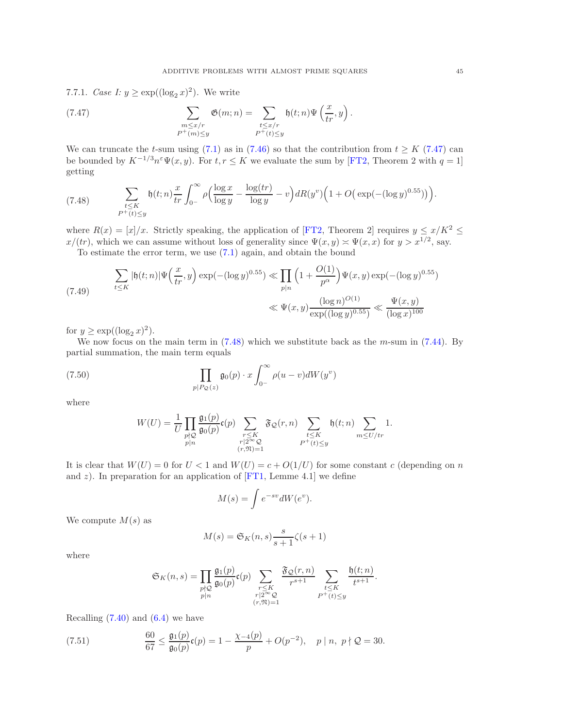7.7.1. *Case I:*  $y \ge \exp((\log_2 x)^2)$ . We write

<span id="page-44-0"></span>(7.47) 
$$
\sum_{\substack{m \leq x/r \\ P^+(m) \leq y}} \mathfrak{G}(m; n) = \sum_{\substack{t \leq x/r \\ P^+(t) \leq y}} \mathfrak{h}(t; n) \Psi\left(\frac{x}{tr}, y\right).
$$

We can truncate the t-sum using [\(7.1\)](#page-25-0) as in [\(7.46\)](#page-43-3) so that the contribution from  $t \geq K$  [\(7.47\)](#page-44-0) can be bounded by  $K^{-1/3}n^{\epsilon}\Psi(x,y)$ . For  $t, r \leq K$  we evaluate the sum by [\[FT2,](#page-48-17) Theorem 2 with  $q = 1$ ] getting

<span id="page-44-1"></span>(7.48) 
$$
\sum_{\substack{t \leq K \\ P^+(t) \leq y}} \mathfrak{h}(t;n) \frac{x}{tr} \int_{0^-}^{\infty} \rho \Big( \frac{\log x}{\log y} - \frac{\log (tr)}{\log y} - v \Big) dR(y^v) \Big( 1 + O\big( \exp(-(\log y)^{0.55}) \big) \Big).
$$

where  $R(x) = |x|/x$ . Strictly speaking, the application of [\[FT2,](#page-48-17) Theorem 2] requires  $y \le x/K^2 \le$  $x/(tr)$ , which we can assume without loss of generality since  $\Psi(x, y) \approx \Psi(x, x)$  for  $y > x^{1/2}$ , say.

To estimate the error term, we use [\(7.1\)](#page-25-0) again, and obtain the bound

<span id="page-44-4"></span>(7.49) 
$$
\sum_{t \leq K} |\mathfrak{h}(t; n)| \Psi\left(\frac{x}{tr}, y\right) \exp(-(\log y)^{0.55}) \ll \prod_{p | n} \left(1 + \frac{O(1)}{p^{\alpha}}\right) \Psi(x, y) \exp(-(\log y)^{0.55})
$$

$$
\ll \Psi(x, y) \frac{(\log n)^{O(1)}}{\exp((\log y)^{0.55})} \ll \frac{\Psi(x, y)}{(\log x)^{100}}
$$

for  $y \ge \exp((\log_2 x)^2)$ .

We now focus on the main term in  $(7.48)$  which we substitute back as the m-sum in  $(7.44)$ . By partial summation, the main term equals

<span id="page-44-3"></span>(7.50) 
$$
\prod_{p|P_{\mathcal{Q}}(z)} \mathfrak{g}_0(p) \cdot x \int_{0^-}^{\infty} \rho(u-v) dW(y^v)
$$

where

$$
W(U) = \frac{1}{U} \prod_{\substack{p \nmid \mathcal{Q} \\ p \mid n}} \frac{\mathfrak{g}_1(p)}{\mathfrak{g}_0(p)} \mathfrak{c}(p) \sum_{\substack{r \leq K \\ r \mid 2^{\infty} \mathcal{Q} \\ (r, \mathfrak{N}) = 1}} \mathfrak{F}_{\mathcal{Q}}(r, n) \sum_{\substack{t \leq K \\ P^+(t) \leq y}} \mathfrak{h}(t; n) \sum_{m \leq U/tr} 1.
$$

It is clear that  $W(U) = 0$  for  $U < 1$  and  $W(U) = c + O(1/U)$  for some constant c (depending on n and  $z$ ). In preparation for an application of [\[FT1,](#page-48-11) Lemme 4.1] we define

$$
M(s) = \int e^{-sv} dW(e^v).
$$

We compute  $M(s)$  as

$$
M(s) = \mathfrak{S}_K(n, s) \frac{s}{s+1} \zeta(s+1)
$$

where

$$
\mathfrak{S}_K(n,s) = \prod_{\substack{p \nmid \mathcal{Q} \\ p \mid n}} \frac{\mathfrak{g}_1(p)}{\mathfrak{g}_0(p)} \mathfrak{c}(p) \sum_{\substack{r \leq K \\ r \mid 2^{\infty} \mathcal{Q} \\ (r,\mathfrak{N}) = 1}} \frac{\mathfrak{F}_\mathcal{Q}(r,n)}{r^{s+1}} \sum_{\substack{t \leq K \\ P^+(t) \leq y}} \frac{\mathfrak{h}(t;n)}{t^{s+1}}.
$$

Recalling  $(7.40)$  and  $(6.4)$  we have

<span id="page-44-2"></span>(7.51) 
$$
\frac{60}{67} \le \frac{\mathfrak{g}_1(p)}{\mathfrak{g}_0(p)} \mathfrak{c}(p) = 1 - \frac{\chi_{-4}(p)}{p} + O(p^{-2}), \quad p \mid n, \ p \nmid \mathcal{Q} = 30.
$$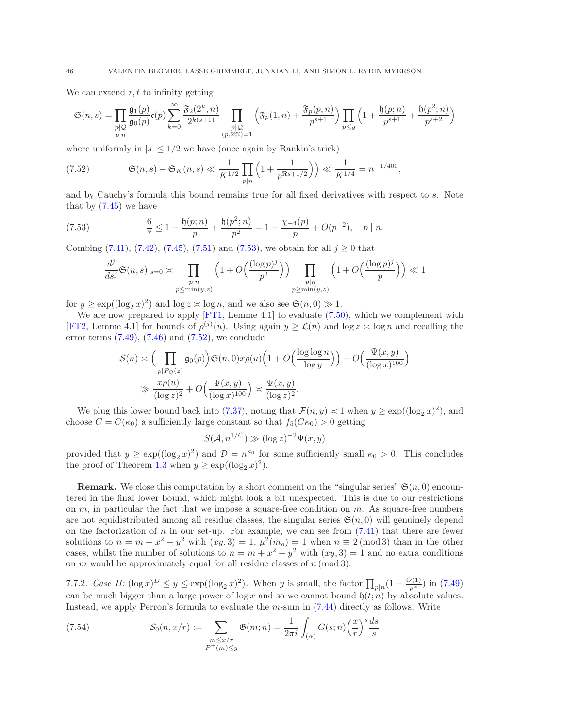We can extend  $r, t$  to infinity getting

$$
\mathfrak{S}(n,s) = \prod_{\substack{p \nmid \mathcal{Q} \\ p \mid n}} \frac{\mathfrak{g}_1(p)}{\mathfrak{g}_0(p)} \mathfrak{c}(p) \sum_{k=0}^{\infty} \frac{\mathfrak{F}_2(2^k, n)}{2^{k(s+1)}} \prod_{\substack{p \mid \mathcal{Q} \\ (p,2\mathfrak{N})=1}} \left( \mathfrak{F}_p(1,n) + \frac{\mathfrak{F}_p(p,n)}{p^{s+1}} \right) \prod_{p \leq y} \left( 1 + \frac{\mathfrak{h}(p;n)}{p^{s+1}} + \frac{\mathfrak{h}(p^2;n)}{p^{s+2}} \right)
$$

where uniformly in  $|s| \leq 1/2$  we have (once again by Rankin's trick)

<span id="page-45-1"></span>(7.52) 
$$
\mathfrak{S}(n,s) - \mathfrak{S}_K(n,s) \ll \frac{1}{K^{1/2}} \prod_{p|n} \left(1 + \frac{1}{p^{\Re s + 1/2}}\right) \ll \frac{1}{K^{1/4}} = n^{-1/400},
$$

and by Cauchy's formula this bound remains true for all fixed derivatives with respect to s. Note that by [\(7.45\)](#page-43-4) we have

<span id="page-45-0"></span>(7.53) 
$$
\frac{6}{7} \le 1 + \frac{6(p;n)}{p} + \frac{6(p^2;n)}{p^2} = 1 + \frac{\chi_{-4}(p)}{p} + O(p^{-2}), \quad p \mid n.
$$

Combing [\(7.41\)](#page-42-0), [\(7.42\)](#page-42-1), [\(7.45\)](#page-43-4), [\(7.51\)](#page-44-2) and [\(7.53\)](#page-45-0), we obtain for all  $j \ge 0$  that

$$
\frac{d^j}{ds^j}\mathfrak{S}(n,s)|_{s=0}\asymp \prod_{\substack{p|n\\p\leq \min(y,z)}}\left(1+O\Big(\frac{(\log p)^j}{p^2}\Big)\right)\prod_{\substack{p|n\\p\geq \min(y,z)}}\left(1+O\Big(\frac{(\log p)^j}{p}\Big)\right)\ll 1
$$

for  $y \ge \exp((\log_2 x)^2)$  and  $\log z \asymp \log n$ , and we also see  $\mathfrak{S}(n,0) \gg 1$ .

We are now prepared to apply [\[FT1,](#page-48-11) Lemme 4.1] to evaluate  $(7.50)$ , which we complement with [\[FT2,](#page-48-17) Lemme 4.1] for bounds of  $\rho^{(j)}(u)$ . Using again  $y \geq \mathcal{L}(n)$  and  $\log z \approx \log n$  and recalling the error terms  $(7.49)$ ,  $(7.46)$  and  $(7.52)$ , we conclude

$$
S(n) \asymp \Big(\prod_{p|P_{\mathcal{Q}}(z)} \mathfrak{g}_0(p)\Big) \mathfrak{S}(n,0) x \rho(u) \Big(1+O\Big(\frac{\log\log n}{\log y}\Big)\Big) + O\Big(\frac{\Psi(x,y)}{(\log x)^{100}}\Big)
$$
  

$$
\gg \frac{x \rho(u)}{(\log z)^2} + O\Big(\frac{\Psi(x,y)}{(\log x)^{100}}\Big) \asymp \frac{\Psi(x,y)}{(\log z)^2}.
$$

We plug this lower bound back into [\(7.37\)](#page-41-0), noting that  $\mathcal{F}(n, y) \approx 1$  when  $y \ge \exp((\log_2 x)^2)$ , and choose  $C = C(\kappa_0)$  a sufficiently large constant so that  $f_5(C\kappa_0) > 0$  getting

$$
S(\mathcal{A}, n^{1/C}) \gg (\log z)^{-2} \Psi(x, y)
$$

provided that  $y \ge \exp((\log_2 x)^2)$  and  $\mathcal{D} = n^{\kappa_0}$  for some sufficiently small  $\kappa_0 > 0$ . This concludes the proof of Theorem [1.3](#page-2-1) when  $y \ge \exp((\log_2 x)^2)$ .

**Remark.** We close this computation by a short comment on the "singular series"  $\mathfrak{S}(n,0)$  encountered in the final lower bound, which might look a bit unexpected. This is due to our restrictions on  $m$ , in particular the fact that we impose a square-free condition on  $m$ . As square-free numbers are not equidistributed among all residue classes, the singular series  $\mathfrak{S}(n,0)$  will genuinely depend on the factorization of n in our set-up. For example, we can see from  $(7.41)$  that there are fewer solutions to  $n = m + x^2 + y^2$  with  $(xy, 3) = 1$ ,  $\mu^2(m_o) = 1$  when  $n \equiv 2 \pmod{3}$  than in the other cases, whilst the number of solutions to  $n = m + x^2 + y^2$  with  $(xy, 3) = 1$  and no extra conditions on m would be approximately equal for all residue classes of  $n \pmod{3}$ .

7.7.2. Case II:  $(\log x)^D \leq y \leq \exp((\log_2 x)^2)$ . When y is small, the factor  $\prod_{p|n}(1 + \frac{O(1)}{p^{\alpha}})$  in [\(7.49\)](#page-44-4) can be much bigger than a large power of  $\log x$  and so we cannot bound  $\mathfrak{h}(t; n)$  by absolute values. Instead, we apply Perron's formula to evaluate the m-sum in [\(7.44\)](#page-43-1) directly as follows. Write

<span id="page-45-2"></span>(7.54) 
$$
\mathcal{S}_0(n, x/r) := \sum_{\substack{m \le x/r \\ P^+(m) \le y}} \mathfrak{G}(m; n) = \frac{1}{2\pi i} \int_{(\alpha)} G(s; n) \left(\frac{x}{r}\right)^s \frac{ds}{s}
$$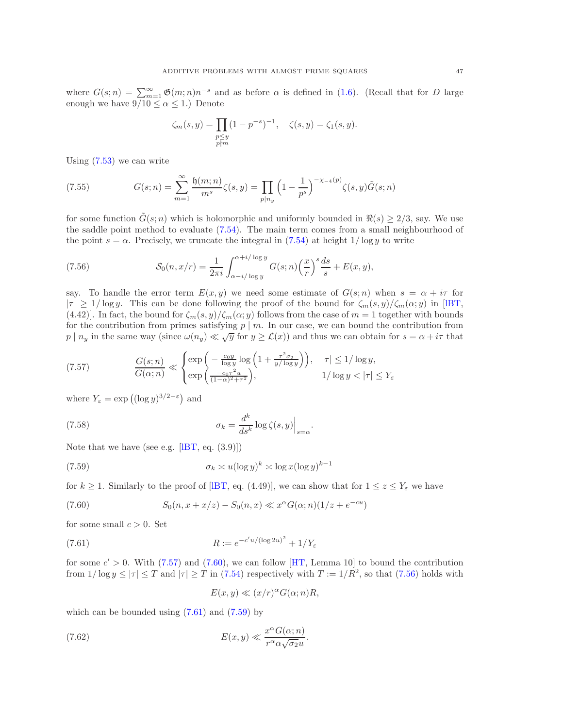where  $G(s; n) = \sum_{m=1}^{\infty} \mathfrak{G}(m; n) n^{-s}$  and as before  $\alpha$  is defined in [\(1.6\)](#page-2-3). (Recall that for D large enough we have  $9/10 \le \alpha \le 1$ .) Denote

$$
\zeta_m(s, y) = \prod_{\substack{p \le y \\ p \nmid m}} (1 - p^{-s})^{-1}, \quad \zeta(s, y) = \zeta_1(s, y).
$$

Using  $(7.53)$  we can write

<span id="page-46-7"></span>(7.55) 
$$
G(s; n) = \sum_{m=1}^{\infty} \frac{\mathfrak{h}(m; n)}{m^s} \zeta(s, y) = \prod_{p | n_y} \left(1 - \frac{1}{p^s}\right)^{-\chi_{-4}(p)} \zeta(s, y) \tilde{G}(s; n)
$$

for some function  $\tilde{G}(s; n)$  which is holomorphic and uniformly bounded in  $\Re(s) \geq 2/3$ , say. We use the saddle point method to evaluate [\(7.54\)](#page-45-2). The main term comes from a small neighbourhood of the point  $s = \alpha$ . Precisely, we truncate the integral in [\(7.54\)](#page-45-2) at height  $1/\log y$  to write

<span id="page-46-2"></span>(7.56) 
$$
\mathcal{S}_0(n, x/r) = \frac{1}{2\pi i} \int_{\alpha - i/\log y}^{\alpha + i/\log y} G(s; n) \left(\frac{x}{r}\right)^s \frac{ds}{s} + E(x, y),
$$

say. To handle the error term  $E(x, y)$  we need some estimate of  $G(s; n)$  when  $s = \alpha + i\tau$  for  $|\tau| \geq 1/\log y$ . This can be done following the proof of the bound for  $\zeta_m(s, y)/\zeta_m(\alpha; y)$  in [IBT, (4.42)]. In fact, the bound for  $\zeta_m(s, y)/\zeta_m(\alpha; y)$  follows from the case of  $m = 1$  together with bounds for the contribution from primes satisfying  $p \mid m$ . In our case, we can bound the contribution from  $p | n_y$  in the same way (since  $\omega(n_y) \ll \sqrt{y}$  for  $y \ge \mathcal{L}(x)$ ) and thus we can obtain for  $s = \alpha + i\tau$  that

<span id="page-46-0"></span>(7.57) 
$$
\frac{G(s; n)}{G(\alpha; n)} \ll \begin{cases} \exp\left(-\frac{c_0 y}{\log y} \log\left(1 + \frac{\tau^2 \sigma_2}{y/\log y}\right)\right), & |\tau| \le 1/\log y, \\ \exp\left(\frac{-c_0 \tau^2 u}{(1 - \alpha)^2 + \tau^2}\right), & 1/\log y < |\tau| \le Y_{\varepsilon} \end{cases}
$$

where  $Y_{\varepsilon} = \exp\left( (\log y)^{3/2-\varepsilon} \right)$  and

<span id="page-46-5"></span>(7.58) 
$$
\sigma_k = \frac{d^k}{ds^k} \log \zeta(s, y)\Big|_{s=\alpha}.
$$

Note that we have (see e.g. [\[lBT,](#page-48-16) eq. (3.9)])

<span id="page-46-4"></span>(7.59) 
$$
\sigma_k \asymp u(\log y)^k \asymp \log x(\log y)^{k-1}
$$

for  $k \geq 1$ . Similarly to the proof of [IBT, eq. (4.49)], we can show that for  $1 \leq z \leq Y_{\epsilon}$  we have

<span id="page-46-1"></span>(7.60) 
$$
S_0(n, x + x/z) - S_0(n, x) \ll x^{\alpha} G(\alpha; n) (1/z + e^{-cu})
$$

for some small  $c > 0$ . Set

<span id="page-46-3"></span>
$$
(7.61) \t\t R := e^{-c'u/(\log 2u)^2} + 1/Y_{\varepsilon}
$$

for some  $c' > 0$ . With  $(7.57)$  and  $(7.60)$ , we can follow [\[HT,](#page-49-17) Lemma 10] to bound the contribution from  $1/\log y \le |\tau| \le T$  and  $|\tau| \ge T$  in [\(7.54\)](#page-45-2) respectively with  $T := 1/R^2$ , so that [\(7.56\)](#page-46-2) holds with

$$
E(x, y) \ll (x/r)^{\alpha} G(\alpha; n) R,
$$

which can be bounded using  $(7.61)$  and  $(7.59)$  by

<span id="page-46-6"></span>(7.62) 
$$
E(x,y) \ll \frac{x^{\alpha}G(\alpha;n)}{r^{\alpha}\alpha\sqrt{\sigma_2}u}.
$$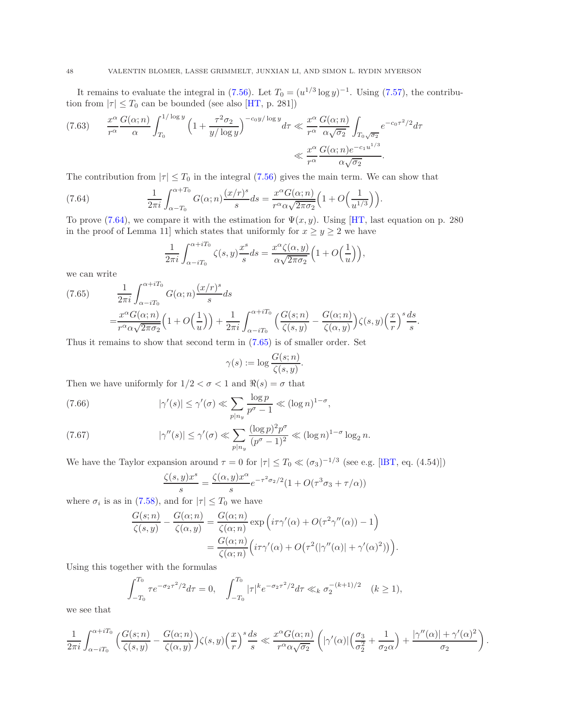It remains to evaluate the integral in [\(7.56\)](#page-46-2). Let  $T_0 = (u^{1/3} \log y)^{-1}$ . Using [\(7.57\)](#page-46-0), the contribution from  $|\tau| \leq T_0$  can be bounded (see also [\[HT,](#page-49-17) p. 281])

<span id="page-47-4"></span>
$$
(7.63) \qquad \frac{x^{\alpha}}{r^{\alpha}} \frac{G(\alpha;n)}{\alpha} \int_{T_0}^{1/\log y} \left(1 + \frac{\tau^2 \sigma_2}{y/\log y}\right)^{-c_0 y/\log y} d\tau \ll \frac{x^{\alpha}}{r^{\alpha}} \frac{G(\alpha;n)}{\alpha \sqrt{\sigma_2}} \int_{T_0 \sqrt{\sigma_2}} e^{-c_0 \tau^2/2} d\tau
$$
\n
$$
\ll \frac{x^{\alpha}}{r^{\alpha}} \frac{G(\alpha;n) e^{-c_1 u^{1/3}}}{\alpha \sqrt{\sigma_2}}.
$$

The contribution from  $|\tau| \leq T_0$  in the integral [\(7.56\)](#page-46-2) gives the main term. We can show that

<span id="page-47-0"></span>(7.64) 
$$
\frac{1}{2\pi i} \int_{\alpha - T_0}^{\alpha + T_0} G(\alpha; n) \frac{(x/r)^s}{s} ds = \frac{x^{\alpha} G(\alpha; n)}{r^{\alpha} \alpha \sqrt{2\pi \sigma_2}} \left( 1 + O\left(\frac{1}{u^{1/3}}\right) \right).
$$

To prove [\(7.64\)](#page-47-0), we compare it with the estimation for  $\Psi(x, y)$ . Using [\[HT,](#page-49-17) last equation on p. 280 in the proof of Lemma 11] which states that uniformly for  $x \ge y \ge 2$  we have

$$
\frac{1}{2\pi i} \int_{\alpha - iT_0}^{\alpha + iT_0} \zeta(s, y) \frac{x^s}{s} ds = \frac{x^{\alpha} \zeta(\alpha, y)}{\alpha \sqrt{2\pi \sigma_2}} \left( 1 + O\left(\frac{1}{u}\right) \right),
$$

we can write

<span id="page-47-1"></span>(7.65) 
$$
\frac{1}{2\pi i} \int_{\alpha - iT_0}^{\alpha + iT_0} G(\alpha; n) \frac{(x/r)^s}{s} ds
$$

$$
= \frac{x^{\alpha} G(\alpha; n)}{r^{\alpha} \alpha \sqrt{2\pi \sigma_2}} \left(1 + O\left(\frac{1}{u}\right)\right) + \frac{1}{2\pi i} \int_{\alpha - iT_0}^{\alpha + iT_0} \left(\frac{G(s; n)}{\zeta(s, y)} - \frac{G(\alpha; n)}{\zeta(\alpha, y)}\right) \zeta(s, y) \left(\frac{x}{r}\right)^s \frac{ds}{s}.
$$

Thus it remains to show that second term in [\(7.65\)](#page-47-1) is of smaller order. Set

$$
\gamma(s) := \log \frac{G(s; n)}{\zeta(s, y)}.
$$

Then we have uniformly for  $1/2 < \sigma < 1$  and  $\Re(s) = \sigma$  that

<span id="page-47-2"></span>(7.66) 
$$
|\gamma'(s)| \le \gamma'(\sigma) \ll \sum_{p|n_y} \frac{\log p}{p^{\sigma} - 1} \ll (\log n)^{1-\sigma},
$$

<span id="page-47-3"></span>(7.67) 
$$
|\gamma''(s)| \le \gamma'(\sigma) \ll \sum_{p|n_y} \frac{(\log p)^2 p^{\sigma}}{(p^{\sigma}-1)^2} \ll (\log n)^{1-\sigma} \log_2 n.
$$

We have the Taylor expansion around  $\tau = 0$  for  $|\tau| \le T_0 \ll (\sigma_3)^{-1/3}$  (see e.g. [IBT, eq. (4.54)])

$$
\frac{\zeta(s,y)x^s}{s} = \frac{\zeta(\alpha,y)x^{\alpha}}{s}e^{-\tau^2\sigma_2/2}(1+O(\tau^3\sigma_3+\tau/\alpha))
$$

where  $\sigma_i$  is as in [\(7.58\)](#page-46-5), and for  $|\tau| \le T_0$  we have

$$
\frac{G(s;n)}{\zeta(s,y)} - \frac{G(\alpha;n)}{\zeta(\alpha,y)} = \frac{G(\alpha;n)}{\zeta(\alpha;n)} \exp\left(i\tau\gamma'(\alpha) + O(\tau^2\gamma''(\alpha)) - 1\right)
$$

$$
= \frac{G(\alpha;n)}{\zeta(\alpha;n)} \left(i\tau\gamma'(\alpha) + O(\tau^2(|\gamma''(\alpha)| + \gamma'(\alpha)^2))\right).
$$

Using this together with the formulas

$$
\int_{-T_0}^{T_0} \tau e^{-\sigma_2 \tau^2/2} d\tau = 0, \quad \int_{-T_0}^{T_0} |\tau|^k e^{-\sigma_2 \tau^2/2} d\tau \ll_k \sigma_2^{-(k+1)/2} \quad (k \ge 1),
$$

we see that

$$
\frac{1}{2\pi i} \int_{\alpha - iT_0}^{\alpha + iT_0} \left( \frac{G(s;n)}{\zeta(s,y)} - \frac{G(\alpha;n)}{\zeta(\alpha,y)} \right) \zeta(s,y) \left( \frac{x}{r} \right)^s \frac{ds}{s} \ll \frac{x^{\alpha} G(\alpha;n)}{r^{\alpha} \alpha \sqrt{\sigma_2}} \left( |\gamma'(\alpha)| \left( \frac{\sigma_3}{\sigma_2^2} + \frac{1}{\sigma_2 \alpha} \right) + \frac{|\gamma''(\alpha)| + \gamma'(\alpha)^2}{\sigma_2} \right).
$$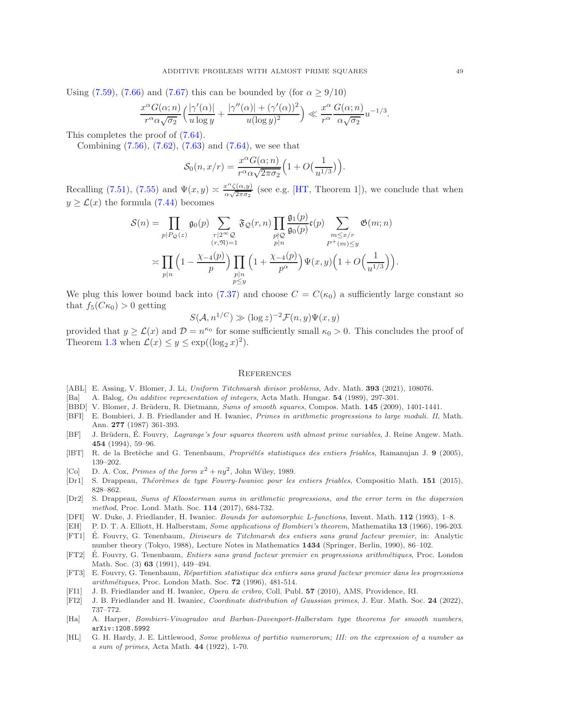Using [\(7.59\)](#page-46-4), [\(7.66\)](#page-47-2) and [\(7.67\)](#page-47-3) this can be bounded by (for  $\alpha \ge 9/10$ )

$$
\frac{x^{\alpha}G(\alpha; n)}{r^{\alpha}\alpha\sqrt{\sigma_2}} \left( \frac{|\gamma'(\alpha)|}{u \log y} + \frac{|\gamma''(\alpha)| + (\gamma'(\alpha))^2}{u(\log y)^2} \right) \ll \frac{x^{\alpha}}{r^{\alpha}} \frac{G(\alpha; n)}{\alpha\sqrt{\sigma_2}} u^{-1/3}
$$

This completes the proof of [\(7.64\)](#page-47-0).

Combining [\(7.56\)](#page-46-2), [\(7.62\)](#page-46-6), [\(7.63\)](#page-47-4) and [\(7.64\)](#page-47-0), we see that

$$
S_0(n, x/r) = \frac{x^{\alpha} G(\alpha; n)}{r^{\alpha} \alpha \sqrt{2\pi \sigma_2}} \left(1 + O\left(\frac{1}{u^{1/3}}\right)\right).
$$

Recalling [\(7.51\)](#page-44-2), [\(7.55\)](#page-46-7) and  $\Psi(x, y) \approx \frac{x^{\alpha} \zeta(\alpha, y)}{\alpha \sqrt{2\pi \sigma_2}}$  $\frac{\partial^2 C(\alpha, y)}{\partial (\alpha \sqrt{2\pi}\sigma_2)}$  (see e.g. [\[HT,](#page-49-17) Theorem 1]), we conclude that when  $y \geq \mathcal{L}(x)$  the formula [\(7.44\)](#page-43-1) becomes

$$
\begin{split} \mathcal{S}(n) &= \prod_{p|P_{\mathcal{Q}}(z)} \mathfrak{g}_0(p) \sum_{\substack{r|2 \sim \mathcal{Q} \\ (r,\mathfrak{N})=1}} \mathfrak{F}_{\mathcal{Q}}(r,n) \prod_{\substack{p\nmid \mathcal{Q} \\ p|n}} \frac{\mathfrak{g}_1(p)}{\mathfrak{g}_0(p)} \mathfrak{c}(p) \sum_{\substack{m \leq x/r \\ P^+(m) \leq y \\ P^+(m) \leq y}} \mathfrak{G}(m;n) \\ &\asymp \prod_{p|n} \Big(1-\frac{\chi_{-4}(p)}{p}\Big) \prod_{\substack{p|n \\ p\leq y}} \Big(1+\frac{\chi_{-4}(p)}{p^{\alpha}}\Big) \Psi(x,y) \Big(1+O\Big(\frac{1}{u^{1/3}}\Big)\Big). \end{split}
$$

We plug this lower bound back into [\(7.37\)](#page-41-0) and choose  $C = C(\kappa_0)$  a sufficiently large constant so that  $f_5(C\kappa_0) > 0$  getting

$$
S(\mathcal{A}, n^{1/C}) \gg (\log z)^{-2} \mathcal{F}(n, y) \Psi(x, y)
$$

provided that  $y \geq \mathcal{L}(x)$  and  $\mathcal{D} = n^{\kappa_0}$  for some sufficiently small  $\kappa_0 > 0$ . This concludes the proof of Theorem [1.3](#page-2-1) when  $\mathcal{L}(x) \leq y \leq \exp((\log_2 x)^2)$ .

# **REFERENCES**

- <span id="page-48-2"></span>[ABL] E. Assing, V. Blomer, J. Li, *Uniform Titchmarsh divisor problems*, Adv. Math. 393 (2021), 108076.
- <span id="page-48-4"></span>[Ba] A. Balog, *On additive representation of integers*, Acta Math. Hungar. 54 (1989), 297-301.
- <span id="page-48-5"></span>[BBD] V. Blomer, J. Brüdern, R. Dietmann, *Sums of smooth squares*, Compos. Math. 145 (2009), 1401-1441.
- <span id="page-48-14"></span>[BFI] E. Bombieri, J. B. Friedlander and H. Iwaniec, *Primes in arithmetic progressions to large moduli. II*, Math. Ann. 277 (1987) 361-393.
- <span id="page-48-6"></span>[BF] J. Brüdern, É. Fouvry, *Lagrange's four squares theorem with almost prime variables*, J. Reine Angew. Math. 454 (1994), 59–96.
- <span id="page-48-16"></span>[IBT] R. de la Bretèche and G. Tenenbaum, *Propriétés statistiques des entiers friables*, Ramanujan J. 9 (2005), 139–202.
- <span id="page-48-7"></span>[Co] D. A. Cox, *Primes of the form*  $x^2 + ny^2$ , John Wiley, 1989.
- <span id="page-48-12"></span>[Dr1] S. Drappeau, *Th´eor`emes de type Fouvry-Iwaniec pour les entiers friables*, Compositio Math. 151 (2015), 828–862.
- <span id="page-48-13"></span>[Dr2] S. Drappeau, *Sums of Kloosterman sums in arithmetic progressions, and the error term in the dispersion method*, Proc. Lond. Math. Soc. 114 (2017), 684-732.
- <span id="page-48-8"></span>[DFI] W. Duke, J. Friedlander, H. Iwaniec. *Bounds for automorphic L-functions*, Invent. Math. 112 (1993), 1–8.
- <span id="page-48-1"></span>[EH] P. D. T. A. Elliott, H. Halberstam, *Some applications of Bombieri's theorem*, Mathematika 13 (1966), 196-203.
- <span id="page-48-11"></span>[FT1] E. Fouvry, G. Tenenbaum, *Diviseurs de Titchmarsh des entiers sans grand facteur premier*, in: Analytic number theory (Tokyo, 1988), Lecture Notes in Mathematics 1434 (Springer, Berlin, 1990), 86–102.
- <span id="page-48-17"></span>[FT2] É. Fouvry, G. Tenenbaum, *Entiers sans grand facteur premier en progressions arithmétiques*, Proc. London Math. Soc. (3) **63** (1991), 449-494.
- <span id="page-48-10"></span>[FT3] E. Fouvry, G. Tenenbaum, *R´epartition statistique des entiers sans grand facteur premier dans les progressions arithm´etiques*, Proc. London Math. Soc. 72 (1996), 481-514.
- <span id="page-48-9"></span>[FI1] J. B. Friedlander and H. Iwaniec, *Opera de cribro*, Coll. Publ. 57 (2010), AMS, Providence, RI.
- <span id="page-48-3"></span>[FI2] J. B. Friedlander and H. Iwaniec, *Coordinate distribution of Gaussian primes*, J. Eur. Math. Soc. 24 (2022), 737–772.
- <span id="page-48-15"></span>[Ha] A. Harper, *Bombieri-Vinogradov and Barban-Davenport-Halberstam type theorems for smooth numbers*, arXiv:1208.5992
- <span id="page-48-0"></span>[HL] G. H. Hardy, J. E. Littlewood, *Some problems of partitio numerorum; III: on the expression of a number as a sum of primes*, Acta Math. 44 (1922), 1-70.

.